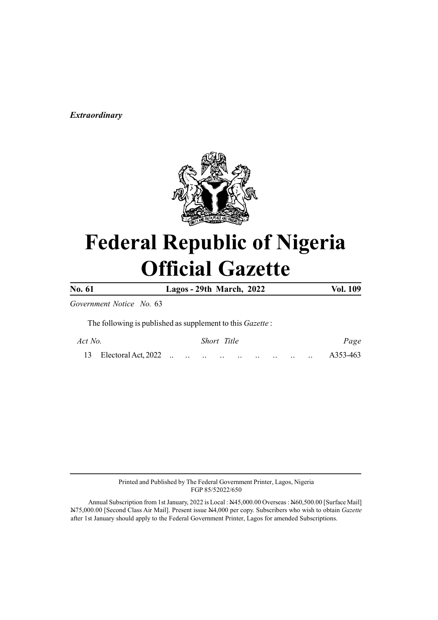# Extraordinary



# Federal Republic of Nigeria Official Gazette

No. 61 Lagos - 29th March, 2022 Vol. 109

Government Notice No. 63

The following is published as supplement to this Gazette :

| Act No. |  |  | Short Title |  |  |  |  |  | Page |          |
|---------|--|--|-------------|--|--|--|--|--|------|----------|
|         |  |  |             |  |  |  |  |  |      | A353-463 |

Printed and Published by The Federal Government Printer, Lagos, Nigeria FGP 85/52022/650

Annual Subscription from 1st January, 2022 is Local : N45,000.00 Overseas : N60,500.00 [Surface Mail] N75,000.00 [Second Class Air Mail]. Present issue N4,000 per copy. Subscribers who wish to obtain Gazette after 1st January should apply to the Federal Government Printer, Lagos for amended Subscriptions.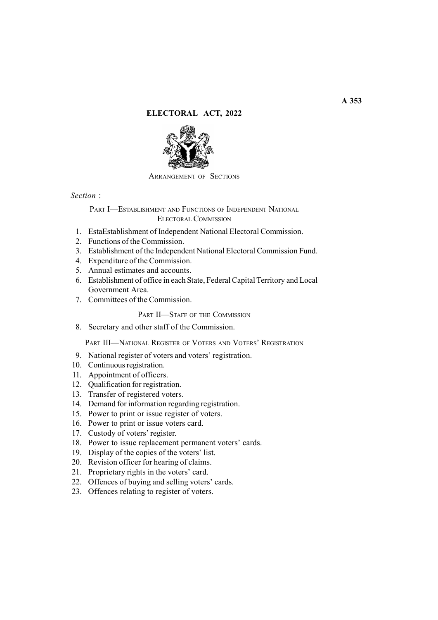## ELECTORAL ACT, 2022



ARRANGEMENT OF SECTIONS

Section :

PART I—ESTABLISHMENT AND FUNCTIONS OF INDEPENDENT NATIONAL ELECTORAL COMMISSION

- 1. EstaEstablishment of Independent National Electoral Commission.
- 2. Functions of the Commission.
- 3. Establishment of the Independent National Electoral Commission Fund.
- 4. Expenditure of the Commission.
- 5. Annual estimates and accounts.
- 6. Establishment of office in each State, Federal Capital Territory and Local Government Area.
- 7. Committees of the Commission.

PART II-STAFF OF THE COMMISSION

8. Secretary and other staff of the Commission.

PART III—NATIONAL REGISTER OF VOTERS AND VOTERS' REGISTRATION

- 9. National register of voters and voters' registration.
- 10. Continuous registration.
- 11. Appointment of officers.
- 12. Qualification for registration.
- 13. Transfer of registered voters.
- 14. Demand for information regarding registration.
- 15. Power to print or issue register of voters.
- 16. Power to print or issue voters card.
- 17. Custody of voters' register.
- 18. Power to issue replacement permanent voters' cards.
- 19. Display of the copies of the voters' list.
- 20. Revision officer for hearing of claims.
- 21. Proprietary rights in the voters' card.
- 22. Offences of buying and selling voters' cards.
- 23. Offences relating to register of voters.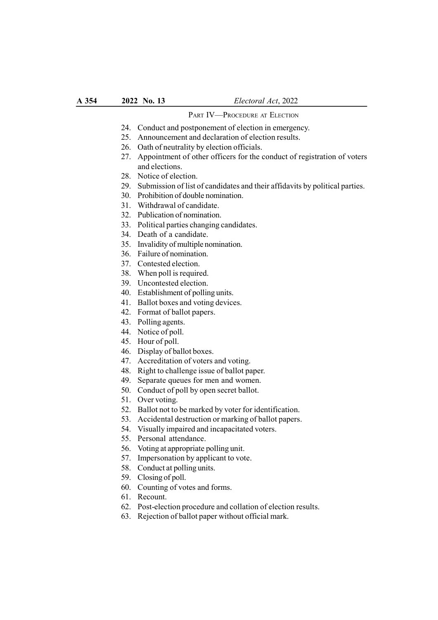## PART IV-PROCEDURE AT ELECTION

- 24. Conduct and postponement of election in emergency.
- 25. Announcement and declaration of election results.
- 26. Oath of neutrality by election officials.
- 27. Appointment of other officers for the conduct of registration of voters and elections.
- 28. Notice of election.
- 29. Submission of list of candidates and their affidavits by political parties.
- 30. Prohibition of double nomination.
- 31. Withdrawal of candidate.
- 32. Publication of nomination.
- 33. Political parties changing candidates.
- 34. Death of a candidate.
- 35. Invalidity of multiple nomination.
- 36. Failure of nomination.
- 37. Contested election.
- 38. When poll is required.
- 39. Uncontested election.
- 40. Establishment of polling units.
- 41. Ballot boxes and voting devices.
- 42. Format of ballot papers.
- 43. Polling agents.
- 44. Notice of poll.
- 45. Hour of poll.
- 46. Display of ballot boxes.
- 47. Accreditation of voters and voting.
- 48. Right to challenge issue of ballot paper.
- 49. Separate queues for men and women.
- 50. Conduct of poll by open secret ballot.
- 51. Over voting.
- 52. Ballot not to be marked by voter for identification.
- 53. Accidental destruction or marking of ballot papers.
- 54. Visually impaired and incapacitated voters.
- 55. Personal attendance.
- 56. Voting at appropriate polling unit.
- 57. Impersonation by applicant to vote.
- 58. Conduct at polling units.
- 59. Closing of poll.
- 60. Counting of votes and forms.
- 61. Recount.
- 62. Post-election procedure and collation of election results.
- 63. Rejection of ballot paper without official mark.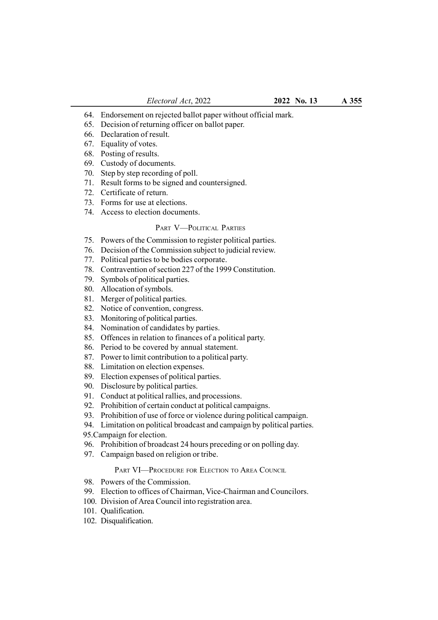- 64. Endorsement on rejected ballot paper without official mark.
- 65. Decision of returning officer on ballot paper.
- 66. Declaration of result.
- 67. Equality of votes.
- 68. Posting of results.
- 69. Custody of documents.
- 70. Step by step recording of poll.
- 71. Result forms to be signed and countersigned.
- 72. Certificate of return.
- 73. Forms for use at elections.
- 74. Access to election documents.

#### PART V—POLITICAL PARTIES

- 75. Powers of the Commission to register political parties.
- 76. Decision of the Commission subject to judicial review.
- 77. Political parties to be bodies corporate.
- 78. Contravention of section 227 of the 1999 Constitution.
- 79. Symbols of political parties.
- 80. Allocation of symbols.
- 81. Merger of political parties.
- 82. Notice of convention, congress.
- 83. Monitoring of political parties.
- 84. Nomination of candidates by parties.
- 85. Offences in relation to finances of a political party.
- 86. Period to be covered by annual statement.
- 87. Power to limit contribution to a political party.
- 88. Limitation on election expenses.
- 89. Election expenses of political parties.
- 90. Disclosure by political parties.
- 91. Conduct at political rallies, and processions.
- 92. Prohibition of certain conduct at political campaigns.
- 93. Prohibition of use of force or violence during political campaign.
- 94. Limitation on political broadcast and campaign by political parties.
- 95.Campaign for election.
- 96. Prohibition of broadcast 24 hours preceding or on polling day.
- 97. Campaign based on religion or tribe.

## PART VI-PROCEDURE FOR ELECTION TO AREA COUNCIL

- 98. Powers of the Commission.
- 99. Election to offices of Chairman, Vice-Chairman and Councilors.
- 100. Division of Area Council into registration area.
- 101. Qualification.
- 102. Disqualification.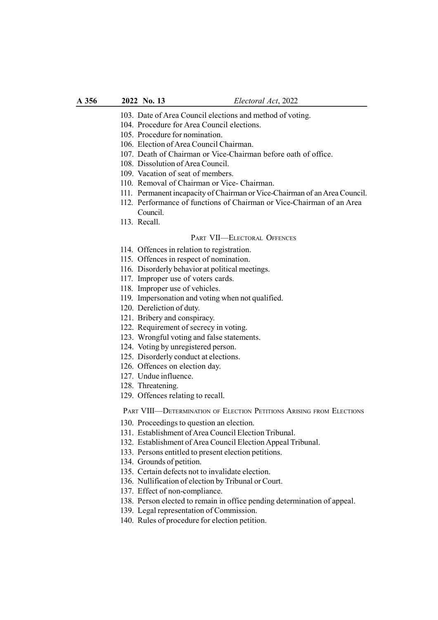- 103. Date of Area Council elections and method of voting.
- 104. Procedure for Area Council elections.
- 105. Procedure for nomination.
- 106. Election of Area Council Chairman.
- 107. Death of Chairman or Vice-Chairman before oath of office.
- 108. Dissolution of Area Council.
- 109. Vacation of seat of members.
- 110. Removal of Chairman or Vice- Chairman.
- 111. Permanent incapacity of Chairman or Vice-Chairman of an Area Council.
- 112. Performance of functions of Chairman or Vice-Chairman of an Area Council.
- 113. Recall.

## PART VII—ELECTORAL OFFENCES

- 114. Offences in relation to registration.
- 115. Offences in respect of nomination.
- 116. Disorderly behavior at political meetings.
- 117. Improper use of voters cards.
- 118. Improper use of vehicles.
- 119. Impersonation and voting when not qualified.
- 120. Dereliction of duty.
- 121. Bribery and conspiracy.
- 122. Requirement of secrecy in voting.
- 123. Wrongful voting and false statements.
- 124. Voting by unregistered person.
- 125. Disorderly conduct at elections.
- 126. Offences on election day.
- 127. Undue influence.
- 128. Threatening.
- 129. Offences relating to recall.

PART VIII—DETERMINATION OF ELECTION PETITIONS ARISING FROM ELECTIONS

- 130. Proceedings to question an election.
- 131. Establishment of Area Council Election Tribunal.
- 132. Establishment of Area Council Election Appeal Tribunal.
- 133. Persons entitled to present election petitions.
- 134. Grounds of petition.
- 135. Certain defects not to invalidate election.
- 136. Nullification of election by Tribunal or Court.
- 137. Effect of non-compliance.
- 138. Person elected to remain in office pending determination of appeal.
- 139. Legal representation of Commission.
- 140. Rules of procedure for election petition.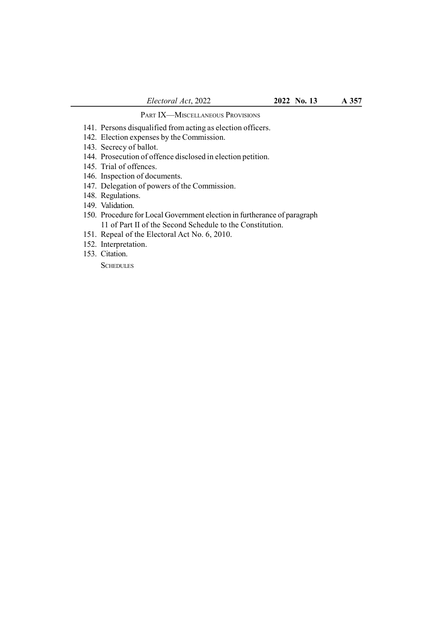# PART IX—MISCELLANEOUS PROVISIONS

- 141. Persons disqualified from acting as election officers.
- 142. Election expenses by the Commission.
- 143. Secrecy of ballot.
- 144. Prosecution of offence disclosed in election petition.
- 145. Trial of offences.
- 146. Inspection of documents.
- 147. Delegation of powers of the Commission.
- 148. Regulations.
- 149. Validation.
- 150. Procedure for Local Government election in furtherance of paragraph 11 of Part II of the Second Schedule to the Constitution.
- 151. Repeal of the Electoral Act No. 6, 2010.
- 152. Interpretation.
- 153. Citation.

**SCHEDULES**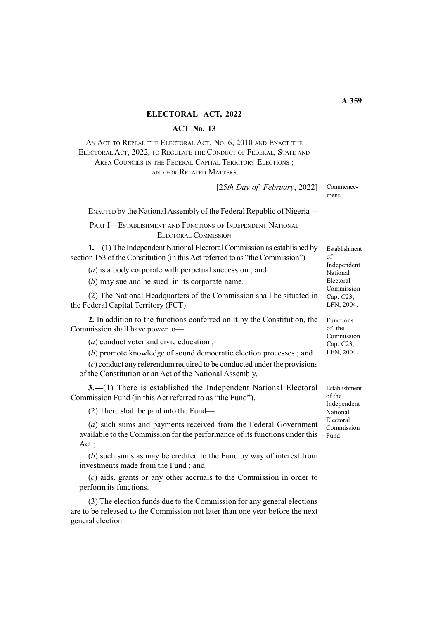#### ELECTORAL ACT, 2022

## ACT No. 13

AN ACT TO REPEAL THE ELECTORAL ACT, No. 6, 2010 AND ENACT THE ELECTORAL ACT, 2022, TO REGULATE THE CONDUCT OF FEDERAL, STATE AND AREA COUNCILS IN THE FEDERAL CAPITAL TERRITORY ELECTIONS ; AND FOR RELATED MATTERS.

> Commencement. [25th Day of February, 2022]

ENACTED by the National Assembly of the Federal Republic of Nigeria—

PART I—ESTABLISHMENT AND FUNCTIONS OF INDEPENDENT NATIONAL ELECTORAL COMMISSION

1.—(1) The Independent National Electoral Commission as established by section 153 of the Constitution (in this Act referred to as "the Commission") —

(a) is a body corporate with perpetual succession ; and

(b) may sue and be sued in its corporate name.

(2) The National Headquarters of the Commission shall be situated in the Federal Capital Territory (FCT).

2. In addition to the functions conferred on it by the Constitution, the Commission shall have power to—

(a) conduct voter and civic education ;

(b) promote knowledge of sound democratic election processes ; and

(c) conduct any referendum required to be conducted under the provisions of the Constitution or an Act of the National Assembly.

3.—(1) There is established the Independent National Electoral Commission Fund (in this Act referred to as "the Fund").

(2) There shall be paid into the Fund—

(a) such sums and payments received from the Federal Government available to the Commission for the performance of its functions under this Act ;

(b) such sums as may be credited to the Fund by way of interest from investments made from the Fund ; and

(c) aids, grants or any other accruals to the Commission in order to perform its functions.

(3) The election funds due to the Commission for any general elections are to be released to the Commission not later than one year before the next general election.

Establishment  $\alpha$ f Independent National Electoral Commission Cap. C23, LFN, 2004.

Functions of the Commission Cap. C23, LFN, 2004.

Establishment of the Independent National Electoral Commission Fund

 $\overline{A}$  359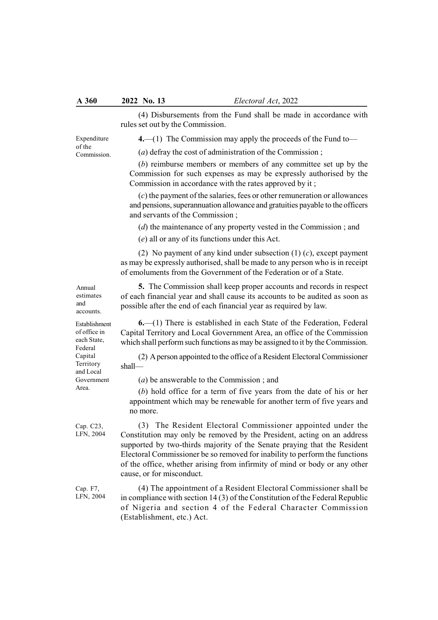(4) Disbursements from the Fund shall be made in accordance with rules set out by the Commission.

4.—(1) The Commission may apply the proceeds of the Fund to—

(a) defray the cost of administration of the Commission ;

(b) reimburse members or members of any committee set up by the Commission for such expenses as may be expressly authorised by the Commission in accordance with the rates approved by it ;

 $(c)$  the payment of the salaries, fees or other remuneration or allowances and pensions, superannuation allowance and gratuities payable to the officers and servants of the Commission ;

(d) the maintenance of any property vested in the Commission ; and

(e) all or any of its functions under this Act.

(2) No payment of any kind under subsection  $(1)$   $(c)$ , except payment as may be expressly authorised, shall be made to any person who is in receipt of emoluments from the Government of the Federation or of a State.

5. The Commission shall keep proper accounts and records in respect of each financial year and shall cause its accounts to be audited as soon as possible after the end of each financial year as required by law.

6.—(1) There is established in each State of the Federation, Federal Capital Territory and Local Government Area, an office of the Commission which shall perform such functions as may be assigned to it by the Commission.

(2) A person appointed to the office of a Resident Electoral Commissioner shall—

(a) be answerable to the Commission ; and

(b) hold office for a term of five years from the date of his or her appointment which may be renewable for another term of five years and no more.

(3) The Resident Electoral Commissioner appointed under the Constitution may only be removed by the President, acting on an address supported by two-thirds majority of the Senate praying that the Resident Electoral Commissioner be so removed for inability to perform the functions of the office, whether arising from infirmity of mind or body or any other cause, or for misconduct.

(4) The appointment of a Resident Electoral Commissioner shall be in compliance with section 14 (3) of the Constitution of the Federal Republic of Nigeria and section 4 of the Federal Character Commission (Establishment, etc.) Act.

Annual estimates and accounts.

Expenditure of the Commission.

Establishment of office in each State, Federal Capital Territory and Local Government Area.

Cap. C23, LFN, 2004

Cap. F7, LFN, 2004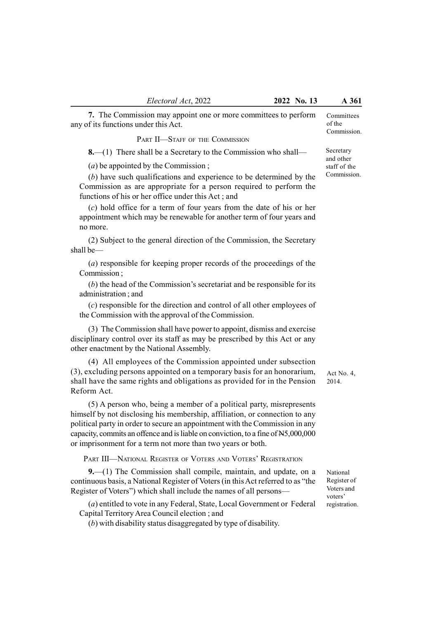7. The Commission may appoint one or more committees to perform any of its functions under this Act.

PART II-STAFF OF THE COMMISSION

8.—(1) There shall be a Secretary to the Commission who shall—

(*a*) be appointed by the Commission ;

(b) have such qualifications and experience to be determined by the Commission as are appropriate for a person required to perform the functions of his or her office under this Act ; and

(c) hold office for a term of four years from the date of his or her appointment which may be renewable for another term of four years and no more.

(2) Subject to the general direction of the Commission, the Secretary shall be—

(a) responsible for keeping proper records of the proceedings of the Commission ;

(b) the head of the Commission's secretariat and be responsible for its administration ; and

(c) responsible for the direction and control of all other employees of the Commission with the approval of the Commission.

(3) The Commission shall have power to appoint, dismiss and exercise disciplinary control over its staff as may be prescribed by this Act or any other enactment by the National Assembly.

(4) All employees of the Commission appointed under subsection (3), excluding persons appointed on a temporary basis for an honorarium, shall have the same rights and obligations as provided for in the Pension Reform Act.

(5) A person who, being a member of a political party, misrepresents himself by not disclosing his membership, affiliation, or connection to any political party in order to secure an appointment with the Commission in any capacity, commits an offence and is liable on conviction, to a fine of N5,000,000 or imprisonment for a term not more than two years or both.

PART III—NATIONAL REGISTER OF VOTERS AND VOTERS' REGISTRATION

9.—(1) The Commission shall compile, maintain, and update, on a continuous basis, a National Register of Voters (in this Act referred to as "the Register of Voters") which shall include the names of all persons—

(a) entitled to vote in any Federal, State, Local Government or Federal Capital Territory Area Council election ; and

(b) with disability status disaggregated by type of disability.

Act No. 4, 2014.

National Register of Voters and voters' registration.

Committees of the Commission.

Secretary and other staff of the Commission.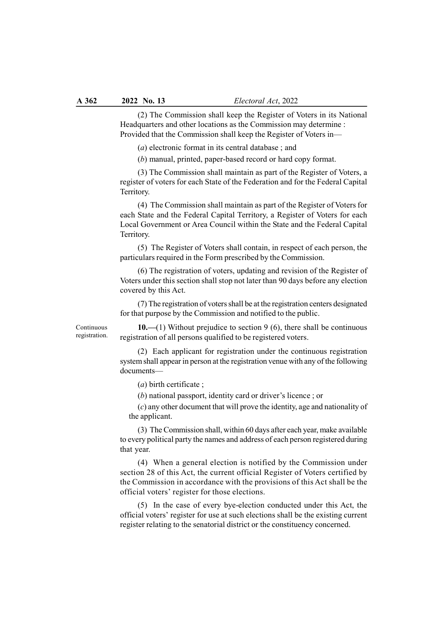(2) The Commission shall keep the Register of Voters in its National Headquarters and other locations as the Commission may determine : Provided that the Commission shall keep the Register of Voters in—

(a) electronic format in its central database ; and

(b) manual, printed, paper-based record or hard copy format.

(3) The Commission shall maintain as part of the Register of Voters, a register of voters for each State of the Federation and for the Federal Capital Territory.

(4) The Commission shall maintain as part of the Register of Voters for each State and the Federal Capital Territory, a Register of Voters for each Local Government or Area Council within the State and the Federal Capital Territory.

(5) The Register of Voters shall contain, in respect of each person, the particulars required in the Form prescribed by the Commission.

(6) The registration of voters, updating and revision of the Register of Voters under this section shall stop not later than 90 days before any election covered by this Act.

(7) The registration of voters shall be at the registration centers designated for that purpose by the Commission and notified to the public.

Continuous registration.

10.—(1) Without prejudice to section 9 (6), there shall be continuous registration of all persons qualified to be registered voters.

(2) Each applicant for registration under the continuous registration system shall appear in person at the registration venue with any of the following documents—

(a) birth certificate ;

(b) national passport, identity card or driver's licence ; or

(c) any other document that will prove the identity, age and nationality of the applicant.

(3) The Commission shall, within 60 days after each year, make available to every political party the names and address of each person registered during that year.

(4) When a general election is notified by the Commission under section 28 of this Act, the current official Register of Voters certified by the Commission in accordance with the provisions of this Act shall be the official voters' register for those elections.

(5) In the case of every bye-election conducted under this Act, the official voters' register for use at such elections shall be the existing current register relating to the senatorial district or the constituency concerned.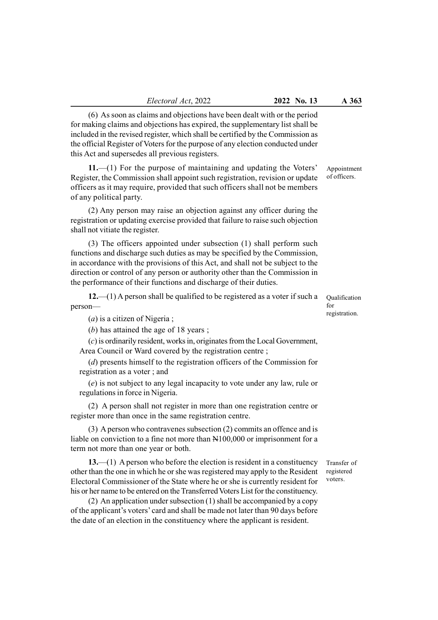Electoral Act, 2022 2022 No. 13 A 363

(6) As soon as claims and objections have been dealt with or the period for making claims and objections has expired, the supplementary list shall be included in the revised register, which shall be certified by the Commission as the official Register of Voters for the purpose of any election conducted under this Act and supersedes all previous registers.

11.—(1) For the purpose of maintaining and updating the Voters' Register, the Commission shall appoint such registration, revision or update officers as it may require, provided that such officers shall not be members of any political party.

(2) Any person may raise an objection against any officer during the registration or updating exercise provided that failure to raise such objection shall not vitiate the register.

(3) The officers appointed under subsection (1) shall perform such functions and discharge such duties as may be specified by the Commission, in accordance with the provisions of this Act, and shall not be subject to the direction or control of any person or authority other than the Commission in the performance of their functions and discharge of their duties.

12.—(1) A person shall be qualified to be registered as a voter if such a person—

(a) is a citizen of Nigeria ;

(b) has attained the age of 18 years;

(c) is ordinarily resident, works in, originates from the Local Government, Area Council or Ward covered by the registration centre ;

(d) presents himself to the registration officers of the Commission for registration as a voter ; and

(e) is not subject to any legal incapacity to vote under any law, rule or regulations in force in Nigeria.

(2) A person shall not register in more than one registration centre or register more than once in the same registration centre.

(3) A person who contravenes subsection (2) commits an offence and is liable on conviction to a fine not more than N100,000 or imprisonment for a term not more than one year or both.

 $13$ —(1) A person who before the election is resident in a constituency other than the one in which he or she was registered may apply to the Resident Electoral Commissioner of the State where he or she is currently resident for his or her name to be entered on the Transferred Voters List for the constituency.

(2) An application under subsection (1) shall be accompanied by a copy of the applicant's voters' card and shall be made not later than 90 days before the date of an election in the constituency where the applicant is resident.

Qualification  $f_{\Omega}r$ registration.

Appointment of officers.

Transfer of registered voters.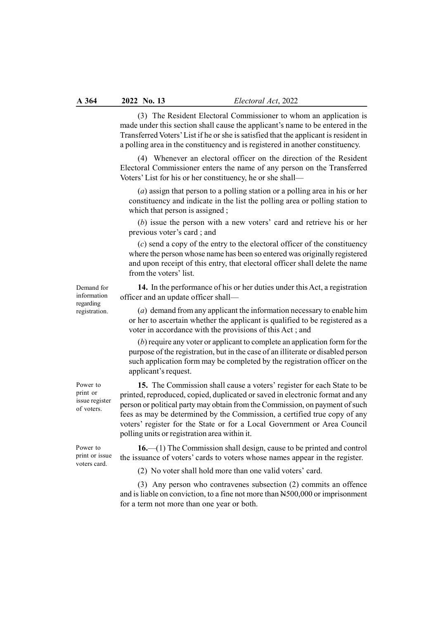(3) The Resident Electoral Commissioner to whom an application is made under this section shall cause the applicant's name to be entered in the Transferred Voters' List if he or she is satisfied that the applicant is resident in a polling area in the constituency and is registered in another constituency.

(4) Whenever an electoral officer on the direction of the Resident Electoral Commissioner enters the name of any person on the Transferred Voters' List for his or her constituency, he or she shall—

(a) assign that person to a polling station or a polling area in his or her constituency and indicate in the list the polling area or polling station to which that person is assigned ;

(b) issue the person with a new voters' card and retrieve his or her previous voter's card ; and

(c) send a copy of the entry to the electoral officer of the constituency where the person whose name has been so entered was originally registered and upon receipt of this entry, that electoral officer shall delete the name from the voters' list.

14. In the performance of his or her duties under this Act, a registration officer and an update officer shall—

(a) demand from any applicant the information necessary to enable him or her to ascertain whether the applicant is qualified to be registered as a voter in accordance with the provisions of this Act ; and

(b) require any voter or applicant to complete an application form for the purpose of the registration, but in the case of an illiterate or disabled person such application form may be completed by the registration officer on the applicant's request.

15. The Commission shall cause a voters' register for each State to be printed, reproduced, copied, duplicated or saved in electronic format and any person or political party may obtain from the Commission, on payment of such fees as may be determined by the Commission, a certified true copy of any voters' register for the State or for a Local Government or Area Council polling units or registration area within it.

16.—(1) The Commission shall design, cause to be printed and control the issuance of voters' cards to voters whose names appear in the register.

(2) No voter shall hold more than one valid voters' card.

(3) Any person who contravenes subsection (2) commits an offence and is liable on conviction, to a fine not more than N500,000 or imprisonment for a term not more than one year or both.

Demand for information regarding registration.

Power to print or issue voters card.

Power to print or issue register of voters.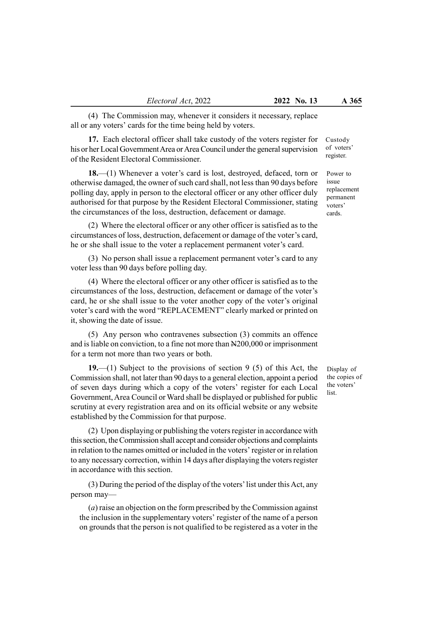(4) The Commission may, whenever it considers it necessary, replace all or any voters' cards for the time being held by voters.

17. Each electoral officer shall take custody of the voters register for his or her Local Government Area or Area Council under the general supervision of the Resident Electoral Commissioner.

18.—(1) Whenever a voter's card is lost, destroyed, defaced, torn or otherwise damaged, the owner of such card shall, not less than 90 days before polling day, apply in person to the electoral officer or any other officer duly authorised for that purpose by the Resident Electoral Commissioner, stating the circumstances of the loss, destruction, defacement or damage.

(2) Where the electoral officer or any other officer is satisfied as to the circumstances of loss, destruction, defacement or damage of the voter's card, he or she shall issue to the voter a replacement permanent voter's card.

(3) No person shall issue a replacement permanent voter's card to any voter less than 90 days before polling day.

(4) Where the electoral officer or any other officer is satisfied as to the circumstances of the loss, destruction, defacement or damage of the voter's card, he or she shall issue to the voter another copy of the voter's original voter's card with the word "REPLACEMENT" clearly marked or printed on it, showing the date of issue.

(5) Any person who contravenes subsection (3) commits an offence and is liable on conviction, to a fine not more than N200,000 or imprisonment for a term not more than two years or both.

19.—(1) Subject to the provisions of section 9 (5) of this Act, the Commission shall, not later than 90 days to a general election, appoint a period of seven days during which a copy of the voters' register for each Local Government, Area Council or Ward shall be displayed or published for public scrutiny at every registration area and on its official website or any website established by the Commission for that purpose.

(2) Upon displaying or publishing the voters register in accordance with this section, the Commission shall accept and consider objections and complaints in relation to the names omitted or included in the voters' register or in relation to any necessary correction, within 14 days after displaying the voters register in accordance with this section.

(3) During the period of the display of the voters' list under this Act, any person may—

(a) raise an objection on the form prescribed by the Commission against the inclusion in the supplementary voters' register of the name of a person on grounds that the person is not qualified to be registered as a voter in the Custody of voters' register.

Power to issue replacement permanent voters' cards.

Display of the copies of the voters' list.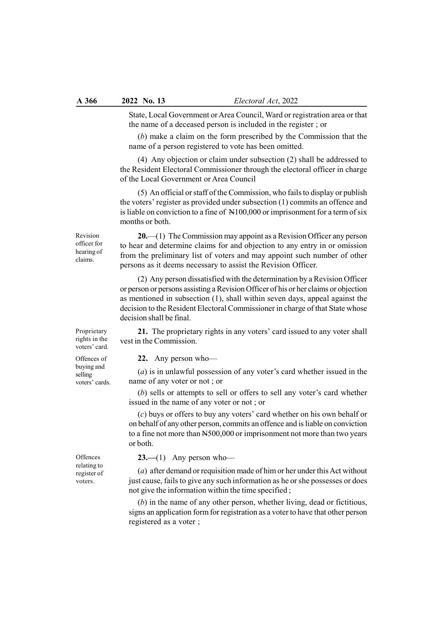State, Local Government or Area Council, Ward or registration area or that the name of a deceased person is included in the register ; or

(b) make a claim on the form prescribed by the Commission that the name of a person registered to vote has been omitted.

(4) Any objection or claim under subsection (2) shall be addressed to the Resident Electoral Commissioner through the electoral officer in charge of the Local Government or Area Council

(5) An official or staff of the Commission, who fails to display or publish the voters' register as provided under subsection (1) commits an offence and is liable on conviction to a fine of N100,000 or imprisonment for a term of six months or both.

Revision officer for hearing of claims.

20.—(1) The Commission may appoint as a Revision Officer any person to hear and determine claims for and objection to any entry in or omission from the preliminary list of voters and may appoint such number of other persons as it deems necessary to assist the Revision Officer.

(2) Any person dissatisfied with the determination by a Revision Officer or person or persons assisting a Revision Officer of his or her claims or objection as mentioned in subsection (1), shall within seven days, appeal against the decision to the Resident Electoral Commissioner in charge of that State whose decision shall be final.

21. The proprietary rights in any voters' card issued to any voter shall vest in the Commission.

22. Any person who—

(a) is in unlawful possession of any voter's card whether issued in the name of any voter or not ; or

(b) sells or attempts to sell or offers to sell any voter's card whether issued in the name of any voter or not ; or

(c) buys or offers to buy any voters' card whether on his own behalf or on behalf of any other person, commits an offence and is liable on conviction to a fine not more than N500,000 or imprisonment not more than two years or both.

 $23$ —(1) Any person who—

(a) after demand or requisition made of him or her under this Act without just cause, fails to give any such information as he or she possesses or does not give the information within the time specified ;

(b) in the name of any other person, whether living, dead or fictitious, signs an application form for registration as a voter to have that other person registered as a voter ;

rights in the voters' card.

Proprietary

Offences of buying and selling voters' cards.

**Offences** relating to register of voters.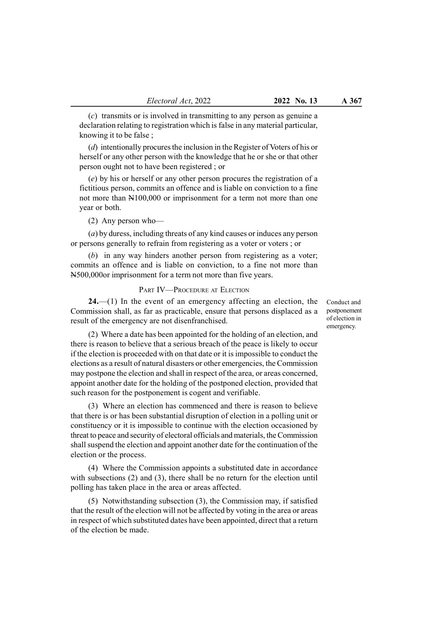(c) transmits or is involved in transmitting to any person as genuine a declaration relating to registration which is false in any material particular, knowing it to be false ;

(d) intentionally procures the inclusion in the Register of Voters of his or herself or any other person with the knowledge that he or she or that other person ought not to have been registered ; or

(e) by his or herself or any other person procures the registration of a fictitious person, commits an offence and is liable on conviction to a fine not more than N100,000 or imprisonment for a term not more than one year or both.

(2) Any person who—

(a) by duress, including threats of any kind causes or induces any person or persons generally to refrain from registering as a voter or voters ; or

(b) in any way hinders another person from registering as a voter; commits an offence and is liable on conviction, to a fine not more than N500,000or imprisonment for a term not more than five years.

## PART IV-PROCEDURE AT ELECTION

 $24.$ —(1) In the event of an emergency affecting an election, the Commission shall, as far as practicable, ensure that persons displaced as a result of the emergency are not disenfranchised.

Conduct and postponement of election in emergency.

(2) Where a date has been appointed for the holding of an election, and there is reason to believe that a serious breach of the peace is likely to occur if the election is proceeded with on that date or it is impossible to conduct the elections as a result of natural disasters or other emergencies, the Commission may postpone the election and shall in respect of the area, or areas concerned, appoint another date for the holding of the postponed election, provided that such reason for the postponement is cogent and verifiable.

(3) Where an election has commenced and there is reason to believe that there is or has been substantial disruption of election in a polling unit or constituency or it is impossible to continue with the election occasioned by threat to peace and security of electoral officials and materials, the Commission shall suspend the election and appoint another date for the continuation of the election or the process.

(4) Where the Commission appoints a substituted date in accordance with subsections (2) and (3), there shall be no return for the election until polling has taken place in the area or areas affected.

(5) Notwithstanding subsection (3), the Commission may, if satisfied that the result of the election will not be affected by voting in the area or areas in respect of which substituted dates have been appointed, direct that a return of the election be made.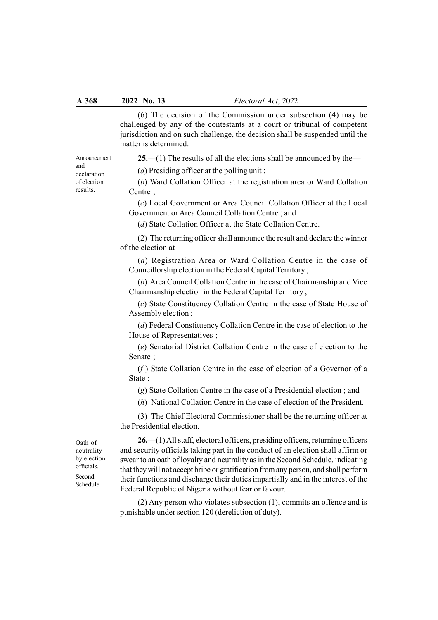(6) The decision of the Commission under subsection (4) may be challenged by any of the contestants at a court or tribunal of competent jurisdiction and on such challenge, the decision shall be suspended until the matter is determined.

Announcement and declaration of election results.

25.—(1) The results of all the elections shall be announced by the—

(a) Presiding officer at the polling unit ;

(b) Ward Collation Officer at the registration area or Ward Collation Centre ;

(c) Local Government or Area Council Collation Officer at the Local Government or Area Council Collation Centre ; and

(d) State Collation Officer at the State Collation Centre.

(2) The returning officer shall announce the result and declare the winner of the election at—

(a) Registration Area or Ward Collation Centre in the case of Councillorship election in the Federal Capital Territory ;

(b) Area Council Collation Centre in the case of Chairmanship and Vice Chairmanship election in the Federal Capital Territory ;

(c) State Constituency Collation Centre in the case of State House of Assembly election ;

(d) Federal Constituency Collation Centre in the case of election to the House of Representatives ;

(e) Senatorial District Collation Centre in the case of election to the Senate ;

 $(f)$  State Collation Centre in the case of election of a Governor of a State ;

(g) State Collation Centre in the case of a Presidential election ; and

(h) National Collation Centre in the case of election of the President.

(3) The Chief Electoral Commissioner shall be the returning officer at the Presidential election.

Oath of neutrality by election officials. Second Schedule.

26.—(1) All staff, electoral officers, presiding officers, returning officers and security officials taking part in the conduct of an election shall affirm or swear to an oath of loyalty and neutrality as in the Second Schedule, indicating that they will not accept bribe or gratification from any person, and shall perform their functions and discharge their duties impartially and in the interest of the Federal Republic of Nigeria without fear or favour.

(2) Any person who violates subsection (1), commits an offence and is punishable under section 120 (dereliction of duty).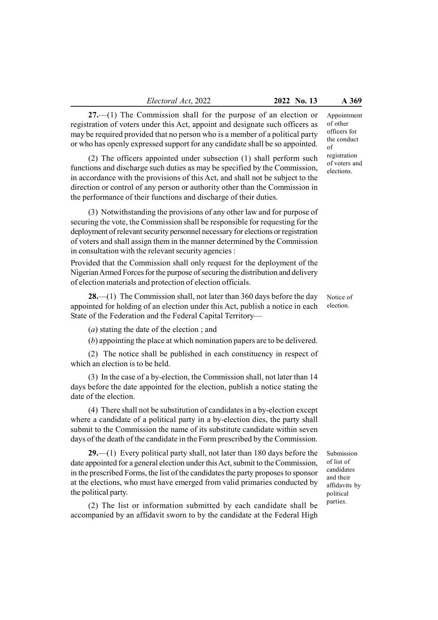27.—(1) The Commission shall for the purpose of an election or registration of voters under this Act, appoint and designate such officers as may be required provided that no person who is a member of a political party or who has openly expressed support for any candidate shall be so appointed.

(2) The officers appointed under subsection (1) shall perform such functions and discharge such duties as may be specified by the Commission, in accordance with the provisions of this Act, and shall not be subject to the direction or control of any person or authority other than the Commission in the performance of their functions and discharge of their duties.

(3) Notwithstanding the provisions of any other law and for purpose of securing the vote, the Commission shall be responsible for requesting for the deployment of relevant security personnel necessary for elections or registration of voters and shall assign them in the manner determined by the Commission in consultation with the relevant security agencies :

Provided that the Commission shall only request for the deployment of the Nigerian Armed Forces for the purpose of securing the distribution and delivery of election materials and protection of election officials.

**28.**—(1) The Commission shall, not later than 360 days before the day appointed for holding of an election under this Act, publish a notice in each State of the Federation and the Federal Capital Territory—

(a) stating the date of the election ; and

(b) appointing the place at which nomination papers are to be delivered.

(2) The notice shall be published in each constituency in respect of which an election is to be held.

(3) In the case of a by-election, the Commission shall, not later than 14 days before the date appointed for the election, publish a notice stating the date of the election.

(4) There shall not be substitution of candidates in a by-election except where a candidate of a political party in a by-election dies, the party shall submit to the Commission the name of its substitute candidate within seven days of the death of the candidate in the Form prescribed by the Commission.

 $29.$ —(1) Every political party shall, not later than 180 days before the date appointed for a general election under this Act, submit to the Commission, in the prescribed Forms, the list of the candidates the party proposes to sponsor at the elections, who must have emerged from valid primaries conducted by the political party.

(2) The list or information submitted by each candidate shall be accompanied by an affidavit sworn to by the candidate at the Federal High Appointment of other officers for the conduct of registration of voters and elections.

Notice of election.

Submission of list of candidates and their affidavits by political parties.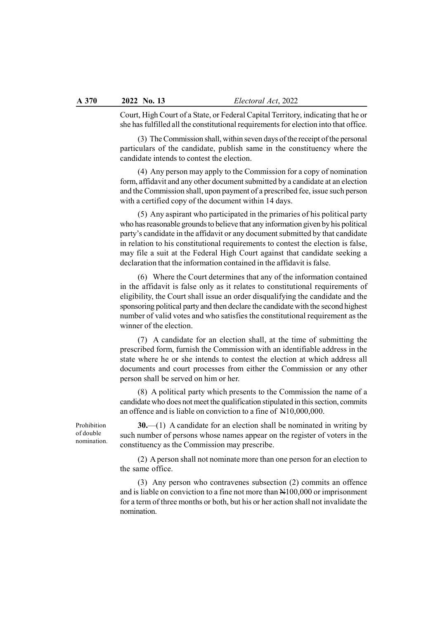Court, High Court of a State, or Federal Capital Territory, indicating that he or she has fulfilled all the constitutional requirements for election into that office.

(3) The Commission shall, within seven days of the receipt of the personal particulars of the candidate, publish same in the constituency where the candidate intends to contest the election.

(4) Any person may apply to the Commission for a copy of nomination form, affidavit and any other document submitted by a candidate at an election and the Commission shall, upon payment of a prescribed fee, issue such person with a certified copy of the document within 14 days.

(5) Any aspirant who participated in the primaries of his political party who has reasonable grounds to believe that any information given by his political party's candidate in the affidavit or any document submitted by that candidate in relation to his constitutional requirements to contest the election is false, may file a suit at the Federal High Court against that candidate seeking a declaration that the information contained in the affidavit is false.

(6) Where the Court determines that any of the information contained in the affidavit is false only as it relates to constitutional requirements of eligibility, the Court shall issue an order disqualifying the candidate and the sponsoring political party and then declare the candidate with the second highest number of valid votes and who satisfies the constitutional requirement as the winner of the election.

(7) A candidate for an election shall, at the time of submitting the prescribed form, furnish the Commission with an identifiable address in the state where he or she intends to contest the election at which address all documents and court processes from either the Commission or any other person shall be served on him or her.

(8) A political party which presents to the Commission the name of a candidate who does not meet the qualification stipulated in this section, commits an offence and is liable on conviction to a fine of N10,000,000.

Prohibition of double nomination.

 $30$ .—(1) A candidate for an election shall be nominated in writing by such number of persons whose names appear on the register of voters in the constituency as the Commission may prescribe.

(2) A person shall not nominate more than one person for an election to the same office.

(3) Any person who contravenes subsection (2) commits an offence and is liable on conviction to a fine not more than N100,000 or imprisonment for a term of three months or both, but his or her action shall not invalidate the nomination.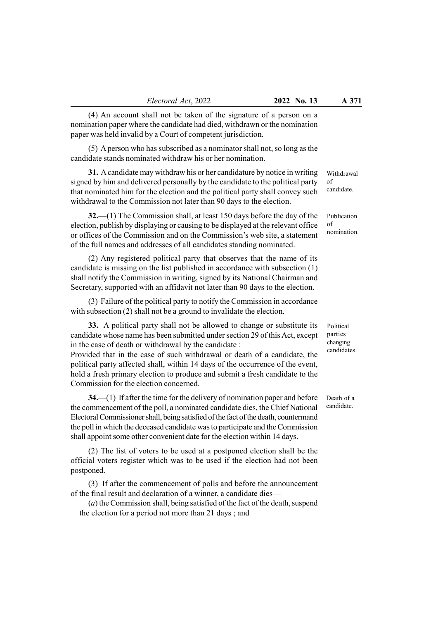(4) An account shall not be taken of the signature of a person on a nomination paper where the candidate had died, withdrawn or the nomination paper was held invalid by a Court of competent jurisdiction.

(5) A person who has subscribed as a nominator shall not, so long as the candidate stands nominated withdraw his or her nomination.

31. A candidate may withdraw his or her candidature by notice in writing signed by him and delivered personally by the candidate to the political party that nominated him for the election and the political party shall convey such withdrawal to the Commission not later than 90 days to the election.

32.—(1) The Commission shall, at least 150 days before the day of the election, publish by displaying or causing to be displayed at the relevant office or offices of the Commission and on the Commission's web site, a statement of the full names and addresses of all candidates standing nominated.

(2) Any registered political party that observes that the name of its candidate is missing on the list published in accordance with subsection (1) shall notify the Commission in writing, signed by its National Chairman and Secretary, supported with an affidavit not later than 90 days to the election.

(3) Failure of the political party to notify the Commission in accordance with subsection (2) shall not be a ground to invalidate the election.

33. A political party shall not be allowed to change or substitute its candidate whose name has been submitted under section 29 of this Act, except in the case of death or withdrawal by the candidate :

Provided that in the case of such withdrawal or death of a candidate, the political party affected shall, within 14 days of the occurrence of the event, hold a fresh primary election to produce and submit a fresh candidate to the Commission for the election concerned.

34.—(1) If after the time for the delivery of nomination paper and before the commencement of the poll, a nominated candidate dies, the Chief National Electoral Commissioner shall, being satisfied of the fact of the death, countermand the poll in which the deceased candidate was to participate and the Commission

(2) The list of voters to be used at a postponed election shall be the official voters register which was to be used if the election had not been postponed.

shall appoint some other convenient date for the election within 14 days.

(3) If after the commencement of polls and before the announcement of the final result and declaration of a winner, a candidate dies—

(a) the Commission shall, being satisfied of the fact of the death, suspend the election for a period not more than 21 days ; and

of candidate.

Withdrawal

Publication of nomination.

Political parties changing candidates.

Death of a candidate.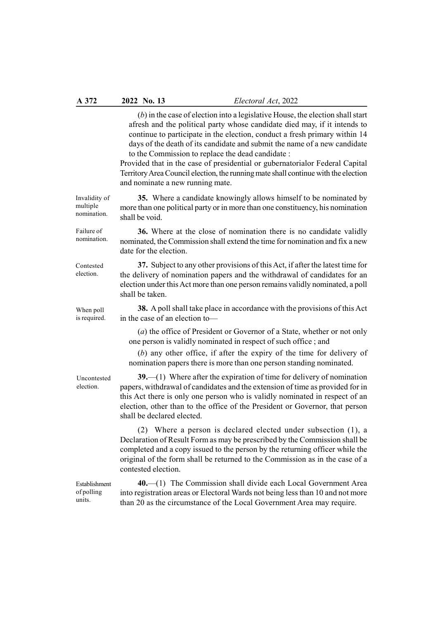(b) in the case of election into a legislative House, the election shall start afresh and the political party whose candidate died may, if it intends to continue to participate in the election, conduct a fresh primary within 14 days of the death of its candidate and submit the name of a new candidate to the Commission to replace the dead candidate :

Provided that in the case of presidential or gubernatorialor Federal Capital Territory Area Council election, the running mate shall continue with the election and nominate a new running mate.

35. Where a candidate knowingly allows himself to be nominated by more than one political party or in more than one constituency, his nomination shall be void.

36. Where at the close of nomination there is no candidate validly nominated, the Commission shall extend the time for nomination and fix a new date for the election.

37. Subject to any other provisions of this Act, if after the latest time for the delivery of nomination papers and the withdrawal of candidates for an election under this Act more than one person remains validly nominated, a poll shall be taken.

38. A poll shall take place in accordance with the provisions of this Act in the case of an election to—

(a) the office of President or Governor of a State, whether or not only one person is validly nominated in respect of such office ; and

(b) any other office, if after the expiry of the time for delivery of nomination papers there is more than one person standing nominated.

 $39$ ,  $-(1)$  Where after the expiration of time for delivery of nomination papers, withdrawal of candidates and the extension of time as provided for in this Act there is only one person who is validly nominated in respect of an election, other than to the office of the President or Governor, that person shall be declared elected.

(2) Where a person is declared elected under subsection (1), a Declaration of Result Form as may be prescribed by the Commission shall be completed and a copy issued to the person by the returning officer while the original of the form shall be returned to the Commission as in the case of a contested election.

40.—(1) The Commission shall divide each Local Government Area into registration areas or Electoral Wards not being less than 10 and not more than 20 as the circumstance of the Local Government Area may require. Establishment of polling units.

nomination. Failure of

Invalidity of multiple

nomination.

Contested election.

When poll is required.

Uncontested election.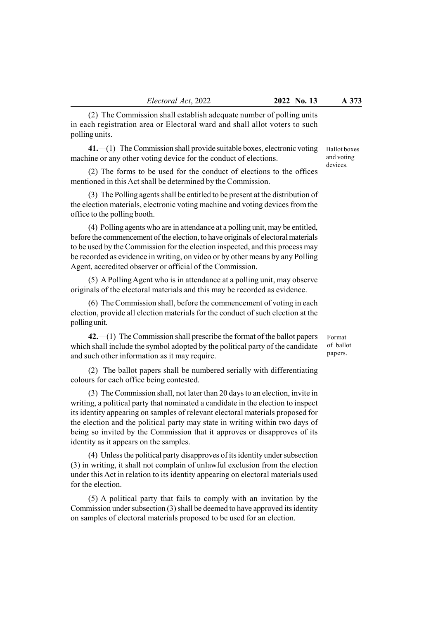(2) The Commission shall establish adequate number of polling units in each registration area or Electoral ward and shall allot voters to such polling units.

41.—(1) The Commission shall provide suitable boxes, electronic voting machine or any other voting device for the conduct of elections.

(2) The forms to be used for the conduct of elections to the offices mentioned in this Act shall be determined by the Commission.

(3) The Polling agents shall be entitled to be present at the distribution of the election materials, electronic voting machine and voting devices from the office to the polling booth.

(4) Polling agents who are in attendance at a polling unit, may be entitled, before the commencement of the election, to have originals of electoral materials to be used by the Commission for the election inspected, and this process may be recorded as evidence in writing, on video or by other means by any Polling Agent, accredited observer or official of the Commission.

(5) A Polling Agent who is in attendance at a polling unit, may observe originals of the electoral materials and this may be recorded as evidence.

(6) The Commission shall, before the commencement of voting in each election, provide all election materials for the conduct of such election at the polling unit.

42.—(1) The Commission shall prescribe the format of the ballot papers which shall include the symbol adopted by the political party of the candidate and such other information as it may require.

(2) The ballot papers shall be numbered serially with differentiating colours for each office being contested.

(3) The Commission shall, not later than 20 days to an election, invite in writing, a political party that nominated a candidate in the election to inspect its identity appearing on samples of relevant electoral materials proposed for the election and the political party may state in writing within two days of being so invited by the Commission that it approves or disapproves of its identity as it appears on the samples.

(4) Unless the political party disapproves of its identity under subsection (3) in writing, it shall not complain of unlawful exclusion from the election under this Act in relation to its identity appearing on electoral materials used for the election.

(5) A political party that fails to comply with an invitation by the Commission under subsection (3) shall be deemed to have approved its identity on samples of electoral materials proposed to be used for an election.

Format of ballot papers.

Ballot boxes and voting devices.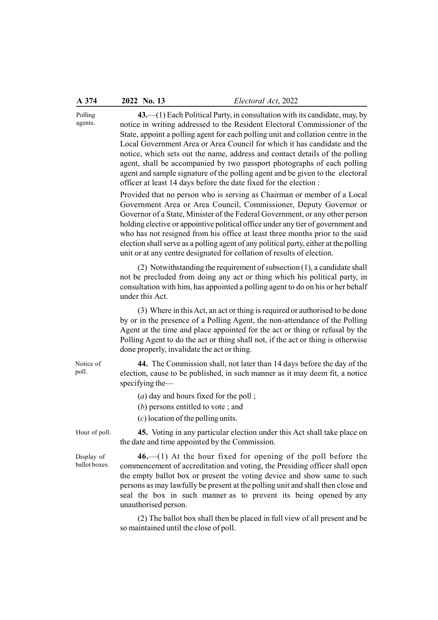| A 374                       | 2022 No. 13                                                                                                                                                                                                                                                                                                                                                                                                                                                                                                                                                                                                                                                                                                                                                                                                                                                                                                                                                                                                                                                                                                                                                                                                          | Electoral Act, 2022                                                                                                                                                                                                                                                                                                            |  |  |  |  |
|-----------------------------|----------------------------------------------------------------------------------------------------------------------------------------------------------------------------------------------------------------------------------------------------------------------------------------------------------------------------------------------------------------------------------------------------------------------------------------------------------------------------------------------------------------------------------------------------------------------------------------------------------------------------------------------------------------------------------------------------------------------------------------------------------------------------------------------------------------------------------------------------------------------------------------------------------------------------------------------------------------------------------------------------------------------------------------------------------------------------------------------------------------------------------------------------------------------------------------------------------------------|--------------------------------------------------------------------------------------------------------------------------------------------------------------------------------------------------------------------------------------------------------------------------------------------------------------------------------|--|--|--|--|
| Polling<br>agents.          | $43$ . $-$ (1) Each Political Party, in consultation with its candidate, may, by<br>notice in writing addressed to the Resident Electoral Commissioner of the<br>State, appoint a polling agent for each polling unit and collation centre in the<br>Local Government Area or Area Council for which it has candidate and the<br>notice, which sets out the name, address and contact details of the polling<br>agent, shall be accompanied by two passport photographs of each polling<br>agent and sample signature of the polling agent and be given to the electoral<br>officer at least 14 days before the date fixed for the election :<br>Provided that no person who is serving as Chairman or member of a Local<br>Government Area or Area Council, Commissioner, Deputy Governor or<br>Governor of a State, Minister of the Federal Government, or any other person<br>holding elective or appointive political office under any tier of government and<br>who has not resigned from his office at least three months prior to the said<br>election shall serve as a polling agent of any political party, either at the polling<br>unit or at any centre designated for collation of results of election. |                                                                                                                                                                                                                                                                                                                                |  |  |  |  |
|                             | under this Act.                                                                                                                                                                                                                                                                                                                                                                                                                                                                                                                                                                                                                                                                                                                                                                                                                                                                                                                                                                                                                                                                                                                                                                                                      | $(2)$ Notwithstanding the requirement of subsection $(1)$ , a candidate shall<br>not be precluded from doing any act or thing which his political party, in<br>consultation with him, has appointed a polling agent to do on his or her behalf                                                                                 |  |  |  |  |
|                             | done properly, invalidate the act or thing.                                                                                                                                                                                                                                                                                                                                                                                                                                                                                                                                                                                                                                                                                                                                                                                                                                                                                                                                                                                                                                                                                                                                                                          | (3) Where in this Act, an act or thing is required or authorised to be done<br>by or in the presence of a Polling Agent, the non-attendance of the Polling<br>Agent at the time and place appointed for the act or thing or refusal by the<br>Polling Agent to do the act or thing shall not, if the act or thing is otherwise |  |  |  |  |
| Notice of<br>poll.          | specifying the $-$                                                                                                                                                                                                                                                                                                                                                                                                                                                                                                                                                                                                                                                                                                                                                                                                                                                                                                                                                                                                                                                                                                                                                                                                   | 44. The Commission shall, not later than 14 days before the day of the<br>election, cause to be published, in such manner as it may deem fit, a notice                                                                                                                                                                         |  |  |  |  |
|                             | $(a)$ day and hours fixed for the poll;<br>$(b)$ persons entitled to vote; and<br>$(c)$ location of the polling units.                                                                                                                                                                                                                                                                                                                                                                                                                                                                                                                                                                                                                                                                                                                                                                                                                                                                                                                                                                                                                                                                                               |                                                                                                                                                                                                                                                                                                                                |  |  |  |  |
| Hour of poll.               | the date and time appointed by the Commission.                                                                                                                                                                                                                                                                                                                                                                                                                                                                                                                                                                                                                                                                                                                                                                                                                                                                                                                                                                                                                                                                                                                                                                       | 45. Voting in any particular election under this Act shall take place on                                                                                                                                                                                                                                                       |  |  |  |  |
| Display of<br>ballot boxes. | $46$ . $-$ (1) At the hour fixed for opening of the poll before the<br>commencement of accreditation and voting, the Presiding officer shall open<br>the empty ballot box or present the voting device and show same to such<br>persons as may lawfully be present at the polling unit and shall then close and<br>seal the box in such manner as to prevent its being opened by any<br>unauthorised person.<br>(2) The ballot box shall then be placed in full view of all present and be<br>so maintained until the close of poll.                                                                                                                                                                                                                                                                                                                                                                                                                                                                                                                                                                                                                                                                                 |                                                                                                                                                                                                                                                                                                                                |  |  |  |  |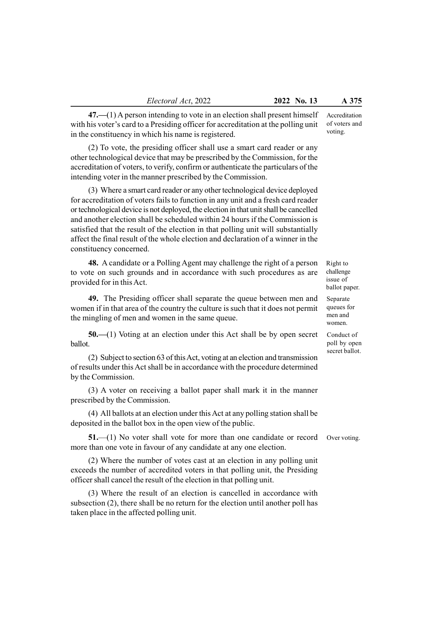47.—(1) A person intending to vote in an election shall present himself with his voter's card to a Presiding officer for accreditation at the polling unit in the constituency in which his name is registered.

(2) To vote, the presiding officer shall use a smart card reader or any other technological device that may be prescribed by the Commission, for the accreditation of voters, to verify, confirm or authenticate the particulars of the intending voter in the manner prescribed by the Commission.

(3) Where a smart card reader or any other technological device deployed for accreditation of voters fails to function in any unit and a fresh card reader or technological device is not deployed, the election in that unit shall be cancelled and another election shall be scheduled within 24 hours if the Commission is satisfied that the result of the election in that polling unit will substantially affect the final result of the whole election and declaration of a winner in the constituency concerned.

48. A candidate or a Polling Agent may challenge the right of a person to vote on such grounds and in accordance with such procedures as are provided for in this Act.

49. The Presiding officer shall separate the queue between men and women if in that area of the country the culture is such that it does not permit the mingling of men and women in the same queue.

50.—(1) Voting at an election under this Act shall be by open secret ballot.

(2) Subject to section 63 of this Act, voting at an election and transmission of results under this Act shall be in accordance with the procedure determined by the Commission.

(3) A voter on receiving a ballot paper shall mark it in the manner prescribed by the Commission.

(4) All ballots at an election under this Act at any polling station shall be deposited in the ballot box in the open view of the public.

51.—(1) No voter shall vote for more than one candidate or record more than one vote in favour of any candidate at any one election.

(2) Where the number of votes cast at an election in any polling unit exceeds the number of accredited voters in that polling unit, the Presiding officer shall cancel the result of the election in that polling unit.

(3) Where the result of an election is cancelled in accordance with subsection (2), there shall be no return for the election until another poll has taken place in the affected polling unit.

Accreditation of voters and voting.

Right to challenge issue of ballot paper.

Separate queues for men and women.

Conduct of poll by open secret ballot.

Over voting.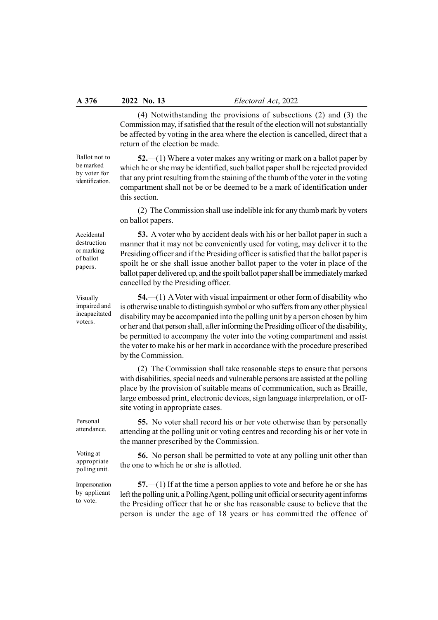(4) Notwithstanding the provisions of subsections (2) and (3) the Commission may, if satisfied that the result of the election will not substantially be affected by voting in the area where the election is cancelled, direct that a return of the election be made.

Ballot not to be marked by voter for identification.

52.—(1) Where a voter makes any writing or mark on a ballot paper by which he or she may be identified, such ballot paper shall be rejected provided that any print resulting from the staining of the thumb of the voter in the voting compartment shall not be or be deemed to be a mark of identification under this section.

(2) The Commission shall use indelible ink for any thumb mark by voters on ballot papers.

53. A voter who by accident deals with his or her ballot paper in such a manner that it may not be conveniently used for voting, may deliver it to the Presiding officer and if the Presiding officer is satisfied that the ballot paper is spoilt he or she shall issue another ballot paper to the voter in place of the ballot paper delivered up, and the spoilt ballot paper shall be immediately marked

Accidental destruction or marking of ballot papers.

Visually impaired and incapacitated voters.

54.—(1) A Voter with visual impairment or other form of disability who is otherwise unable to distinguish symbol or who suffers from any other physical disability may be accompanied into the polling unit by a person chosen by him or her and that person shall, after informing the Presiding officer of the disability, be permitted to accompany the voter into the voting compartment and assist the voter to make his or her mark in accordance with the procedure prescribed by the Commission.

cancelled by the Presiding officer.

(2) The Commission shall take reasonable steps to ensure that persons with disabilities, special needs and vulnerable persons are assisted at the polling place by the provision of suitable means of communication, such as Braille, large embossed print, electronic devices, sign language interpretation, or offsite voting in appropriate cases.

55. No voter shall record his or her vote otherwise than by personally attending at the polling unit or voting centres and recording his or her vote in the manner prescribed by the Commission.

56. No person shall be permitted to vote at any polling unit other than the one to which he or she is allotted.

57.—(1) If at the time a person applies to vote and before he or she has left the polling unit, a Polling Agent, polling unit official or security agent informs the Presiding officer that he or she has reasonable cause to believe that the person is under the age of 18 years or has committed the offence of

Personal attendance.

Voting at appropriate polling unit.

Impersonation by applicant to vote.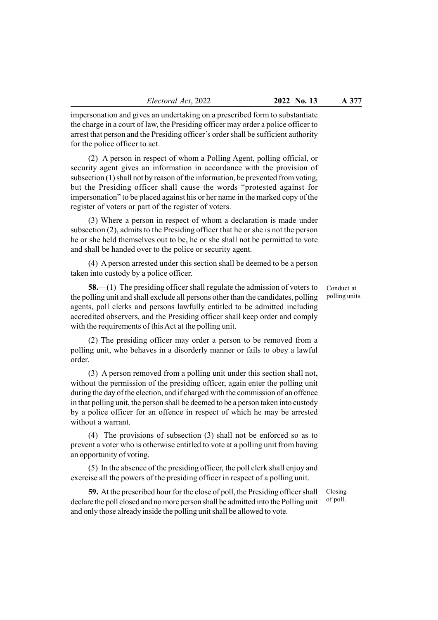impersonation and gives an undertaking on a prescribed form to substantiate the charge in a court of law, the Presiding officer may order a police officer to arrest that person and the Presiding officer's order shall be sufficient authority for the police officer to act.

(2) A person in respect of whom a Polling Agent, polling official, or security agent gives an information in accordance with the provision of subsection (1) shall not by reason of the information, be prevented from voting, but the Presiding officer shall cause the words "protested against for impersonation" to be placed against his or her name in the marked copy of the register of voters or part of the register of voters.

(3) Where a person in respect of whom a declaration is made under subsection (2), admits to the Presiding officer that he or she is not the person he or she held themselves out to be, he or she shall not be permitted to vote and shall be handed over to the police or security agent.

(4) A person arrested under this section shall be deemed to be a person taken into custody by a police officer.

58.—(1) The presiding officer shall regulate the admission of voters to the polling unit and shall exclude all persons other than the candidates, polling agents, poll clerks and persons lawfully entitled to be admitted including accredited observers, and the Presiding officer shall keep order and comply with the requirements of this Act at the polling unit.

(2) The presiding officer may order a person to be removed from a polling unit, who behaves in a disorderly manner or fails to obey a lawful order.

(3) A person removed from a polling unit under this section shall not, without the permission of the presiding officer, again enter the polling unit during the day of the election, and if charged with the commission of an offence in that polling unit, the person shall be deemed to be a person taken into custody by a police officer for an offence in respect of which he may be arrested without a warrant.

(4) The provisions of subsection (3) shall not be enforced so as to prevent a voter who is otherwise entitled to vote at a polling unit from having an opportunity of voting.

(5) In the absence of the presiding officer, the poll clerk shall enjoy and exercise all the powers of the presiding officer in respect of a polling unit.

59. At the prescribed hour for the close of poll, the Presiding officer shall declare the poll closed and no more person shall be admitted into the Polling unit and only those already inside the polling unit shall be allowed to vote.

Conduct at polling units.

Closing of poll.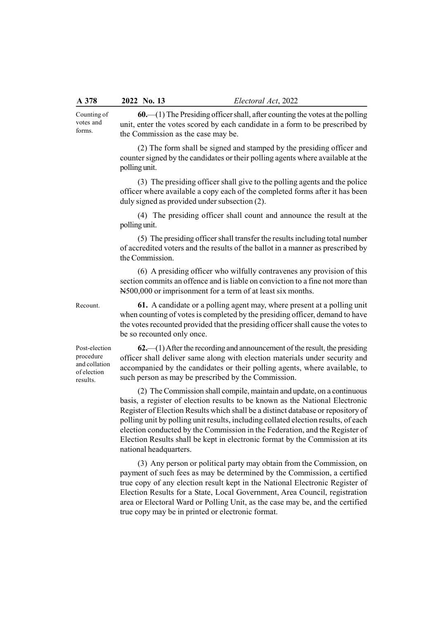Counting of votes and forms.

60.—(1) The Presiding officer shall, after counting the votes at the polling unit, enter the votes scored by each candidate in a form to be prescribed by the Commission as the case may be.

(2) The form shall be signed and stamped by the presiding officer and counter signed by the candidates or their polling agents where available at the polling unit.

(3) The presiding officer shall give to the polling agents and the police officer where available a copy each of the completed forms after it has been duly signed as provided under subsection (2).

(4) The presiding officer shall count and announce the result at the polling unit.

(5) The presiding officer shall transfer the results including total number of accredited voters and the results of the ballot in a manner as prescribed by the Commission.

(6) A presiding officer who wilfully contravenes any provision of this section commits an offence and is liable on conviction to a fine not more than N500,000 or imprisonment for a term of at least six months.

61. A candidate or a polling agent may, where present at a polling unit when counting of votes is completed by the presiding officer, demand to have the votes recounted provided that the presiding officer shall cause the votes to be so recounted only once.

Post-election procedure and collation of election results.

Recount.

 $62$ —(1) After the recording and announcement of the result, the presiding officer shall deliver same along with election materials under security and accompanied by the candidates or their polling agents, where available, to such person as may be prescribed by the Commission.

(2) The Commission shall compile, maintain and update, on a continuous basis, a register of election results to be known as the National Electronic Register of Election Results which shall be a distinct database or repository of polling unit by polling unit results, including collated election results, of each election conducted by the Commission in the Federation, and the Register of Election Results shall be kept in electronic format by the Commission at its national headquarters.

(3) Any person or political party may obtain from the Commission, on payment of such fees as may be determined by the Commission, a certified true copy of any election result kept in the National Electronic Register of Election Results for a State, Local Government, Area Council, registration area or Electoral Ward or Polling Unit, as the case may be, and the certified true copy may be in printed or electronic format.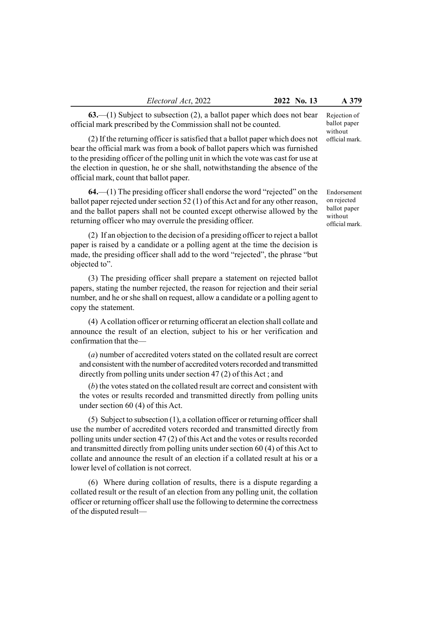63.—(1) Subject to subsection (2), a ballot paper which does not bear official mark prescribed by the Commission shall not be counted.

(2) If the returning officer is satisfied that a ballot paper which does not bear the official mark was from a book of ballot papers which was furnished to the presiding officer of the polling unit in which the vote was cast for use at the election in question, he or she shall, notwithstanding the absence of the official mark, count that ballot paper.

 $64$ ,  $-(1)$  The presiding officer shall endorse the word "rejected" on the ballot paper rejected under section 52 (1) of this Act and for any other reason, and the ballot papers shall not be counted except otherwise allowed by the returning officer who may overrule the presiding officer.

(2) If an objection to the decision of a presiding officer to reject a ballot paper is raised by a candidate or a polling agent at the time the decision is made, the presiding officer shall add to the word "rejected", the phrase "but objected to".

(3) The presiding officer shall prepare a statement on rejected ballot papers, stating the number rejected, the reason for rejection and their serial number, and he or she shall on request, allow a candidate or a polling agent to copy the statement.

(4) A collation officer or returning officerat an election shall collate and announce the result of an election, subject to his or her verification and confirmation that the—

(a) number of accredited voters stated on the collated result are correct and consistent with the number of accredited voters recorded and transmitted directly from polling units under section 47 (2) of this Act ; and

(b) the votes stated on the collated result are correct and consistent with the votes or results recorded and transmitted directly from polling units under section 60 (4) of this Act.

(5) Subject to subsection (1), a collation officer or returning officer shall use the number of accredited voters recorded and transmitted directly from polling units under section 47 (2) of this Act and the votes or results recorded and transmitted directly from polling units under section 60 (4) of this Act to collate and announce the result of an election if a collated result at his or a lower level of collation is not correct.

(6) Where during collation of results, there is a dispute regarding a collated result or the result of an election from any polling unit, the collation officer or returning officer shall use the following to determine the correctness of the disputed resultRejection of ballot paper without official mark.

Endorsement on rejected ballot paper without official mark.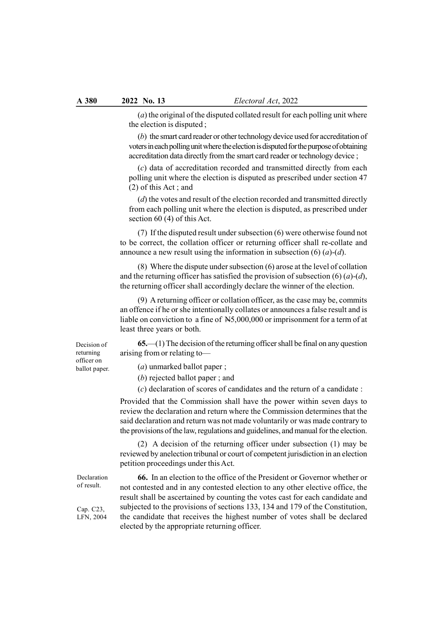(a) the original of the disputed collated result for each polling unit where the election is disputed ;

(b) the smart card reader or other technology device used for accreditation of voters in each polling unit where the election is disputed for the purpose of obtaining accreditation data directly from the smart card reader or technology device ;

(c) data of accreditation recorded and transmitted directly from each polling unit where the election is disputed as prescribed under section 47 (2) of this Act ; and

(d) the votes and result of the election recorded and transmitted directly from each polling unit where the election is disputed, as prescribed under section 60 (4) of this Act.

(7) If the disputed result under subsection (6) were otherwise found not to be correct, the collation officer or returning officer shall re-collate and announce a new result using the information in subsection  $(6)$   $(a)$ - $(d)$ .

(8) Where the dispute under subsection (6) arose at the level of collation and the returning officer has satisfied the provision of subsection  $(6)(a)-(d)$ , the returning officer shall accordingly declare the winner of the election.

(9) A returning officer or collation officer, as the case may be, commits an offence if he or she intentionally collates or announces a false result and is liable on conviction to a fine of N5,000,000 or imprisonment for a term of at least three years or both.

65.—(1) The decision of the returning officer shall be final on any question arising from or relating to—

(a) unmarked ballot paper ;

(b) rejected ballot paper ; and

(c) declaration of scores of candidates and the return of a candidate :

Provided that the Commission shall have the power within seven days to review the declaration and return where the Commission determines that the said declaration and return was not made voluntarily or was made contrary to the provisions of the law, regulations and guidelines, and manual for the election.

(2) A decision of the returning officer under subsection (1) may be reviewed by anelection tribunal or court of competent jurisdiction in an election petition proceedings under this Act.

66. In an election to the office of the President or Governor whether or not contested and in any contested election to any other elective office, the result shall be ascertained by counting the votes cast for each candidate and subjected to the provisions of sections 133, 134 and 179 of the Constitution, the candidate that receives the highest number of votes shall be declared elected by the appropriate returning officer.

Decision of returning officer on ballot paper.

Declaration of result.

Cap. C23, LFN, 2004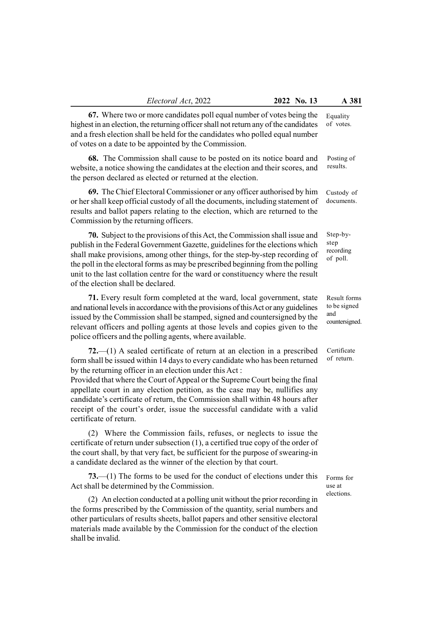67. Where two or more candidates poll equal number of votes being the highest in an election, the returning officer shall not return any of the candidates and a fresh election shall be held for the candidates who polled equal number of votes on a date to be appointed by the Commission.

68. The Commission shall cause to be posted on its notice board and website, a notice showing the candidates at the election and their scores, and the person declared as elected or returned at the election.

69. The Chief Electoral Commissioner or any officer authorised by him or her shall keep official custody of all the documents, including statement of results and ballot papers relating to the election, which are returned to the Commission by the returning officers.

70. Subject to the provisions of this Act, the Commission shall issue and publish in the Federal Government Gazette, guidelines for the elections which shall make provisions, among other things, for the step-by-step recording of the poll in the electoral forms as may be prescribed beginning from the polling unit to the last collation centre for the ward or constituency where the result of the election shall be declared.

71. Every result form completed at the ward, local government, state and national levels in accordance with the provisions of this Act or any guidelines issued by the Commission shall be stamped, signed and countersigned by the relevant officers and polling agents at those levels and copies given to the police officers and the polling agents, where available.

72.—(1) A sealed certificate of return at an election in a prescribed form shall be issued within 14 days to every candidate who has been returned by the returning officer in an election under this Act :

Provided that where the Court of Appeal or the Supreme Court being the final appellate court in any election petition, as the case may be, nullifies any candidate's certificate of return, the Commission shall within 48 hours after receipt of the court's order, issue the successful candidate with a valid certificate of return.

(2) Where the Commission fails, refuses, or neglects to issue the certificate of return under subsection (1), a certified true copy of the order of the court shall, by that very fact, be sufficient for the purpose of swearing-in a candidate declared as the winner of the election by that court.

73.—(1) The forms to be used for the conduct of elections under this Act shall be determined by the Commission.

(2) An election conducted at a polling unit without the prior recording in the forms prescribed by the Commission of the quantity, serial numbers and other particulars of results sheets, ballot papers and other sensitive electoral materials made available by the Commission for the conduct of the election shall be invalid.

Equality of votes.

> Posting of results.

Custody of documents.

Step-bystep recording of poll.

Result forms to be signed and countersigned.

**Certificate** of return.

Forms for use at elections.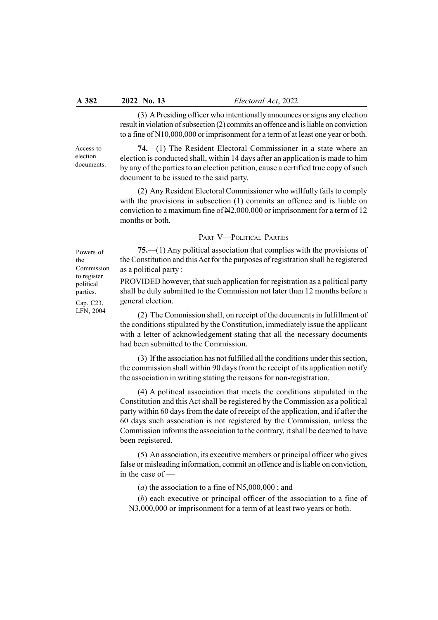(3) A Presiding officer who intentionally announces or signs any election result in violation of subsection (2) commits an offence and is liable on conviction to a fine of N10,000,000 or imprisonment for a term of at least one year or both.

Access to election documents.

74.—(1) The Resident Electoral Commissioner in a state where an election is conducted shall, within 14 days after an application is made to him by any of the parties to an election petition, cause a certified true copy of such document to be issued to the said party.

(2) Any Resident Electoral Commissioner who willfully fails to comply with the provisions in subsection (1) commits an offence and is liable on conviction to a maximum fine of N2,000,000 or imprisonment for a term of 12 months or both.

## PART V—POLITICAL PARTIES

75.—(1) Any political association that complies with the provisions of the Constitution and this Act for the purposes of registration shall be registered as a political party :

PROVIDED however, that such application for registration as a political party shall be duly submitted to the Commission not later than 12 months before a general election.

(2) The Commission shall, on receipt of the documents in fulfillment of the conditions stipulated by the Constitution, immediately issue the applicant with a letter of acknowledgement stating that all the necessary documents had been submitted to the Commission.

(3) If the association has not fulfilled all the conditions under this section, the commission shall within 90 days from the receipt of its application notify the association in writing stating the reasons for non-registration.

(4) A political association that meets the conditions stipulated in the Constitution and this Act shall be registered by the Commission as a political party within 60 days from the date of receipt of the application, and if after the 60 days such association is not registered by the Commission, unless the Commission informs the association to the contrary, it shall be deemed to have been registered.

(5) An association, its executive members or principal officer who gives false or misleading information, commit an offence and is liable on conviction, in the case of —

(*a*) the association to a fine of  $N5,000,000$ ; and

(b) each executive or principal officer of the association to a fine of N3,000,000 or imprisonment for a term of at least two years or both.

Powers of the Commission to register political parties. Cap. C23,

LFN, 2004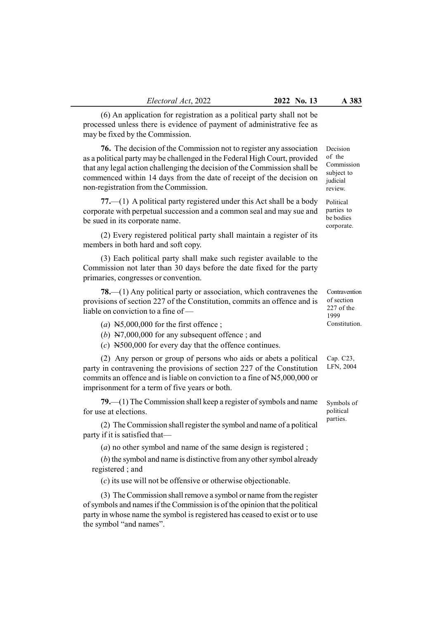(6) An application for registration as a political party shall not be processed unless there is evidence of payment of administrative fee as may be fixed by the Commission.

76. The decision of the Commission not to register any association as a political party may be challenged in the Federal High Court, provided that any legal action challenging the decision of the Commission shall be commenced within 14 days from the date of receipt of the decision on non-registration from the Commission.

77.—(1) A political party registered under this Act shall be a body corporate with perpetual succession and a common seal and may sue and be sued in its corporate name.

(2) Every registered political party shall maintain a register of its members in both hard and soft copy.

(3) Each political party shall make such register available to the Commission not later than 30 days before the date fixed for the party primaries, congresses or convention.

78.—(1) Any political party or association, which contravenes the provisions of section 227 of the Constitution, commits an offence and is liable on conviction to a fine of —

- (a)  $N5,000,000$  for the first offence;
- (b)  $N7,000,000$  for any subsequent offence; and
- (c) N500,000 for every day that the offence continues.

(2) Any person or group of persons who aids or abets a political party in contravening the provisions of section 227 of the Constitution commits an offence and is liable on conviction to a fine of N5,000,000 or imprisonment for a term of five years or both.

79.—(1) The Commission shall keep a register of symbols and name for use at elections.

(2) The Commission shall register the symbol and name of a political party if it is satisfied that—

(a) no other symbol and name of the same design is registered ;

(b) the symbol and name is distinctive from any other symbol already registered ; and

(c) its use will not be offensive or otherwise objectionable.

(3) The Commission shall remove a symbol or name from the register of symbols and names if the Commission is of the opinion that the political party in whose name the symbol is registered has ceased to exist or to use the symbol "and names".

Decision of the Commission subject to judicial review.

Political parties to be bodies corporate.

Contravention of section 227 of the 1999 Constitution.

Cap. C23, LFN, 2004

Symbols of political parties.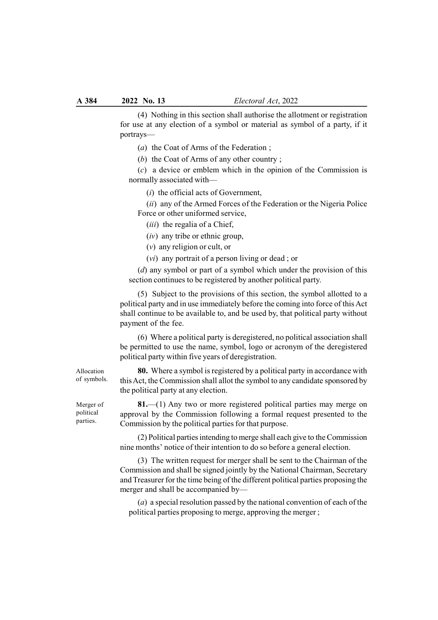(4) Nothing in this section shall authorise the allotment or registration for use at any election of a symbol or material as symbol of a party, if it portrays—

- (a) the Coat of Arms of the Federation ;
- (b) the Coat of Arms of any other country ;

(c) a device or emblem which in the opinion of the Commission is normally associated with—

(i) the official acts of Government,

(ii) any of the Armed Forces of the Federation or the Nigeria Police Force or other uniformed service,

- (*iii*) the regalia of a Chief,
- $(iv)$  any tribe or ethnic group,
- (v) any religion or cult, or

(vi) any portrait of a person living or dead ; or

 $(d)$  any symbol or part of a symbol which under the provision of this section continues to be registered by another political party.

(5) Subject to the provisions of this section, the symbol allotted to a political party and in use immediately before the coming into force of this Act shall continue to be available to, and be used by, that political party without payment of the fee.

(6) Where a political party is deregistered, no political association shall be permitted to use the name, symbol, logo or acronym of the deregistered political party within five years of deregistration.

80. Where a symbol is registered by a political party in accordance with this Act, the Commission shall allot the symbol to any candidate sponsored by the political party at any election.

81.—(1) Any two or more registered political parties may merge on approval by the Commission following a formal request presented to the Commission by the political parties for that purpose.

(2) Political parties intending to merge shall each give to the Commission nine months' notice of their intention to do so before a general election.

(3) The written request for merger shall be sent to the Chairman of the Commission and shall be signed jointly by the National Chairman, Secretary and Treasurer for the time being of the different political parties proposing the merger and shall be accompanied by—

(a) a special resolution passed by the national convention of each of the political parties proposing to merge, approving the merger ;

Allocation of symbols.

Merger of political parties.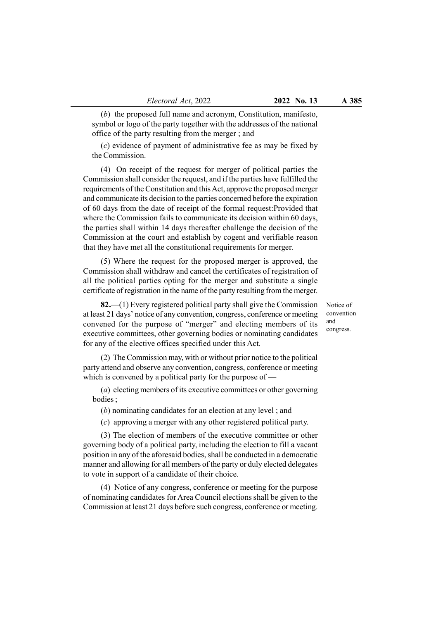(b) the proposed full name and acronym, Constitution, manifesto, symbol or logo of the party together with the addresses of the national office of the party resulting from the merger ; and

(c) evidence of payment of administrative fee as may be fixed by the Commission.

(4) On receipt of the request for merger of political parties the Commission shall consider the request, and if the parties have fulfilled the requirements of the Constitution and this Act, approve the proposed merger and communicate its decision to the parties concerned before the expiration of 60 days from the date of receipt of the formal request:Provided that where the Commission fails to communicate its decision within 60 days, the parties shall within 14 days thereafter challenge the decision of the Commission at the court and establish by cogent and verifiable reason that they have met all the constitutional requirements for merger.

(5) Where the request for the proposed merger is approved, the Commission shall withdraw and cancel the certificates of registration of all the political parties opting for the merger and substitute a single certificate of registration in the name of the party resulting from the merger.

82.—(1) Every registered political party shall give the Commission at least 21 days' notice of any convention, congress, conference or meeting convened for the purpose of "merger" and electing members of its executive committees, other governing bodies or nominating candidates for any of the elective offices specified under this Act.

(2) The Commission may, with or without prior notice to the political party attend and observe any convention, congress, conference or meeting which is convened by a political party for the purpose of —

(a) electing members of its executive committees or other governing bodies ;

(b) nominating candidates for an election at any level ; and

(c) approving a merger with any other registered political party.

(3) The election of members of the executive committee or other governing body of a political party, including the election to fill a vacant position in any of the aforesaid bodies, shall be conducted in a democratic manner and allowing for all members of the party or duly elected delegates to vote in support of a candidate of their choice.

(4) Notice of any congress, conference or meeting for the purpose of nominating candidates for Area Council elections shall be given to the Commission at least 21 days before such congress, conference or meeting.

Notice of convention and congress.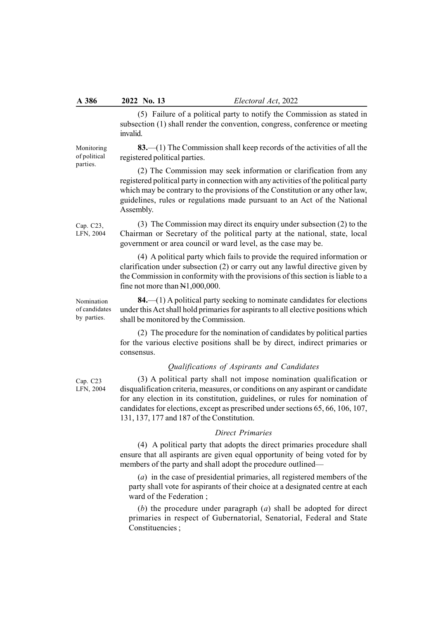(5) Failure of a political party to notify the Commission as stated in subsection (1) shall render the convention, congress, conference or meeting invalid.

83.—(1) The Commission shall keep records of the activities of all the registered political parties.

(2) The Commission may seek information or clarification from any registered political party in connection with any activities of the political party which may be contrary to the provisions of the Constitution or any other law, guidelines, rules or regulations made pursuant to an Act of the National Assembly.

(3) The Commission may direct its enquiry under subsection (2) to the Chairman or Secretary of the political party at the national, state, local government or area council or ward level, as the case may be.

(4) A political party which fails to provide the required information or clarification under subsection (2) or carry out any lawful directive given by the Commission in conformity with the provisions of this section is liable to a fine not more than N1,000,000.

84.—(1) A political party seeking to nominate candidates for elections under this Act shall hold primaries for aspirants to all elective positions which shall be monitored by the Commission.

(2) The procedure for the nomination of candidates by political parties for the various elective positions shall be by direct, indirect primaries or consensus.

## Qualifications of Aspirants and Candidates

(3) A political party shall not impose nomination qualification or disqualification criteria, measures, or conditions on any aspirant or candidate for any election in its constitution, guidelines, or rules for nomination of candidates for elections, except as prescribed under sections 65, 66, 106, 107, 131, 137, 177 and 187 of the Constitution.

## Direct Primaries

(4) A political party that adopts the direct primaries procedure shall ensure that all aspirants are given equal opportunity of being voted for by members of the party and shall adopt the procedure outlined—

(a) in the case of presidential primaries, all registered members of the party shall vote for aspirants of their choice at a designated centre at each ward of the Federation ;

(b) the procedure under paragraph  $(a)$  shall be adopted for direct primaries in respect of Gubernatorial, Senatorial, Federal and State Constituencies ;

Cap. C23, LFN, 2004

Nomination of candidates by parties.

Cap. C23 LFN, 2004

Monitoring of political parties.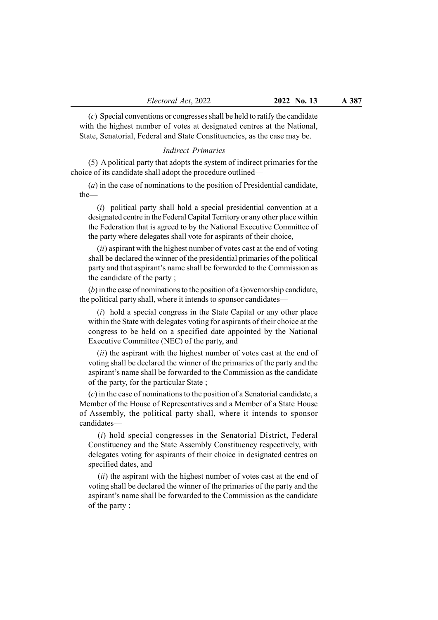(c) Special conventions or congresses shall be held to ratify the candidate with the highest number of votes at designated centres at the National, State, Senatorial, Federal and State Constituencies, as the case may be.

#### Indirect Primaries

(5) A political party that adopts the system of indirect primaries for the choice of its candidate shall adopt the procedure outlined—

(a) in the case of nominations to the position of Presidential candidate, the—

(i) political party shall hold a special presidential convention at a designated centre in the Federal Capital Territory or any other place within the Federation that is agreed to by the National Executive Committee of the party where delegates shall vote for aspirants of their choice,

 $(ii)$  aspirant with the highest number of votes cast at the end of voting shall be declared the winner of the presidential primaries of the political party and that aspirant's name shall be forwarded to the Commission as the candidate of the party ;

(b) in the case of nominations to the position of a Governorship candidate, the political party shall, where it intends to sponsor candidates—

 $(i)$  hold a special congress in the State Capital or any other place within the State with delegates voting for aspirants of their choice at the congress to be held on a specified date appointed by the National Executive Committee (NEC) of the party, and

 $(ii)$  the aspirant with the highest number of votes cast at the end of voting shall be declared the winner of the primaries of the party and the aspirant's name shall be forwarded to the Commission as the candidate of the party, for the particular State ;

(c) in the case of nominations to the position of a Senatorial candidate, a Member of the House of Representatives and a Member of a State House of Assembly, the political party shall, where it intends to sponsor candidates—

(i) hold special congresses in the Senatorial District, Federal Constituency and the State Assembly Constituency respectively, with delegates voting for aspirants of their choice in designated centres on specified dates, and

(*ii*) the aspirant with the highest number of votes cast at the end of voting shall be declared the winner of the primaries of the party and the aspirant's name shall be forwarded to the Commission as the candidate of the party ;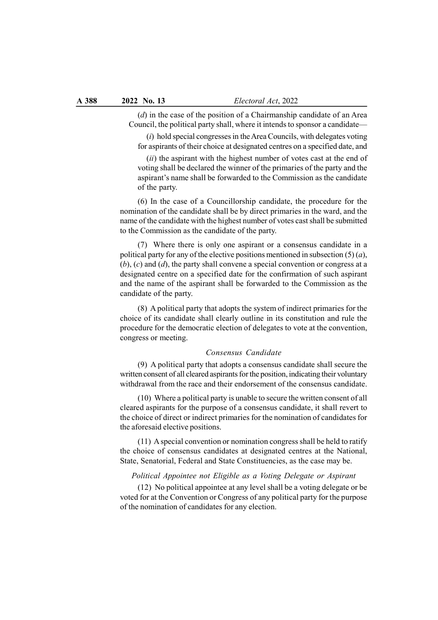$(d)$  in the case of the position of a Chairmanship candidate of an Area Council, the political party shall, where it intends to sponsor a candidate—

 $(i)$  hold special congresses in the Area Councils, with delegates voting for aspirants of their choice at designated centres on a specified date, and

 $(ii)$  the aspirant with the highest number of votes cast at the end of voting shall be declared the winner of the primaries of the party and the aspirant's name shall be forwarded to the Commission as the candidate of the party.

(6) In the case of a Councillorship candidate, the procedure for the nomination of the candidate shall be by direct primaries in the ward, and the name of the candidate with the highest number of votes cast shall be submitted to the Commission as the candidate of the party.

(7) Where there is only one aspirant or a consensus candidate in a political party for any of the elective positions mentioned in subsection  $(5)(a)$ ,  $(b)$ ,  $(c)$  and  $(d)$ , the party shall convene a special convention or congress at a designated centre on a specified date for the confirmation of such aspirant and the name of the aspirant shall be forwarded to the Commission as the candidate of the party.

(8) A political party that adopts the system of indirect primaries for the choice of its candidate shall clearly outline in its constitution and rule the procedure for the democratic election of delegates to vote at the convention, congress or meeting.

# Consensus Candidate

(9) A political party that adopts a consensus candidate shall secure the written consent of all cleared aspirants for the position, indicating their voluntary withdrawal from the race and their endorsement of the consensus candidate.

(10) Where a political party is unable to secure the written consent of all cleared aspirants for the purpose of a consensus candidate, it shall revert to the choice of direct or indirect primaries for the nomination of candidates for the aforesaid elective positions.

(11) A special convention or nomination congress shall be held to ratify the choice of consensus candidates at designated centres at the National, State, Senatorial, Federal and State Constituencies, as the case may be.

## Political Appointee not Eligible as a Voting Delegate or Aspirant

(12) No political appointee at any level shall be a voting delegate or be voted for at the Convention or Congress of any political party for the purpose of the nomination of candidates for any election.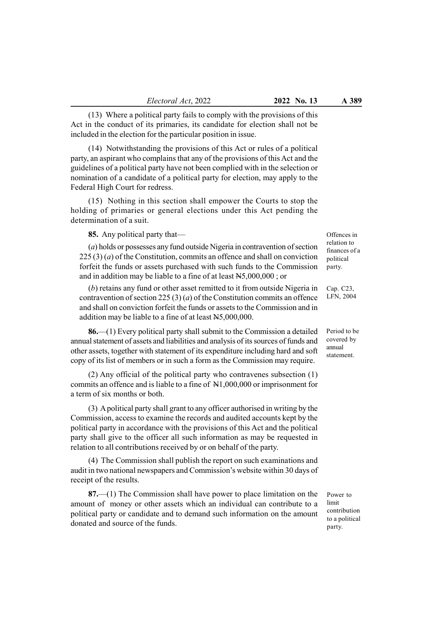(13) Where a political party fails to comply with the provisions of this Act in the conduct of its primaries, its candidate for election shall not be included in the election for the particular position in issue.

(14) Notwithstanding the provisions of this Act or rules of a political party, an aspirant who complains that any of the provisions of this Act and the guidelines of a political party have not been complied with in the selection or nomination of a candidate of a political party for election, may apply to the Federal High Court for redress.

(15) Nothing in this section shall empower the Courts to stop the holding of primaries or general elections under this Act pending the determination of a suit.

85. Any political party that—

(a) holds or possesses any fund outside Nigeria in contravention of section  $225(3)(a)$  of the Constitution, commits an offence and shall on conviction forfeit the funds or assets purchased with such funds to the Commission and in addition may be liable to a fine of at least N5,000,000 ; or

(b) retains any fund or other asset remitted to it from outside Nigeria in contravention of section 225 (3) (*a*) of the Constitution commits an offence and shall on conviction forfeit the funds or assets to the Commission and in addition may be liable to a fine of at least N5,000,000.

86.—(1) Every political party shall submit to the Commission a detailed annual statement of assets and liabilities and analysis of its sources of funds and other assets, together with statement of its expenditure including hard and soft copy of its list of members or in such a form as the Commission may require.

(2) Any official of the political party who contravenes subsection (1) commits an offence and is liable to a fine of N1,000,000 or imprisonment for a term of six months or both.

(3) A political party shall grant to any officer authorised in writing by the Commission, access to examine the records and audited accounts kept by the political party in accordance with the provisions of this Act and the political party shall give to the officer all such information as may be requested in relation to all contributions received by or on behalf of the party.

(4) The Commission shall publish the report on such examinations and audit in two national newspapers and Commission's website within 30 days of receipt of the results.

87.—(1) The Commission shall have power to place limitation on the amount of money or other assets which an individual can contribute to a political party or candidate and to demand such information on the amount donated and source of the funds.

Offences in relation to finances of a political party.

Cap. C23, LFN, 2004

Period to be covered by annual statement.

Power to limit contribution to a political party.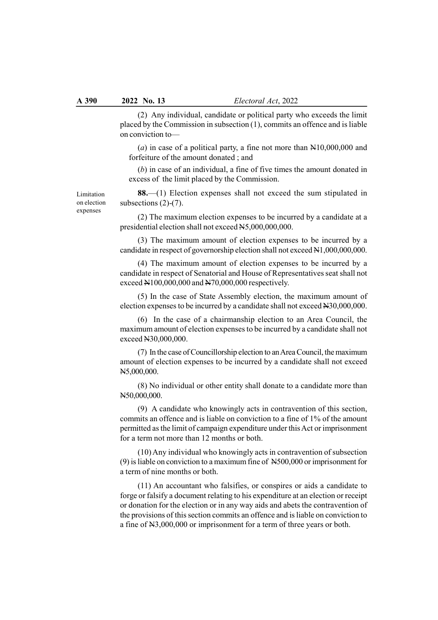(2) Any individual, candidate or political party who exceeds the limit placed by the Commission in subsection (1), commits an offence and is liable on conviction to—

(a) in case of a political party, a fine not more than  $N10,000,000$  and forfeiture of the amount donated ; and

(b) in case of an individual, a fine of five times the amount donated in excess of the limit placed by the Commission.

88.—(1) Election expenses shall not exceed the sum stipulated in subsections (2)-(7).

(2) The maximum election expenses to be incurred by a candidate at a presidential election shall not exceed N5,000,000,000.

(3) The maximum amount of election expenses to be incurred by a candidate in respect of governorship election shall not exceed N1,000,000,000.

(4) The maximum amount of election expenses to be incurred by a candidate in respect of Senatorial and House of Representatives seat shall not exceed N100,000,000 and N70,000,000 respectively.

(5) In the case of State Assembly election, the maximum amount of election expenses to be incurred by a candidate shall not exceed N30,000,000.

(6) In the case of a chairmanship election to an Area Council, the maximum amount of election expenses to be incurred by a candidate shall not exceed N30,000,000.

(7) In the case of Councillorship election to an Area Council, the maximum amount of election expenses to be incurred by a candidate shall not exceed N5,000,000.

(8) No individual or other entity shall donate to a candidate more than N50,000,000.

(9) A candidate who knowingly acts in contravention of this section, commits an offence and is liable on conviction to a fine of 1% of the amount permitted as the limit of campaign expenditure under this Act or imprisonment for a term not more than 12 months or both.

(10) Any individual who knowingly acts in contravention of subsection (9) is liable on conviction to a maximum fine of N500,000 or imprisonment for a term of nine months or both.

(11) An accountant who falsifies, or conspires or aids a candidate to forge or falsify a document relating to his expenditure at an election or receipt or donation for the election or in any way aids and abets the contravention of the provisions of this section commits an offence and is liable on conviction to a fine of N3,000,000 or imprisonment for a term of three years or both.

Limitation on election expenses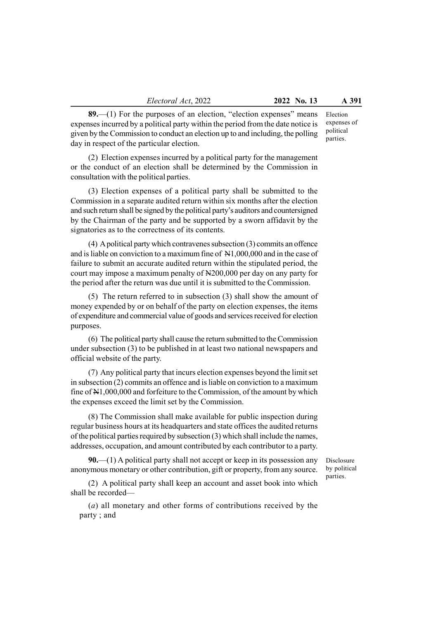Electoral Act, 2022 2022 No. 13 A 391

89.—(1) For the purposes of an election, "election expenses" means expenses incurred by a political party within the period from the date notice is given by the Commission to conduct an election up to and including, the polling day in respect of the particular election. expenses of political parties.

(2) Election expenses incurred by a political party for the management or the conduct of an election shall be determined by the Commission in consultation with the political parties.

(3) Election expenses of a political party shall be submitted to the Commission in a separate audited return within six months after the election and such return shall be signed by the political party's auditors and countersigned by the Chairman of the party and be supported by a sworn affidavit by the signatories as to the correctness of its contents.

(4) A political party which contravenes subsection (3) commits an offence and is liable on conviction to a maximum fine of N1,000,000 and in the case of failure to submit an accurate audited return within the stipulated period, the court may impose a maximum penalty of N200,000 per day on any party for the period after the return was due until it is submitted to the Commission.

(5) The return referred to in subsection (3) shall show the amount of money expended by or on behalf of the party on election expenses, the items of expenditure and commercial value of goods and services received for election purposes.

(6) The political party shall cause the return submitted to the Commission under subsection (3) to be published in at least two national newspapers and official website of the party.

(7) Any political party that incurs election expenses beyond the limit set in subsection (2) commits an offence and is liable on conviction to a maximum fine of N1,000,000 and forfeiture to the Commission, of the amount by which the expenses exceed the limit set by the Commission.

(8) The Commission shall make available for public inspection during regular business hours at its headquarters and state offices the audited returns of the political parties required by subsection (3) which shall include the names, addresses, occupation, and amount contributed by each contributor to a party.

 $90.$ —(1) A political party shall not accept or keep in its possession any anonymous monetary or other contribution, gift or property, from any source.

Disclosure by political parties.

(2) A political party shall keep an account and asset book into which shall be recorded—

(a) all monetary and other forms of contributions received by the party ; and

Election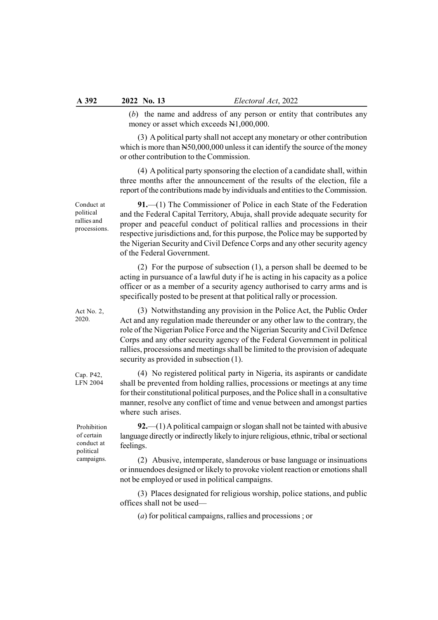(b) the name and address of any person or entity that contributes any money or asset which exceeds N1,000,000.

(3) A political party shall not accept any monetary or other contribution which is more than N50,000,000 unless it can identify the source of the money or other contribution to the Commission.

(4) A political party sponsoring the election of a candidate shall, within three months after the announcement of the results of the election, file a report of the contributions made by individuals and entities to the Commission.

91.—(1) The Commissioner of Police in each State of the Federation and the Federal Capital Territory, Abuja, shall provide adequate security for proper and peaceful conduct of political rallies and processions in their respective jurisdictions and, for this purpose, the Police may be supported by the Nigerian Security and Civil Defence Corps and any other security agency of the Federal Government.

(2) For the purpose of subsection (1), a person shall be deemed to be acting in pursuance of a lawful duty if he is acting in his capacity as a police officer or as a member of a security agency authorised to carry arms and is specifically posted to be present at that political rally or procession.

(3) Notwithstanding any provision in the Police Act, the Public Order Act and any regulation made thereunder or any other law to the contrary, the role of the Nigerian Police Force and the Nigerian Security and Civil Defence Corps and any other security agency of the Federal Government in political rallies, processions and meetings shall be limited to the provision of adequate security as provided in subsection (1).

(4) No registered political party in Nigeria, its aspirants or candidate shall be prevented from holding rallies, processions or meetings at any time for their constitutional political purposes, and the Police shall in a consultative manner, resolve any conflict of time and venue between and amongst parties where such arises.

Prohibition of certain conduct at political campaigns.

92.—(1) A political campaign or slogan shall not be tainted with abusive language directly or indirectly likely to injure religious, ethnic, tribal or sectional feelings.

(2) Abusive, intemperate, slanderous or base language or insinuations or innuendoes designed or likely to provoke violent reaction or emotions shall not be employed or used in political campaigns.

(3) Places designated for religious worship, police stations, and public offices shall not be used—

(a) for political campaigns, rallies and processions ; or

Conduct at political rallies and processions.

Act No. 2, 2020.

Cap. P42,

LFN 2004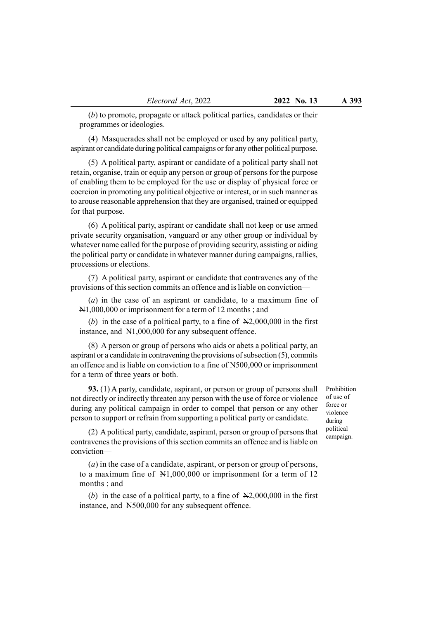(b) to promote, propagate or attack political parties, candidates or their programmes or ideologies.

(4) Masquerades shall not be employed or used by any political party, aspirant or candidate during political campaigns or for any other political purpose.

(5) A political party, aspirant or candidate of a political party shall not retain, organise, train or equip any person or group of persons for the purpose of enabling them to be employed for the use or display of physical force or coercion in promoting any political objective or interest, or in such manner as to arouse reasonable apprehension that they are organised, trained or equipped for that purpose.

(6) A political party, aspirant or candidate shall not keep or use armed private security organisation, vanguard or any other group or individual by whatever name called for the purpose of providing security, assisting or aiding the political party or candidate in whatever manner during campaigns, rallies, processions or elections.

(7) A political party, aspirant or candidate that contravenes any of the provisions of this section commits an offence and is liable on conviction—

(a) in the case of an aspirant or candidate, to a maximum fine of N1,000,000 or imprisonment for a term of 12 months ; and

(b) in the case of a political party, to a fine of  $N2,000,000$  in the first instance, and N1,000,000 for any subsequent offence.

(8) A person or group of persons who aids or abets a political party, an aspirant or a candidate in contravening the provisions of subsection (5), commits an offence and is liable on conviction to a fine of N500,000 or imprisonment for a term of three years or both.

93. (1) A party, candidate, aspirant, or person or group of persons shall not directly or indirectly threaten any person with the use of force or violence during any political campaign in order to compel that person or any other person to support or refrain from supporting a political party or candidate.

Prohibition of use of force or violence during political campaign.

(2) A political party, candidate, aspirant, person or group of persons that contravenes the provisions of this section commits an offence and is liable on conviction—

 $(a)$  in the case of a candidate, aspirant, or person or group of persons, to a maximum fine of N1,000,000 or imprisonment for a term of 12 months ; and

(b) in the case of a political party, to a fine of  $N2,000,000$  in the first instance, and N500,000 for any subsequent offence.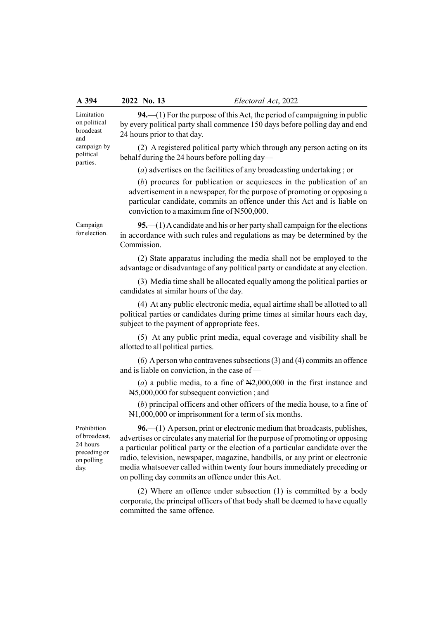|  | A 394 | 2022 No. 13 | Electoral Act, 2022 |
|--|-------|-------------|---------------------|
|--|-------|-------------|---------------------|

Limitation on political broadcast and campaign by political parties.

94.—(1) For the purpose of this Act, the period of campaigning in public by every political party shall commence 150 days before polling day and end 24 hours prior to that day.

(2) A registered political party which through any person acting on its behalf during the 24 hours before polling day—

(a) advertises on the facilities of any broadcasting undertaking ; or

(b) procures for publication or acquiesces in the publication of an advertisement in a newspaper, for the purpose of promoting or opposing a particular candidate, commits an offence under this Act and is liable on conviction to a maximum fine of N500,000.

Campaign for election.

95.—(1) A candidate and his or her party shall campaign for the elections in accordance with such rules and regulations as may be determined by the Commission.

(2) State apparatus including the media shall not be employed to the advantage or disadvantage of any political party or candidate at any election.

(3) Media time shall be allocated equally among the political parties or candidates at similar hours of the day.

(4) At any public electronic media, equal airtime shall be allotted to all political parties or candidates during prime times at similar hours each day, subject to the payment of appropriate fees.

(5) At any public print media, equal coverage and visibility shall be allotted to all political parties.

(6) A person who contravenes subsections (3) and (4) commits an offence and is liable on conviction, in the case of —

(a) a public media, to a fine of  $N2,000,000$  in the first instance and N5,000,000 for subsequent conviction ; and

(b) principal officers and other officers of the media house, to a fine of N1,000,000 or imprisonment for a term of six months.

Prohibition of broadcast, 24 hours preceding or on polling day.

96.—(1) A person, print or electronic medium that broadcasts, publishes, advertises or circulates any material for the purpose of promoting or opposing a particular political party or the election of a particular candidate over the radio, television, newspaper, magazine, handbills, or any print or electronic media whatsoever called within twenty four hours immediately preceding or on polling day commits an offence under this Act.

(2) Where an offence under subsection (1) is committed by a body corporate, the principal officers of that body shall be deemed to have equally committed the same offence.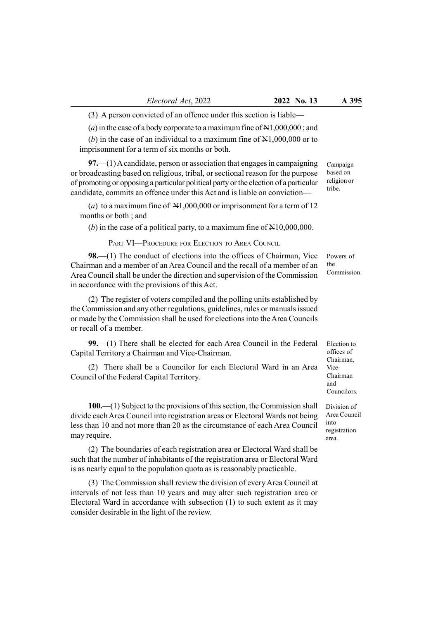(3) A person convicted of an offence under this section is liable—

(a) in the case of a body corporate to a maximum fine of  $N1,000,000$ ; and

(b) in the case of an individual to a maximum fine of  $N1,000,000$  or to imprisonment for a term of six months or both.

97.—(1) A candidate, person or association that engages in campaigning or broadcasting based on religious, tribal, or sectional reason for the purpose of promoting or opposing a particular political party or the election of a particular candidate, commits an offence under this Act and is liable on conviction—

(a) to a maximum fine of  $N1,000,000$  or imprisonment for a term of 12 months or both ; and

(b) in the case of a political party, to a maximum fine of  $N10,000,000$ .

PART VI—PROCEDURE FOR ELECTION TO AREA COUNCIL

98.—(1) The conduct of elections into the offices of Chairman, Vice Chairman and a member of an Area Council and the recall of a member of an Area Council shall be under the direction and supervision of the Commission in accordance with the provisions of this Act.

(2) The register of voters compiled and the polling units established by the Commission and any other regulations, guidelines, rules or manuals issued or made by the Commission shall be used for elections into the Area Councils or recall of a member.

99.—(1) There shall be elected for each Area Council in the Federal Capital Territory a Chairman and Vice-Chairman.

(2) There shall be a Councilor for each Electoral Ward in an Area Council of the Federal Capital Territory.

Campaign based on religion or tribe.

Powers of the Commission.

Election to offices of Chairman, Vice-Chairman and Councilors.

Division of Area Council into registration area.

100.—(1) Subject to the provisions of this section, the Commission shall divide each Area Council into registration areas or Electoral Wards not being less than 10 and not more than 20 as the circumstance of each Area Council may require.

(2) The boundaries of each registration area or Electoral Ward shall be such that the number of inhabitants of the registration area or Electoral Ward is as nearly equal to the population quota as is reasonably practicable.

(3) The Commission shall review the division of every Area Council at intervals of not less than 10 years and may alter such registration area or Electoral Ward in accordance with subsection (1) to such extent as it may consider desirable in the light of the review.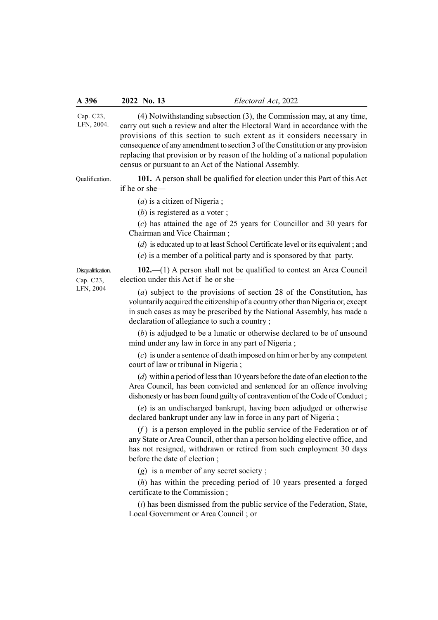(4) Notwithstanding subsection (3), the Commission may, at any time, carry out such a review and alter the Electoral Ward in accordance with the provisions of this section to such extent as it considers necessary in consequence of any amendment to section 3 of the Constitution or any provision replacing that provision or by reason of the holding of a national population census or pursuant to an Act of the National Assembly. 101. A person shall be qualified for election under this Part of this Act if he or she—  $(a)$  is a citizen of Nigeria; (b) is registered as a voter ; Cap. C23, LFN, 2004. Qualification.

(c) has attained the age of 25 years for Councillor and 30 years for Chairman and Vice Chairman ;

(d) is educated up to at least School Certificate level or its equivalent ; and

(e) is a member of a political party and is sponsored by that party.

Disqualification. Cap. C23, LFN, 2004

102.—(1) A person shall not be qualified to contest an Area Council election under this Act if he or she—

(a) subject to the provisions of section 28 of the Constitution, has voluntarily acquired the citizenship of a country other than Nigeria or, except in such cases as may be prescribed by the National Assembly, has made a declaration of allegiance to such a country ;

(b) is adjudged to be a lunatic or otherwise declared to be of unsound mind under any law in force in any part of Nigeria ;

(c) is under a sentence of death imposed on him or her by any competent court of law or tribunal in Nigeria ;

(d) within a period of less than 10 years before the date of an election to the Area Council, has been convicted and sentenced for an offence involving dishonesty or has been found guilty of contravention of the Code of Conduct ;

(e) is an undischarged bankrupt, having been adjudged or otherwise declared bankrupt under any law in force in any part of Nigeria ;

 $(f)$  is a person employed in the public service of the Federation or of any State or Area Council, other than a person holding elective office, and has not resigned, withdrawn or retired from such employment 30 days before the date of election ;

(g) is a member of any secret society ;

(h) has within the preceding period of 10 years presented a forged certificate to the Commission ;

 $(i)$  has been dismissed from the public service of the Federation, State, Local Government or Area Council ; or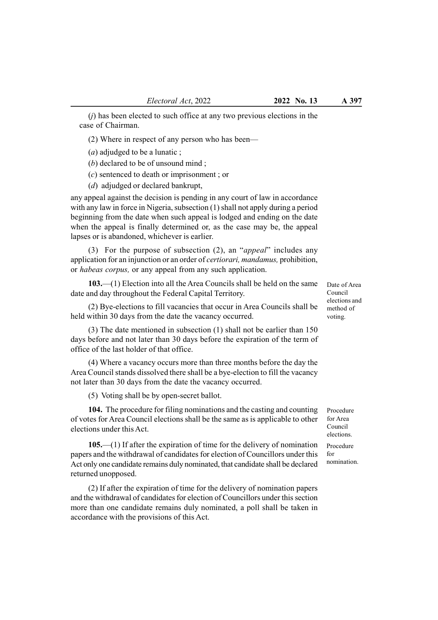$(i)$  has been elected to such office at any two previous elections in the case of Chairman.

(2) Where in respect of any person who has been—

 $(a)$  adjudged to be a lunatic :

(b) declared to be of unsound mind ;

(c) sentenced to death or imprisonment ; or

(d) adjudged or declared bankrupt,

any appeal against the decision is pending in any court of law in accordance with any law in force in Nigeria, subsection (1) shall not apply during a period beginning from the date when such appeal is lodged and ending on the date when the appeal is finally determined or, as the case may be, the appeal lapses or is abandoned, whichever is earlier.

(3) For the purpose of subsection (2), an "appeal" includes any application for an injunction or an order of certiorari, mandamus, prohibition, or habeas corpus, or any appeal from any such application.

103.—(1) Election into all the Area Councils shall be held on the same date and day throughout the Federal Capital Territory.

(2) Bye-elections to fill vacancies that occur in Area Councils shall be held within 30 days from the date the vacancy occurred.

(3) The date mentioned in subsection (1) shall not be earlier than 150 days before and not later than 30 days before the expiration of the term of office of the last holder of that office.

(4) Where a vacancy occurs more than three months before the day the Area Council stands dissolved there shall be a bye-election to fill the vacancy not later than 30 days from the date the vacancy occurred.

(5) Voting shall be by open-secret ballot.

104. The procedure for filing nominations and the casting and counting of votes for Area Council elections shall be the same as is applicable to other elections under this Act.

105.—(1) If after the expiration of time for the delivery of nomination papers and the withdrawal of candidates for election of Councillors under this Act only one candidate remains duly nominated, that candidate shall be declared returned unopposed.

(2) If after the expiration of time for the delivery of nomination papers and the withdrawal of candidates for election of Councillors under this section more than one candidate remains duly nominated, a poll shall be taken in accordance with the provisions of this Act.

Date of Area Council elections and method of voting.

Procedure for Area Council elections.

Procedure for nomination.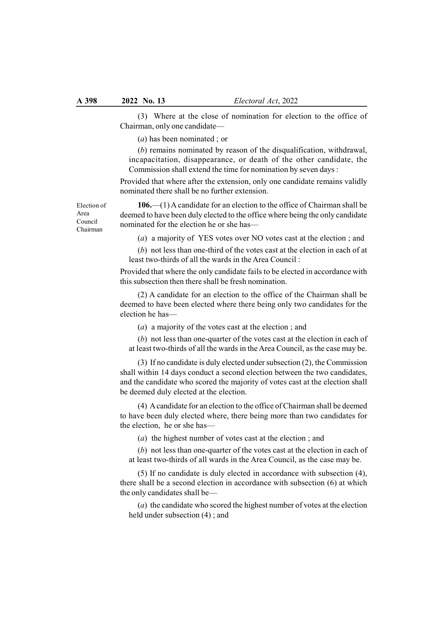(3) Where at the close of nomination for election to the office of Chairman, only one candidate—

(a) has been nominated ; or

(b) remains nominated by reason of the disqualification, withdrawal, incapacitation, disappearance, or death of the other candidate, the Commission shall extend the time for nomination by seven days :

Provided that where after the extension, only one candidate remains validly nominated there shall be no further extension.

Election of Area Council Chairman

106.—(1) A candidate for an election to the office of Chairman shall be deemed to have been duly elected to the office where being the only candidate nominated for the election he or she has—

(a) a majority of YES votes over NO votes cast at the election ; and

(b) not less than one-third of the votes cast at the election in each of at least two-thirds of all the wards in the Area Council :

Provided that where the only candidate fails to be elected in accordance with this subsection then there shall be fresh nomination.

(2) A candidate for an election to the office of the Chairman shall be deemed to have been elected where there being only two candidates for the election he has—

(a) a majority of the votes cast at the election ; and

(b) not less than one-quarter of the votes cast at the election in each of at least two-thirds of all the wards in the Area Council, as the case may be.

(3) If no candidate is duly elected under subsection (2), the Commission shall within 14 days conduct a second election between the two candidates, and the candidate who scored the majority of votes cast at the election shall be deemed duly elected at the election.

(4) A candidate for an election to the office of Chairman shall be deemed to have been duly elected where, there being more than two candidates for the election, he or she has—

(a) the highest number of votes cast at the election ; and

(b) not less than one-quarter of the votes cast at the election in each of at least two-thirds of all wards in the Area Council, as the case may be.

(5) If no candidate is duly elected in accordance with subsection (4), there shall be a second election in accordance with subsection (6) at which the only candidates shall be—

(a) the candidate who scored the highest number of votes at the election held under subsection (4) ; and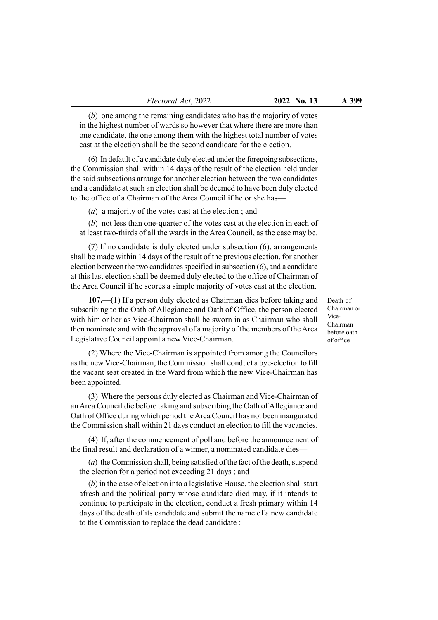(b) one among the remaining candidates who has the majority of votes in the highest number of wards so however that where there are more than one candidate, the one among them with the highest total number of votes cast at the election shall be the second candidate for the election.

(6) In default of a candidate duly elected under the foregoing subsections, the Commission shall within 14 days of the result of the election held under the said subsections arrange for another election between the two candidates and a candidate at such an election shall be deemed to have been duly elected to the office of a Chairman of the Area Council if he or she has—

(a) a majority of the votes cast at the election ; and

(b) not less than one-quarter of the votes cast at the election in each of at least two-thirds of all the wards in the Area Council, as the case may be.

(7) If no candidate is duly elected under subsection (6), arrangements shall be made within 14 days of the result of the previous election, for another election between the two candidates specified in subsection (6), and a candidate at this last election shall be deemed duly elected to the office of Chairman of the Area Council if he scores a simple majority of votes cast at the election.

107.—(1) If a person duly elected as Chairman dies before taking and subscribing to the Oath of Allegiance and Oath of Office, the person elected with him or her as Vice-Chairman shall be sworn in as Chairman who shall then nominate and with the approval of a majority of the members of the Area Legislative Council appoint a new Vice-Chairman.

(2) Where the Vice-Chairman is appointed from among the Councilors as the new Vice-Chairman, the Commission shall conduct a bye-election to fill the vacant seat created in the Ward from which the new Vice-Chairman has been appointed.

(3) Where the persons duly elected as Chairman and Vice-Chairman of an Area Council die before taking and subscribing the Oath of Allegiance and Oath of Office during which period the Area Council has not been inaugurated the Commission shall within 21 days conduct an election to fill the vacancies.

(4) If, after the commencement of poll and before the announcement of the final result and declaration of a winner, a nominated candidate dies—

(a) the Commission shall, being satisfied of the fact of the death, suspend the election for a period not exceeding 21 days ; and

(b) in the case of election into a legislative House, the election shall start afresh and the political party whose candidate died may, if it intends to continue to participate in the election, conduct a fresh primary within 14 days of the death of its candidate and submit the name of a new candidate to the Commission to replace the dead candidate :

Death of Chairman or Vice-Chairman before oath of office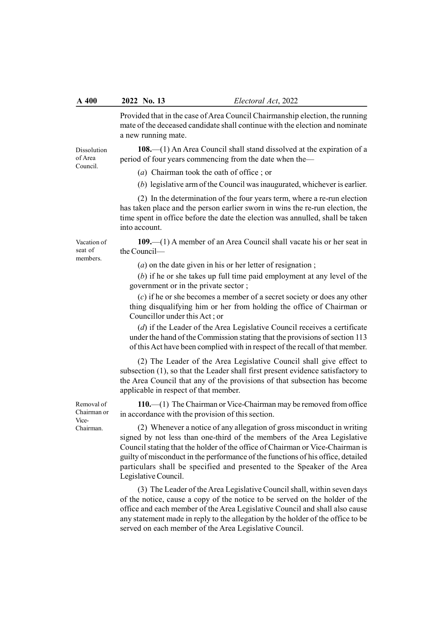## A 400 2022 No. 13 Electoral Act, 2022

Provided that in the case of Area Council Chairmanship election, the running mate of the deceased candidate shall continue with the election and nominate a new running mate.

108.—(1) An Area Council shall stand dissolved at the expiration of a period of four years commencing from the date when the—

(a) Chairman took the oath of office ; or

(b) legislative arm of the Council was inaugurated, whichever is earlier.

(2) In the determination of the four years term, where a re-run election has taken place and the person earlier sworn in wins the re-run election, the time spent in office before the date the election was annulled, shall be taken into account.

109.—(1) A member of an Area Council shall vacate his or her seat in the Council—

(a) on the date given in his or her letter of resignation ;

(b) if he or she takes up full time paid employment at any level of the government or in the private sector ;

(c) if he or she becomes a member of a secret society or does any other thing disqualifying him or her from holding the office of Chairman or Councillor under this Act ; or

(d) if the Leader of the Area Legislative Council receives a certificate under the hand of the Commission stating that the provisions of section 113 of this Act have been complied with in respect of the recall of that member.

(2) The Leader of the Area Legislative Council shall give effect to subsection (1), so that the Leader shall first present evidence satisfactory to the Area Council that any of the provisions of that subsection has become applicable in respect of that member.

110.—(1) The Chairman or Vice-Chairman may be removed from office in accordance with the provision of this section.

(2) Whenever a notice of any allegation of gross misconduct in writing signed by not less than one-third of the members of the Area Legislative Council stating that the holder of the office of Chairman or Vice-Chairman is guilty of misconduct in the performance of the functions of his office, detailed particulars shall be specified and presented to the Speaker of the Area Legislative Council.

(3) The Leader of the Area Legislative Council shall, within seven days of the notice, cause a copy of the notice to be served on the holder of the office and each member of the Area Legislative Council and shall also cause any statement made in reply to the allegation by the holder of the office to be served on each member of the Area Legislative Council.

Removal of Chairman or Vice-Chairman.

Dissolution of Area Council.

Vacation of seat of members.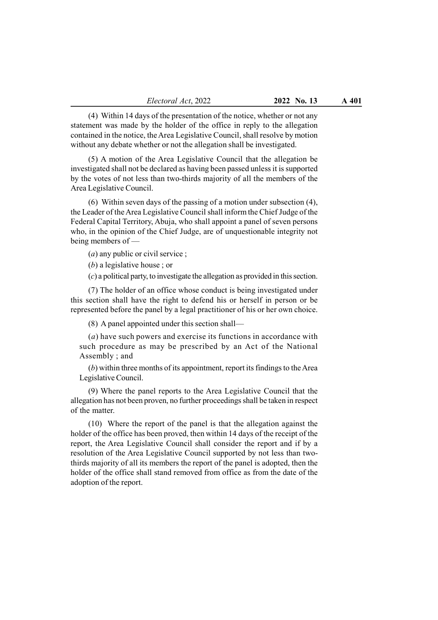Electoral Act, 2022 2022 No. 13 A 401

(4) Within 14 days of the presentation of the notice, whether or not any statement was made by the holder of the office in reply to the allegation contained in the notice, the Area Legislative Council, shall resolve by motion without any debate whether or not the allegation shall be investigated.

(5) A motion of the Area Legislative Council that the allegation be investigated shall not be declared as having been passed unless it is supported by the votes of not less than two-thirds majority of all the members of the Area Legislative Council.

(6) Within seven days of the passing of a motion under subsection (4), the Leader of the Area Legislative Council shall inform the Chief Judge of the Federal Capital Territory, Abuja, who shall appoint a panel of seven persons who, in the opinion of the Chief Judge, are of unquestionable integrity not being members of —

(a) any public or civil service ;

(b) a legislative house ; or

(c) a political party, to investigate the allegation as provided in this section.

(7) The holder of an office whose conduct is being investigated under this section shall have the right to defend his or herself in person or be represented before the panel by a legal practitioner of his or her own choice.

(8) A panel appointed under this section shall—

(a) have such powers and exercise its functions in accordance with such procedure as may be prescribed by an Act of the National Assembly ; and

(b) within three months of its appointment, report its findings to the Area Legislative Council.

(9) Where the panel reports to the Area Legislative Council that the allegation has not been proven, no further proceedings shall be taken in respect of the matter.

(10) Where the report of the panel is that the allegation against the holder of the office has been proved, then within 14 days of the receipt of the report, the Area Legislative Council shall consider the report and if by a resolution of the Area Legislative Council supported by not less than twothirds majority of all its members the report of the panel is adopted, then the holder of the office shall stand removed from office as from the date of the adoption of the report.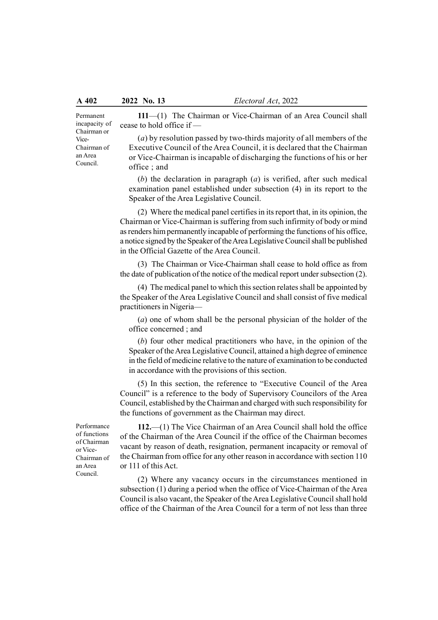Permanent incapacity of Chairman or Vice-Chairman of an Area Council.

111—(1) The Chairman or Vice-Chairman of an Area Council shall cease to hold office if —

 $(a)$  by resolution passed by two-thirds majority of all members of the Executive Council of the Area Council, it is declared that the Chairman or Vice-Chairman is incapable of discharging the functions of his or her office ; and

(b) the declaration in paragraph  $(a)$  is verified, after such medical examination panel established under subsection (4) in its report to the Speaker of the Area Legislative Council.

(2) Where the medical panel certifies in its report that, in its opinion, the Chairman or Vice-Chairman is suffering from such infirmity of body or mind as renders him permanently incapable of performing the functions of his office, a notice signed by the Speaker of the Area Legislative Council shall be published in the Official Gazette of the Area Council.

(3) The Chairman or Vice-Chairman shall cease to hold office as from the date of publication of the notice of the medical report under subsection (2).

(4) The medical panel to which this section relates shall be appointed by the Speaker of the Area Legislative Council and shall consist of five medical practitioners in Nigeria—

(a) one of whom shall be the personal physician of the holder of the office concerned ; and

(b) four other medical practitioners who have, in the opinion of the Speaker of the Area Legislative Council, attained a high degree of eminence in the field of medicine relative to the nature of examination to be conducted in accordance with the provisions of this section.

(5) In this section, the reference to "Executive Council of the Area Council" is a reference to the body of Supervisory Councilors of the Area Council, established by the Chairman and charged with such responsibility for the functions of government as the Chairman may direct.

Performance of functions of Chairman or Vice-Chairman of an Area Council.

112.—(1) The Vice Chairman of an Area Council shall hold the office of the Chairman of the Area Council if the office of the Chairman becomes vacant by reason of death, resignation, permanent incapacity or removal of the Chairman from office for any other reason in accordance with section 110 or 111 of this Act.

(2) Where any vacancy occurs in the circumstances mentioned in subsection (1) during a period when the office of Vice-Chairman of the Area Council is also vacant, the Speaker of the Area Legislative Council shall hold office of the Chairman of the Area Council for a term of not less than three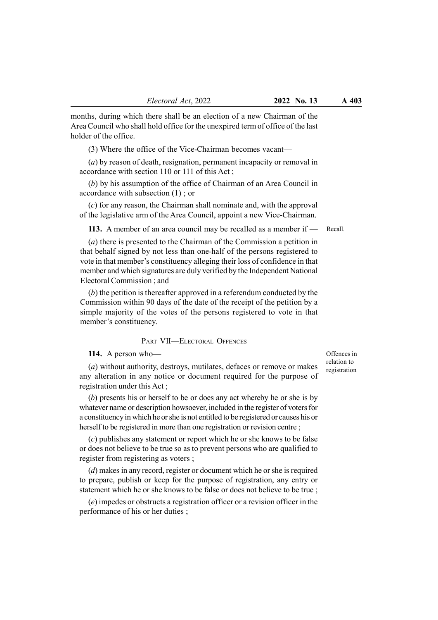months, during which there shall be an election of a new Chairman of the Area Council who shall hold office for the unexpired term of office of the last holder of the office.

(3) Where the office of the Vice-Chairman becomes vacant—

(a) by reason of death, resignation, permanent incapacity or removal in accordance with section 110 or 111 of this Act ;

(b) by his assumption of the office of Chairman of an Area Council in accordance with subsection (1) ; or

(c) for any reason, the Chairman shall nominate and, with the approval of the legislative arm of the Area Council, appoint a new Vice-Chairman.

113. A member of an area council may be recalled as a member if —

(a) there is presented to the Chairman of the Commission a petition in that behalf signed by not less than one-half of the persons registered to vote in that member's constituency alleging their loss of confidence in that member and which signatures are duly verified by the Independent National Electoral Commission ; and

(b) the petition is thereafter approved in a referendum conducted by the Commission within 90 days of the date of the receipt of the petition by a simple majority of the votes of the persons registered to vote in that member's constituency.

## PART VII—ELECTORAL OFFENCES

114. A person who—

(a) without authority, destroys, mutilates, defaces or remove or makes any alteration in any notice or document required for the purpose of registration under this Act ;

(b) presents his or herself to be or does any act whereby he or she is by whatever name or description howsoever, included in the register of voters for a constituency in which he or she is not entitled to be registered or causes his or herself to be registered in more than one registration or revision centre ;

(c) publishes any statement or report which he or she knows to be false or does not believe to be true so as to prevent persons who are qualified to register from registering as voters ;

(d) makes in any record, register or document which he or she is required to prepare, publish or keep for the purpose of registration, any entry or statement which he or she knows to be false or does not believe to be true ;

(e) impedes or obstructs a registration officer or a revision officer in the performance of his or her duties ;

Offences in relation to registration

Recall.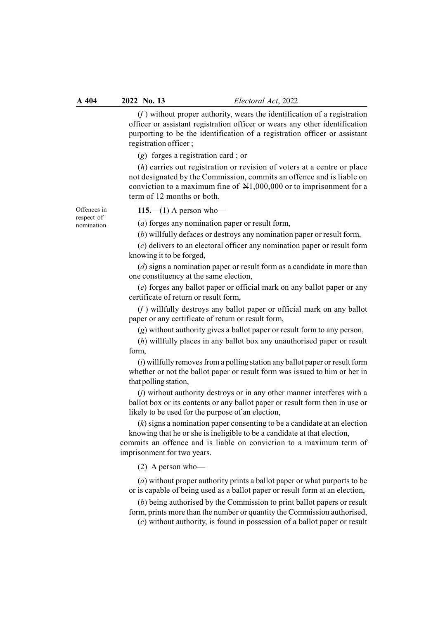$(f)$  without proper authority, wears the identification of a registration officer or assistant registration officer or wears any other identification purporting to be the identification of a registration officer or assistant registration officer ;

(g) forges a registration card ; or

(h) carries out registration or revision of voters at a centre or place not designated by the Commission, commits an offence and is liable on conviction to a maximum fine of N1,000,000 or to imprisonment for a term of 12 months or both.

Offences in respect of nomination.  $115$ —(1) A person who—

(a) forges any nomination paper or result form,

(b) willfully defaces or destroys any nomination paper or result form,

(c) delivers to an electoral officer any nomination paper or result form knowing it to be forged,

 $(d)$  signs a nomination paper or result form as a candidate in more than one constituency at the same election,

(e) forges any ballot paper or official mark on any ballot paper or any certificate of return or result form,

 $(f)$  willfully destroys any ballot paper or official mark on any ballot paper or any certificate of return or result form,

(g) without authority gives a ballot paper or result form to any person,

(h) willfully places in any ballot box any unauthorised paper or result form,

(i) willfully removes from a polling station any ballot paper or result form whether or not the ballot paper or result form was issued to him or her in that polling station,

(j) without authority destroys or in any other manner interferes with a ballot box or its contents or any ballot paper or result form then in use or likely to be used for the purpose of an election,

(k) signs a nomination paper consenting to be a candidate at an election knowing that he or she is ineligible to be a candidate at that election,

commits an offence and is liable on conviction to a maximum term of imprisonment for two years.

(2) A person who—

(a) without proper authority prints a ballot paper or what purports to be or is capable of being used as a ballot paper or result form at an election,

(b) being authorised by the Commission to print ballot papers or result form, prints more than the number or quantity the Commission authorised,

(c) without authority, is found in possession of a ballot paper or result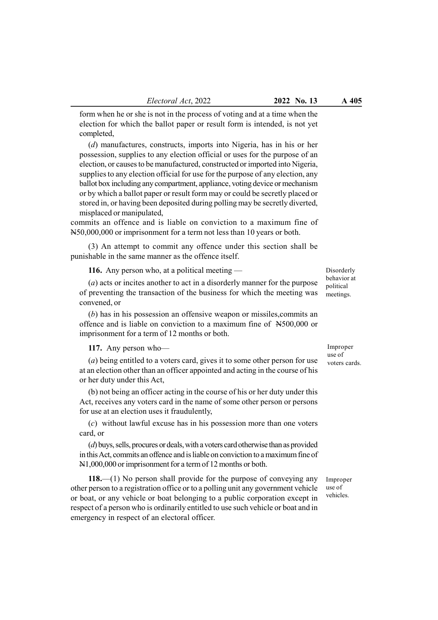form when he or she is not in the process of voting and at a time when the election for which the ballot paper or result form is intended, is not yet completed,

(d) manufactures, constructs, imports into Nigeria, has in his or her possession, supplies to any election official or uses for the purpose of an election, or causes to be manufactured, constructed or imported into Nigeria, supplies to any election official for use for the purpose of any election, any ballot box including any compartment, appliance, voting device or mechanism or by which a ballot paper or result form may or could be secretly placed or stored in, or having been deposited during polling may be secretly diverted, misplaced or manipulated,

commits an offence and is liable on conviction to a maximum fine of N50,000,000 or imprisonment for a term not less than 10 years or both.

(3) An attempt to commit any offence under this section shall be punishable in the same manner as the offence itself.

116. Any person who, at a political meeting —

(a) acts or incites another to act in a disorderly manner for the purpose of preventing the transaction of the business for which the meeting was convened, or

(b) has in his possession an offensive weapon or missiles,commits an offence and is liable on conviction to a maximum fine of N500,000 or imprisonment for a term of 12 months or both.

117. Any person who—

(a) being entitled to a voters card, gives it to some other person for use at an election other than an officer appointed and acting in the course of his or her duty under this Act,

(b) not being an officer acting in the course of his or her duty under this Act, receives any voters card in the name of some other person or persons for use at an election uses it fraudulently,

(c) without lawful excuse has in his possession more than one voters card, or

(d) buys, sells, procures or deals, with a voters card otherwise than as provided in this Act, commits an offence and is liable on conviction to a maximum fine of N1,000,000 or imprisonment for a term of 12 months or both.

118.—(1) No person shall provide for the purpose of conveying any other person to a registration office or to a polling unit any government vehicle or boat, or any vehicle or boat belonging to a public corporation except in respect of a person who is ordinarily entitled to use such vehicle or boat and in emergency in respect of an electoral officer.

Disorderly behavior at political meetings.

Improper use of voters cards.

Improper use of vehicles.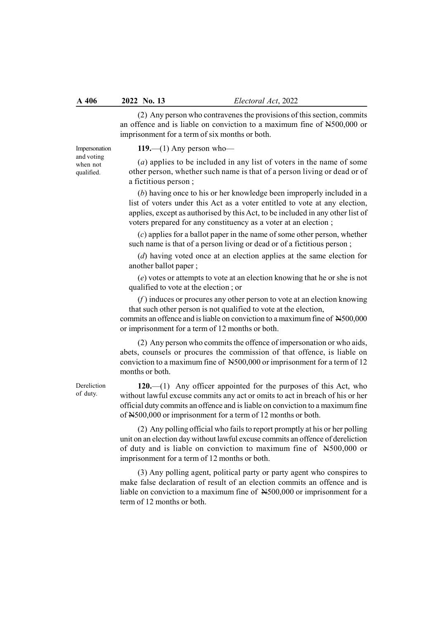(2) Any person who contravenes the provisions of this section, commits an offence and is liable on conviction to a maximum fine of N500,000 or imprisonment for a term of six months or both.

Impersonation and voting when not qualified.

119.—(1) Any person who—

(a) applies to be included in any list of voters in the name of some other person, whether such name is that of a person living or dead or of a fictitious person ;

(b) having once to his or her knowledge been improperly included in a list of voters under this Act as a voter entitled to vote at any election, applies, except as authorised by this Act, to be included in any other list of voters prepared for any constituency as a voter at an election ;

(c) applies for a ballot paper in the name of some other person, whether such name is that of a person living or dead or of a fictitious person ;

(d) having voted once at an election applies at the same election for another ballot paper ;

(e) votes or attempts to vote at an election knowing that he or she is not qualified to vote at the election ; or

 $(f)$  induces or procures any other person to vote at an election knowing that such other person is not qualified to vote at the election,

commits an offence and is liable on conviction to a maximum fine of N500,000 or imprisonment for a term of 12 months or both.

(2) Any person who commits the offence of impersonation or who aids, abets, counsels or procures the commission of that offence, is liable on conviction to a maximum fine of N500,000 or imprisonment for a term of 12 months or both.

 $120$ .—(1) Any officer appointed for the purposes of this Act, who without lawful excuse commits any act or omits to act in breach of his or her official duty commits an offence and is liable on conviction to a maximum fine of N500,000 or imprisonment for a term of 12 months or both.

(2) Any polling official who fails to report promptly at his or her polling unit on an election day without lawful excuse commits an offence of dereliction of duty and is liable on conviction to maximum fine of N500,000 or imprisonment for a term of 12 months or both.

(3) Any polling agent, political party or party agent who conspires to make false declaration of result of an election commits an offence and is liable on conviction to a maximum fine of N500,000 or imprisonment for a term of 12 months or both.

**Dereliction** of duty.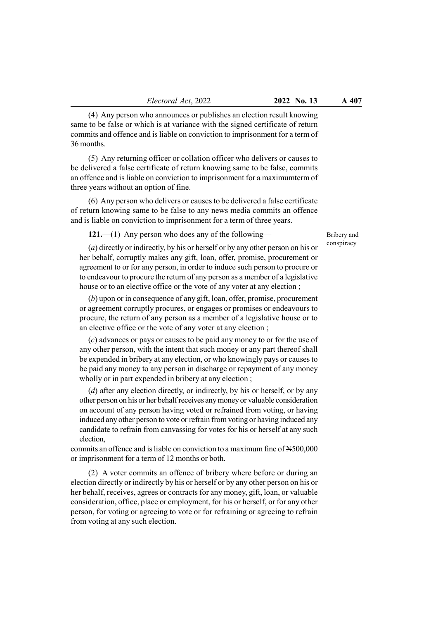(4) Any person who announces or publishes an election result knowing same to be false or which is at variance with the signed certificate of return commits and offence and is liable on conviction to imprisonment for a term of 36 months.

(5) Any returning officer or collation officer who delivers or causes to be delivered a false certificate of return knowing same to be false, commits an offence and is liable on conviction to imprisonment for a maximumterm of three years without an option of fine.

(6) Any person who delivers or causes to be delivered a false certificate of return knowing same to be false to any news media commits an offence and is liable on conviction to imprisonment for a term of three years.

121.—(1) Any person who does any of the following—

Bribery and conspiracy

(a) directly or indirectly, by his or herself or by any other person on his or her behalf, corruptly makes any gift, loan, offer, promise, procurement or agreement to or for any person, in order to induce such person to procure or to endeavour to procure the return of any person as a member of a legislative house or to an elective office or the vote of any voter at any election ;

(b) upon or in consequence of any gift, loan, offer, promise, procurement or agreement corruptly procures, or engages or promises or endeavours to procure, the return of any person as a member of a legislative house or to an elective office or the vote of any voter at any election ;

(c) advances or pays or causes to be paid any money to or for the use of any other person, with the intent that such money or any part thereof shall be expended in bribery at any election, or who knowingly pays or causes to be paid any money to any person in discharge or repayment of any money wholly or in part expended in bribery at any election ;

(d) after any election directly, or indirectly, by his or herself, or by any other person on his or her behalf receives any money or valuable consideration on account of any person having voted or refrained from voting, or having induced any other person to vote or refrain from voting or having induced any candidate to refrain from canvassing for votes for his or herself at any such election,

commits an offence and is liable on conviction to a maximum fine of N500,000 or imprisonment for a term of 12 months or both.

(2) A voter commits an offence of bribery where before or during an election directly or indirectly by his or herself or by any other person on his or her behalf, receives, agrees or contracts for any money, gift, loan, or valuable consideration, office, place or employment, for his or herself, or for any other person, for voting or agreeing to vote or for refraining or agreeing to refrain from voting at any such election.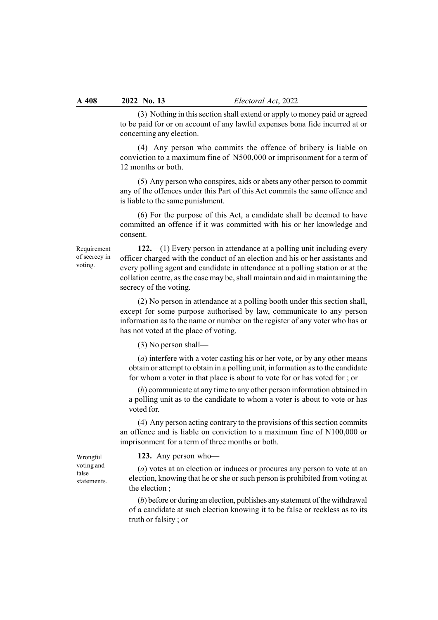(3) Nothing in this section shall extend or apply to money paid or agreed to be paid for or on account of any lawful expenses bona fide incurred at or concerning any election.

(4) Any person who commits the offence of bribery is liable on conviction to a maximum fine of N500,000 or imprisonment for a term of 12 months or both.

(5) Any person who conspires, aids or abets any other person to commit any of the offences under this Part of this Act commits the same offence and is liable to the same punishment.

(6) For the purpose of this Act, a candidate shall be deemed to have committed an offence if it was committed with his or her knowledge and consent.

Requirement of secrecy in voting.

122.—(1) Every person in attendance at a polling unit including every officer charged with the conduct of an election and his or her assistants and every polling agent and candidate in attendance at a polling station or at the collation centre, as the case may be, shall maintain and aid in maintaining the secrecy of the voting.

(2) No person in attendance at a polling booth under this section shall, except for some purpose authorised by law, communicate to any person information as to the name or number on the register of any voter who has or has not voted at the place of voting.

(3) No person shall—

(a) interfere with a voter casting his or her vote, or by any other means obtain or attempt to obtain in a polling unit, information as to the candidate for whom a voter in that place is about to vote for or has voted for ; or

(b) communicate at any time to any other person information obtained in a polling unit as to the candidate to whom a voter is about to vote or has voted for.

(4) Any person acting contrary to the provisions of this section commits an offence and is liable on conviction to a maximum fine of N100,000 or imprisonment for a term of three months or both.

Wrongful voting and false

statements.

123. Any person who—

(a) votes at an election or induces or procures any person to vote at an election, knowing that he or she or such person is prohibited from voting at the election ;

(b) before or during an election, publishes any statement of the withdrawal of a candidate at such election knowing it to be false or reckless as to its truth or falsity ; or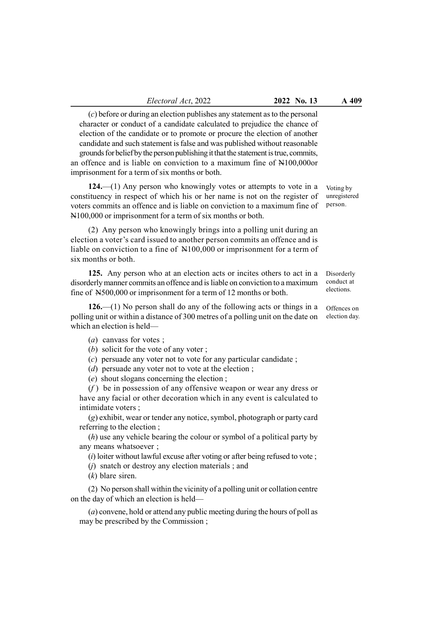(c) before or during an election publishes any statement as to the personal character or conduct of a candidate calculated to prejudice the chance of election of the candidate or to promote or procure the election of another candidate and such statement is false and was published without reasonable grounds for belief by the person publishing it that the statement is true, commits, an offence and is liable on conviction to a maximum fine of N100,000or imprisonment for a term of six months or both.

124.—(1) Any person who knowingly votes or attempts to vote in a constituency in respect of which his or her name is not on the register of voters commits an offence and is liable on conviction to a maximum fine of N100,000 or imprisonment for a term of six months or both.

(2) Any person who knowingly brings into a polling unit during an election a voter's card issued to another person commits an offence and is liable on conviction to a fine of N100,000 or imprisonment for a term of six months or both.

125. Any person who at an election acts or incites others to act in a disorderly manner commits an offence and is liable on conviction to a maximum fine of N500,000 or imprisonment for a term of 12 months or both.

126.—(1) No person shall do any of the following acts or things in a polling unit or within a distance of 300 metres of a polling unit on the date on which an election is held—

- (a) canvass for votes ;
- (b) solicit for the vote of any voter;
- (c) persuade any voter not to vote for any particular candidate ;
- (d) persuade any voter not to vote at the election;
- (e) shout slogans concerning the election ;

 $(f)$  be in possession of any offensive weapon or wear any dress or have any facial or other decoration which in any event is calculated to intimidate voters ;

(g) exhibit, wear or tender any notice, symbol, photograph or party card referring to the election ;

(h) use any vehicle bearing the colour or symbol of a political party by any means whatsoever ;

 $(i)$  loiter without lawful excuse after voting or after being refused to vote ;

(j) snatch or destroy any election materials ; and

(k) blare siren.

(2) No person shall within the vicinity of a polling unit or collation centre on the day of which an election is held—

(a) convene, hold or attend any public meeting during the hours of poll as may be prescribed by the Commission ;

Voting by unregistered person.

Disorderly conduct at elections.

Offences on election day.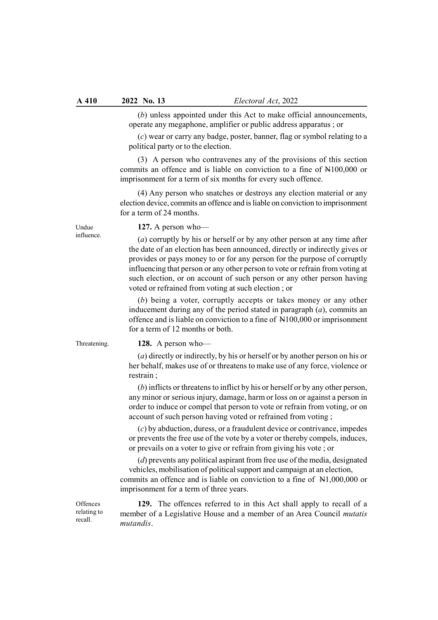(b) unless appointed under this Act to make official announcements, operate any megaphone, amplifier or public address apparatus ; or

(c) wear or carry any badge, poster, banner, flag or symbol relating to a political party or to the election.

(3) A person who contravenes any of the provisions of this section commits an offence and is liable on conviction to a fine of N100,000 or imprisonment for a term of six months for every such offence.

(4) Any person who snatches or destroys any election material or any election device, commits an offence and is liable on conviction to imprisonment for a term of 24 months.

127. A person who—

(a) corruptly by his or herself or by any other person at any time after the date of an election has been announced, directly or indirectly gives or provides or pays money to or for any person for the purpose of corruptly influencing that person or any other person to vote or refrain from voting at such election, or on account of such person or any other person having voted or refrained from voting at such election ; or

(b) being a voter, corruptly accepts or takes money or any other inducement during any of the period stated in paragraph  $(a)$ , commits an offence and is liable on conviction to a fine of N100,000 or imprisonment for a term of 12 months or both.

Threatening.

Undue influence.

128. A person who—

(a) directly or indirectly, by his or herself or by another person on his or her behalf, makes use of or threatens to make use of any force, violence or restrain ;

(b) inflicts or threatens to inflict by his or herself or by any other person, any minor or serious injury, damage, harm or loss on or against a person in order to induce or compel that person to vote or refrain from voting, or on account of such person having voted or refrained from voting ;

(c) by abduction, duress, or a fraudulent device or contrivance, impedes or prevents the free use of the vote by a voter or thereby compels, induces, or prevails on a voter to give or refrain from giving his vote ; or

(d) prevents any political aspirant from free use of the media, designated vehicles, mobilisation of political support and campaign at an election, commits an offence and is liable on conviction to a fine of N1,000,000 or imprisonment for a term of three years.

**Offences** relating to recall.

129. The offences referred to in this Act shall apply to recall of a member of a Legislative House and a member of an Area Council mutatis mutandis.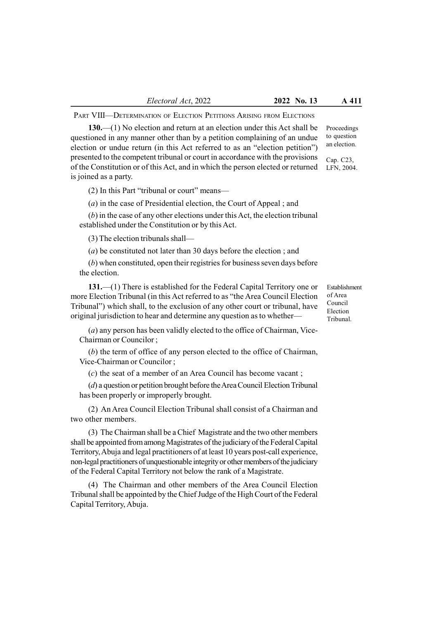PART VIII—DETERMINATION OF ELECTION PETITIONS ARISING FROM ELECTIONS

130.—(1) No election and return at an election under this Act shall be questioned in any manner other than by a petition complaining of an undue election or undue return (in this Act referred to as an "election petition") presented to the competent tribunal or court in accordance with the provisions of the Constitution or of this Act, and in which the person elected or returned is joined as a party.

(2) In this Part "tribunal or court" means—

(a) in the case of Presidential election, the Court of Appeal ; and

(b) in the case of any other elections under this Act, the election tribunal established under the Constitution or by this Act.

(3) The election tribunals shall—

(a) be constituted not later than 30 days before the election ; and

(b) when constituted, open their registries for business seven days before the election.

131.—(1) There is established for the Federal Capital Territory one or more Election Tribunal (in this Act referred to as "the Area Council Election Tribunal") which shall, to the exclusion of any other court or tribunal, have original jurisdiction to hear and determine any question as to whether—

(a) any person has been validly elected to the office of Chairman, Vice-Chairman or Councilor ;

(b) the term of office of any person elected to the office of Chairman, Vice-Chairman or Councilor ;

(c) the seat of a member of an Area Council has become vacant ;

(d) a question or petition brought before the Area Council Election Tribunal has been properly or improperly brought.

(2) An Area Council Election Tribunal shall consist of a Chairman and two other members.

(3) The Chairman shall be a Chief Magistrate and the two other members shall be appointed from among Magistrates of the judiciary of the Federal Capital Territory, Abuja and legal practitioners of at least 10 years post-call experience, non-legal practitioners of unquestionable integrity or other members of the judiciary of the Federal Capital Territory not below the rank of a Magistrate.

(4) The Chairman and other members of the Area Council Election Tribunal shall be appointed by the Chief Judge of the High Court of the Federal Capital Territory, Abuja.

Establishment of Area Council Election Tribunal.

Proceedings to question an election.

Cap. C23, LFN, 2004.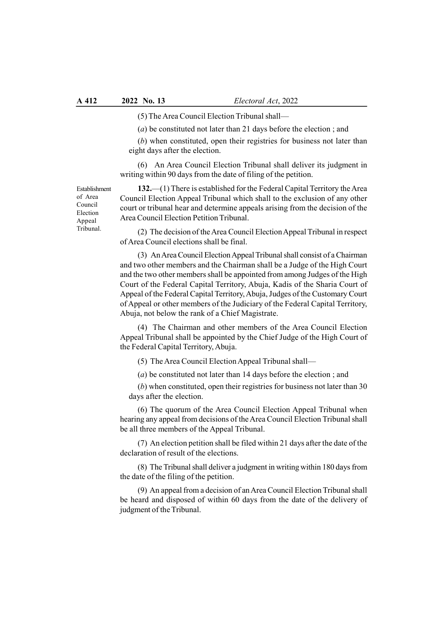(5) The Area Council Election Tribunal shall—

(a) be constituted not later than 21 days before the election ; and

(b) when constituted, open their registries for business not later than eight days after the election.

(6) An Area Council Election Tribunal shall deliver its judgment in writing within 90 days from the date of filing of the petition.

Establishment of Area Council Election Appeal Tribunal.

132.—(1) There is established for the Federal Capital Territory the Area Council Election Appeal Tribunal which shall to the exclusion of any other court or tribunal hear and determine appeals arising from the decision of the Area Council Election Petition Tribunal.

(2) The decision of the Area Council Election Appeal Tribunal in respect of Area Council elections shall be final.

(3) An Area Council Election Appeal Tribunal shall consist of a Chairman and two other members and the Chairman shall be a Judge of the High Court and the two other members shall be appointed from among Judges of the High Court of the Federal Capital Territory, Abuja, Kadis of the Sharia Court of Appeal of the Federal Capital Territory, Abuja, Judges of the Customary Court of Appeal or other members of the Judiciary of the Federal Capital Territory, Abuja, not below the rank of a Chief Magistrate.

(4) The Chairman and other members of the Area Council Election Appeal Tribunal shall be appointed by the Chief Judge of the High Court of the Federal Capital Territory, Abuja.

(5) The Area Council Election Appeal Tribunal shall—

(a) be constituted not later than 14 days before the election ; and

(b) when constituted, open their registries for business not later than 30 days after the election.

(6) The quorum of the Area Council Election Appeal Tribunal when hearing any appeal from decisions of the Area Council Election Tribunal shall be all three members of the Appeal Tribunal.

(7) An election petition shall be filed within 21 days after the date of the declaration of result of the elections.

(8) The Tribunal shall deliver a judgment in writing within 180 days from the date of the filing of the petition.

(9) An appeal from a decision of an Area Council Election Tribunal shall be heard and disposed of within 60 days from the date of the delivery of judgment of the Tribunal.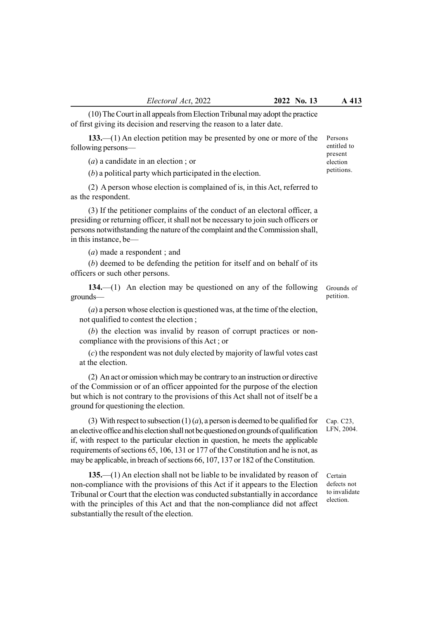(10) The Court in all appeals from Election Tribunal may adopt the practice of first giving its decision and reserving the reason to a later date.

133.—(1) An election petition may be presented by one or more of the following persons—

(a) a candidate in an election ; or

(b) a political party which participated in the election.

(2) A person whose election is complained of is, in this Act, referred to as the respondent.

(3) If the petitioner complains of the conduct of an electoral officer, a presiding or returning officer, it shall not be necessary to join such officers or persons notwithstanding the nature of the complaint and the Commission shall, in this instance, be—

(a) made a respondent ; and

(b) deemed to be defending the petition for itself and on behalf of its officers or such other persons.

134.—(1) An election may be questioned on any of the following grounds—

 $(a)$  a person whose election is questioned was, at the time of the election, not qualified to contest the election ;

(b) the election was invalid by reason of corrupt practices or noncompliance with the provisions of this Act ; or

(c) the respondent was not duly elected by majority of lawful votes cast at the election.

(2) An act or omission which may be contrary to an instruction or directive of the Commission or of an officer appointed for the purpose of the election but which is not contrary to the provisions of this Act shall not of itself be a ground for questioning the election.

(3) With respect to subsection  $(1)(a)$ , a person is deemed to be qualified for an elective office and his election shall not be questioned on grounds of qualification if, with respect to the particular election in question, he meets the applicable requirements of sections 65, 106, 131 or 177 of the Constitution and he is not, as may be applicable, in breach of sections 66, 107, 137 or 182 of the Constitution.

135.—(1) An election shall not be liable to be invalidated by reason of non-compliance with the provisions of this Act if it appears to the Election Tribunal or Court that the election was conducted substantially in accordance with the principles of this Act and that the non-compliance did not affect substantially the result of the election.

Certain defects not to invalidate election.

Cap. C23, LFN, 2004.

Grounds of petition.

Persons entitled to present election petitions.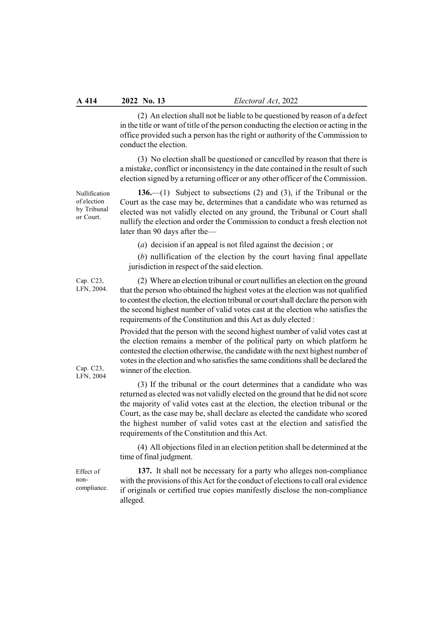(2) An election shall not be liable to be questioned by reason of a defect in the title or want of title of the person conducting the election or acting in the office provided such a person has the right or authority of the Commission to conduct the election.

(3) No election shall be questioned or cancelled by reason that there is a mistake, conflict or inconsistency in the date contained in the result of such election signed by a returning officer or any other officer of the Commission.

Nullification of election by Tribunal or Court.

Cap. C23, LFN, 2004.

136.—(1) Subject to subsections (2) and (3), if the Tribunal or the Court as the case may be, determines that a candidate who was returned as elected was not validly elected on any ground, the Tribunal or Court shall nullify the election and order the Commission to conduct a fresh election not later than 90 days after the—

(a) decision if an appeal is not filed against the decision ; or

(b) nullification of the election by the court having final appellate jurisdiction in respect of the said election.

(2) Where an election tribunal or court nullifies an election on the ground that the person who obtained the highest votes at the election was not qualified to contest the election, the election tribunal or court shall declare the person with the second highest number of valid votes cast at the election who satisfies the requirements of the Constitution and this Act as duly elected :

Provided that the person with the second highest number of valid votes cast at the election remains a member of the political party on which platform he contested the election otherwise, the candidate with the next highest number of votes in the election and who satisfies the same conditions shall be declared the winner of the election.

(3) If the tribunal or the court determines that a candidate who was returned as elected was not validly elected on the ground that he did not score the majority of valid votes cast at the election, the election tribunal or the Court, as the case may be, shall declare as elected the candidate who scored the highest number of valid votes cast at the election and satisfied the requirements of the Constitution and this Act.

(4) All objections filed in an election petition shall be determined at the time of final judgment.

137. It shall not be necessary for a party who alleges non-compliance with the provisions of this Act for the conduct of elections to call oral evidence if originals or certified true copies manifestly disclose the non-compliance alleged.

Cap. C23, LFN, 2004

Effect of noncompliance.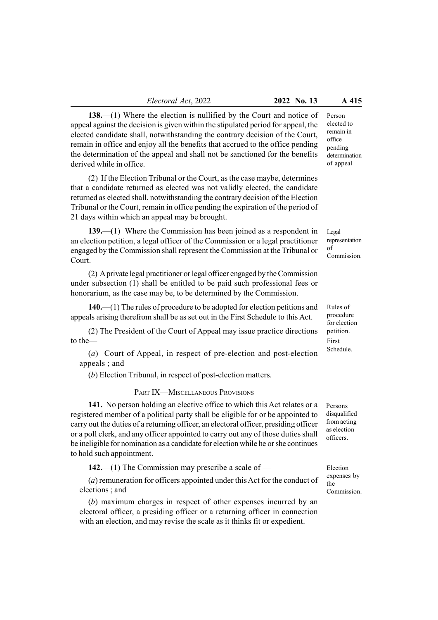138.—(1) Where the election is nullified by the Court and notice of appeal against the decision is given within the stipulated period for appeal, the elected candidate shall, notwithstanding the contrary decision of the Court, remain in office and enjoy all the benefits that accrued to the office pending the determination of the appeal and shall not be sanctioned for the benefits derived while in office.

(2) If the Election Tribunal or the Court, as the case maybe, determines that a candidate returned as elected was not validly elected, the candidate returned as elected shall, notwithstanding the contrary decision of the Election Tribunal or the Court, remain in office pending the expiration of the period of 21 days within which an appeal may be brought.

139.—(1) Where the Commission has been joined as a respondent in an election petition, a legal officer of the Commission or a legal practitioner engaged by the Commission shall represent the Commission at the Tribunal or Court.

(2) A private legal practitioner or legal officer engaged by the Commission under subsection (1) shall be entitled to be paid such professional fees or honorarium, as the case may be, to be determined by the Commission.

140.—(1) The rules of procedure to be adopted for election petitions and appeals arising therefrom shall be as set out in the First Schedule to this Act.

(2) The President of the Court of Appeal may issue practice directions to the—

(a) Court of Appeal, in respect of pre-election and post-election appeals ; and

(b) Election Tribunal, in respect of post-election matters.

#### PART IX—MISCELLANEOUS PROVISIONS

141. No person holding an elective office to which this Act relates or a registered member of a political party shall be eligible for or be appointed to carry out the duties of a returning officer, an electoral officer, presiding officer or a poll clerk, and any officer appointed to carry out any of those duties shall be ineligible for nomination as a candidate for election while he or she continues to hold such appointment.

142.—(1) The Commission may prescribe a scale of —

(a) remuneration for officers appointed under this Act for the conduct of elections ; and

(b) maximum charges in respect of other expenses incurred by an electoral officer, a presiding officer or a returning officer in connection with an election, and may revise the scale as it thinks fit or expedient.

Person elected to remain in office pending determination of appeal

Legal representation of Commission.

Rules of procedure for election petition. First Schedule.

Persons disqualified from acting as election officers.

Election expenses by the Commission.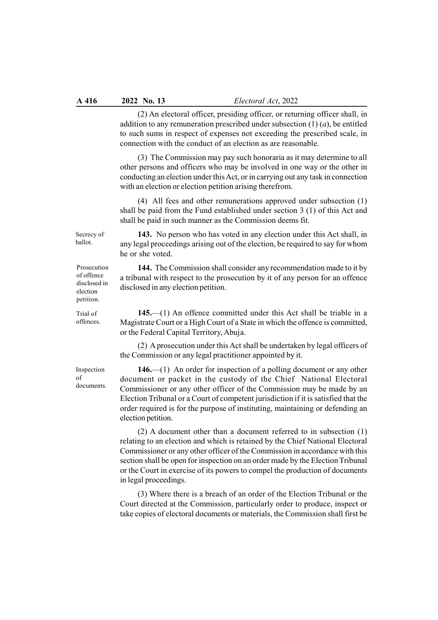(2) An electoral officer, presiding officer, or returning officer shall, in addition to any remuneration prescribed under subsection  $(1)$   $(a)$ , be entitled to such sums in respect of expenses not exceeding the prescribed scale, in connection with the conduct of an election as are reasonable.

(3) The Commission may pay such honoraria as it may determine to all other persons and officers who may be involved in one way or the other in conducting an election under this Act, or in carrying out any task in connection with an election or election petition arising therefrom.

(4) All fees and other remunerations approved under subsection (1) shall be paid from the Fund established under section 3 (1) of this Act and shall be paid in such manner as the Commission deems fit.

Secrecy of ballot.

143. No person who has voted in any election under this Act shall, in any legal proceedings arising out of the election, be required to say for whom he or she voted.

144. The Commission shall consider any recommendation made to it by a tribunal with respect to the prosecution by it of any person for an offence disclosed in any election petition.

145.—(1) An offence committed under this Act shall be triable in a Magistrate Court or a High Court of a State in which the offence is committed, or the Federal Capital Territory, Abuja.

(2) A prosecution under this Act shall be undertaken by legal officers of the Commission or any legal practitioner appointed by it.

146.—(1) An order for inspection of a polling document or any other document or packet in the custody of the Chief National Electoral Commissioner or any other officer of the Commission may be made by an Election Tribunal or a Court of competent jurisdiction if it is satisfied that the order required is for the purpose of instituting, maintaining or defending an election petition.

(2) A document other than a document referred to in subsection (1) relating to an election and which is retained by the Chief National Electoral Commissioner or any other officer of the Commission in accordance with this section shall be open for inspection on an order made by the Election Tribunal or the Court in exercise of its powers to compel the production of documents in legal proceedings.

(3) Where there is a breach of an order of the Election Tribunal or the Court directed at the Commission, particularly order to produce, inspect or take copies of electoral documents or materials, the Commission shall first be

Prosecution of offence disclosed in election petition.

Trial of offences.

Inspection of documents.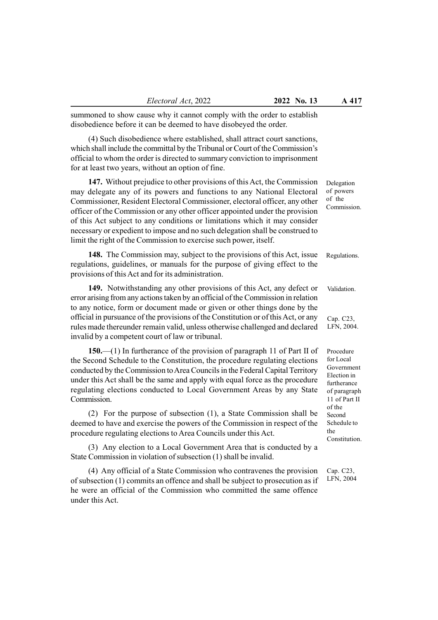summoned to show cause why it cannot comply with the order to establish disobedience before it can be deemed to have disobeyed the order.

(4) Such disobedience where established, shall attract court sanctions, which shall include the committal by the Tribunal or Court of the Commission's official to whom the order is directed to summary conviction to imprisonment for at least two years, without an option of fine.

147. Without prejudice to other provisions of this Act, the Commission may delegate any of its powers and functions to any National Electoral Commissioner, Resident Electoral Commissioner, electoral officer, any other officer of the Commission or any other officer appointed under the provision of this Act subject to any conditions or limitations which it may consider necessary or expedient to impose and no such delegation shall be construed to limit the right of the Commission to exercise such power, itself.

148. The Commission may, subject to the provisions of this Act, issue regulations, guidelines, or manuals for the purpose of giving effect to the provisions of this Act and for its administration.

149. Notwithstanding any other provisions of this Act, any defect or error arising from any actions taken by an official of the Commission in relation to any notice, form or document made or given or other things done by the official in pursuance of the provisions of the Constitution or of this Act, or any rules made thereunder remain valid, unless otherwise challenged and declared invalid by a competent court of law or tribunal.

150.—(1) In furtherance of the provision of paragraph 11 of Part II of the Second Schedule to the Constitution, the procedure regulating elections conducted by the Commission to Area Councils in the Federal Capital Territory under this Act shall be the same and apply with equal force as the procedure regulating elections conducted to Local Government Areas by any State Commission.

(2) For the purpose of subsection (1), a State Commission shall be deemed to have and exercise the powers of the Commission in respect of the procedure regulating elections to Area Councils under this Act.

(3) Any election to a Local Government Area that is conducted by a State Commission in violation of subsection (1) shall be invalid.

(4) Any official of a State Commission who contravenes the provision of subsection (1) commits an offence and shall be subject to prosecution as if he were an official of the Commission who committed the same offence under this Act.

Delegation of powers of the Commission.

Regulations.

Validation.

Cap. C23, LFN, 2004.

Procedure for Local Government Election in furtherance of paragraph 11 of Part II of the Second Schedule to the **Constitution** 

Cap. C23, LFN, 2004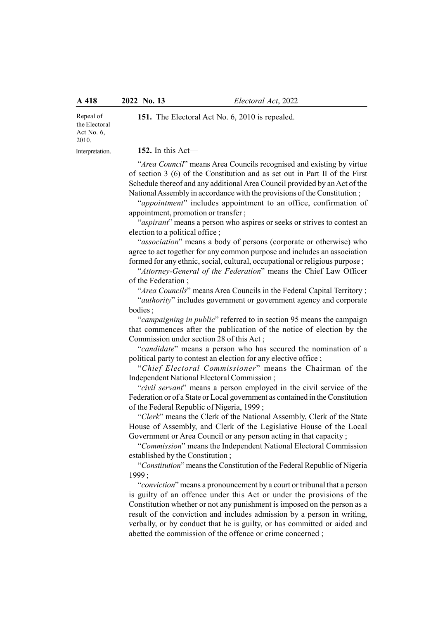Repeal of the Electoral Act No. 6, 2010.

Interpretation.

152. In this Act—

"Area Council" means Area Councils recognised and existing by virtue of section 3 (6) of the Constitution and as set out in Part II of the First Schedule thereof and any additional Area Council provided by an Act of the National Assembly in accordance with the provisions of the Constitution ;

151. The Electoral Act No. 6, 2010 is repealed.

"appointment" includes appointment to an office, confirmation of appointment, promotion or transfer ;

"*aspirant*" means a person who aspires or seeks or strives to contest an election to a political office ;

"association" means a body of persons (corporate or otherwise) who agree to act together for any common purpose and includes an association formed for any ethnic, social, cultural, occupational or religious purpose ;

"Attorney-General of the Federation" means the Chief Law Officer of the Federation ;

"Area Councils" means Area Councils in the Federal Capital Territory; "authority" includes government or government agency and corporate bodies ;

"campaigning in public" referred to in section 95 means the campaign that commences after the publication of the notice of election by the Commission under section 28 of this Act ;

"candidate" means a person who has secured the nomination of a political party to contest an election for any elective office ;

"Chief Electoral Commissioner" means the Chairman of the Independent National Electoral Commission ;

"civil servant" means a person employed in the civil service of the Federation or of a State or Local government as contained in the Constitution of the Federal Republic of Nigeria, 1999 ;

"Clerk" means the Clerk of the National Assembly, Clerk of the State House of Assembly, and Clerk of the Legislative House of the Local Government or Area Council or any person acting in that capacity ;

"Commission" means the Independent National Electoral Commission established by the Constitution ;

"Constitution" means the Constitution of the Federal Republic of Nigeria 1999 ;

"conviction" means a pronouncement by a court or tribunal that a person is guilty of an offence under this Act or under the provisions of the Constitution whether or not any punishment is imposed on the person as a result of the conviction and includes admission by a person in writing, verbally, or by conduct that he is guilty, or has committed or aided and abetted the commission of the offence or crime concerned ;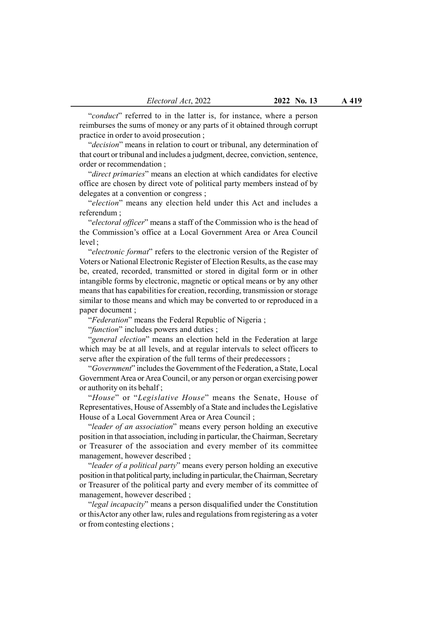"conduct" referred to in the latter is, for instance, where a person reimburses the sums of money or any parts of it obtained through corrupt practice in order to avoid prosecution ;

"decision" means in relation to court or tribunal, any determination of that court or tribunal and includes a judgment, decree, conviction, sentence, order or recommendation ;

"direct primaries" means an election at which candidates for elective office are chosen by direct vote of political party members instead of by delegates at a convention or congress ;

"election" means any election held under this Act and includes a referendum ;

"electoral officer" means a staff of the Commission who is the head of the Commission's office at a Local Government Area or Area Council level ;

"electronic format" refers to the electronic version of the Register of Voters or National Electronic Register of Election Results, as the case may be, created, recorded, transmitted or stored in digital form or in other intangible forms by electronic, magnetic or optical means or by any other means that has capabilities for creation, recording, transmission or storage similar to those means and which may be converted to or reproduced in a paper document ;

"Federation" means the Federal Republic of Nigeria ;

"function" includes powers and duties;

"general election" means an election held in the Federation at large which may be at all levels, and at regular intervals to select officers to serve after the expiration of the full terms of their predecessors;

"Government" includes the Government of the Federation, a State, Local Government Area or Area Council, or any person or organ exercising power or authority on its behalf ;

"House" or "Legislative House" means the Senate, House of Representatives, House of Assembly of a State and includes the Legislative House of a Local Government Area or Area Council ;

"leader of an association" means every person holding an executive position in that association, including in particular, the Chairman, Secretary or Treasurer of the association and every member of its committee management, however described ;

"leader of a political party" means every person holding an executive position in that political party, including in particular, the Chairman, Secretary or Treasurer of the political party and every member of its committee of management, however described ;

"legal incapacity" means a person disqualified under the Constitution or thisActor any other law, rules and regulations from registering as a voter or from contesting elections ;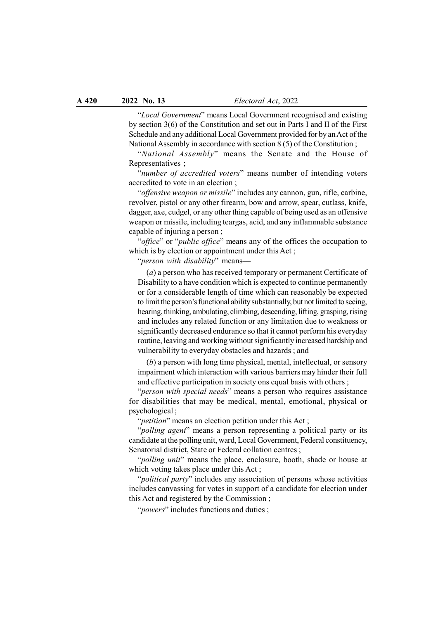"Local Government" means Local Government recognised and existing by section 3(6) of the Constitution and set out in Parts I and II of the First Schedule and any additional Local Government provided for by an Act of the National Assembly in accordance with section 8 (5) of the Constitution ;

"National Assembly" means the Senate and the House of Representatives ;

"number of accredited voters" means number of intending voters accredited to vote in an election ;

"offensive weapon or missile" includes any cannon, gun, rifle, carbine, revolver, pistol or any other firearm, bow and arrow, spear, cutlass, knife, dagger, axe, cudgel, or any other thing capable of being used as an offensive weapon or missile, including teargas, acid, and any inflammable substance capable of injuring a person ;

"*office*" or "*public office*" means any of the offices the occupation to which is by election or appointment under this Act;

"person with disability" means-

(a) a person who has received temporary or permanent Certificate of Disability to a have condition which is expected to continue permanently or for a considerable length of time which can reasonably be expected to limit the person's functional ability substantially, but not limited to seeing, hearing, thinking, ambulating, climbing, descending, lifting, grasping, rising and includes any related function or any limitation due to weakness or significantly decreased endurance so that it cannot perform his everyday routine, leaving and working without significantly increased hardship and vulnerability to everyday obstacles and hazards ; and

(b) a person with long time physical, mental, intellectual, or sensory impairment which interaction with various barriers may hinder their full and effective participation in society ons equal basis with others ;

"person with special needs" means a person who requires assistance for disabilities that may be medical, mental, emotional, physical or psychological ;

"*petition*" means an election petition under this Act;

"*polling agent*" means a person representing a political party or its candidate at the polling unit, ward, Local Government, Federal constituency, Senatorial district, State or Federal collation centres ;

"*polling unit*" means the place, enclosure, booth, shade or house at which voting takes place under this Act;

"*political party*" includes any association of persons whose activities includes canvassing for votes in support of a candidate for election under this Act and registered by the Commission ;

"powers" includes functions and duties;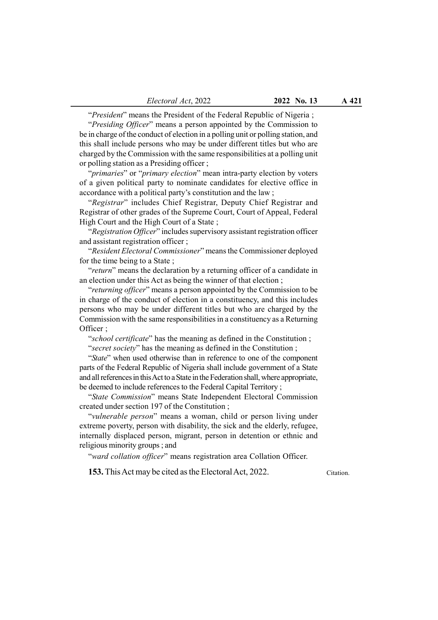"President" means the President of the Federal Republic of Nigeria;

"Presiding Officer" means a person appointed by the Commission to be in charge of the conduct of election in a polling unit or polling station, and this shall include persons who may be under different titles but who are charged by the Commission with the same responsibilities at a polling unit or polling station as a Presiding officer ;

"*primaries*" or "*primary election*" mean intra-party election by voters of a given political party to nominate candidates for elective office in accordance with a political party's constitution and the law ;

"Registrar" includes Chief Registrar, Deputy Chief Registrar and Registrar of other grades of the Supreme Court, Court of Appeal, Federal High Court and the High Court of a State;

"Registration Officer" includes supervisory assistant registration officer and assistant registration officer ;

"Resident Electoral Commissioner" means the Commissioner deployed for the time being to a State ;

"return" means the declaration by a returning officer of a candidate in an election under this Act as being the winner of that election ;

"returning officer" means a person appointed by the Commission to be in charge of the conduct of election in a constituency, and this includes persons who may be under different titles but who are charged by the Commission with the same responsibilities in a constituency as a Returning Officer ;

"school certificate" has the meaning as defined in the Constitution ; "secret society" has the meaning as defined in the Constitution ;

"State" when used otherwise than in reference to one of the component parts of the Federal Republic of Nigeria shall include government of a State and all references in this Act to a State in the Federation shall, where appropriate, be deemed to include references to the Federal Capital Territory ;

"State Commission" means State Independent Electoral Commission created under section 197 of the Constitution ;

"vulnerable person" means a woman, child or person living under extreme poverty, person with disability, the sick and the elderly, refugee, internally displaced person, migrant, person in detention or ethnic and religious minority groups ; and

"ward collation officer" means registration area Collation Officer.

153. This Act may be cited as the Electoral Act, 2022.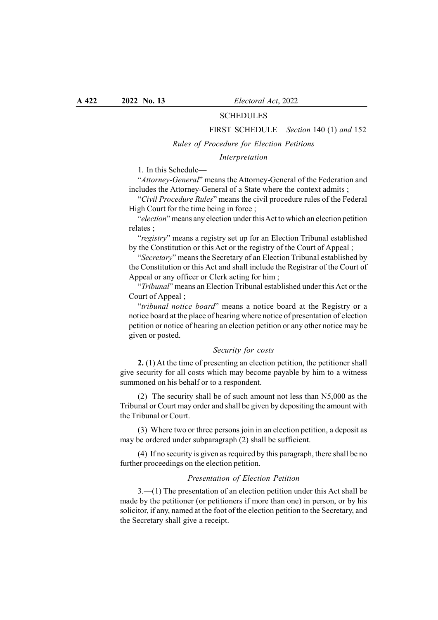## SCHEDULES

#### FIRST SCHEDULE Section 140 (1) and 152

#### Rules of Procedure for Election Petitions

## Interpretation

1. In this Schedule—

"Attorney-General" means the Attorney-General of the Federation and includes the Attorney-General of a State where the context admits ;

"Civil Procedure Rules" means the civil procedure rules of the Federal High Court for the time being in force;

"election" means any election under this Act to which an election petition relates ;

"registry" means a registry set up for an Election Tribunal established by the Constitution or this Act or the registry of the Court of Appeal ;

"Secretary" means the Secretary of an Election Tribunal established by the Constitution or this Act and shall include the Registrar of the Court of Appeal or any officer or Clerk acting for him ;

"Tribunal" means an Election Tribunal established under this Act or the Court of Appeal ;

"tribunal notice board" means a notice board at the Registry or a notice board at the place of hearing where notice of presentation of election petition or notice of hearing an election petition or any other notice may be given or posted.

# Security for costs

2. (1) At the time of presenting an election petition, the petitioner shall give security for all costs which may become payable by him to a witness summoned on his behalf or to a respondent.

(2) The security shall be of such amount not less than N5,000 as the Tribunal or Court may order and shall be given by depositing the amount with the Tribunal or Court.

(3) Where two or three persons join in an election petition, a deposit as may be ordered under subparagraph (2) shall be sufficient.

(4) If no security is given as required by this paragraph, there shall be no further proceedings on the election petition.

## Presentation of Election Petition

3.—(1) The presentation of an election petition under this Act shall be made by the petitioner (or petitioners if more than one) in person, or by his solicitor, if any, named at the foot of the election petition to the Secretary, and the Secretary shall give a receipt.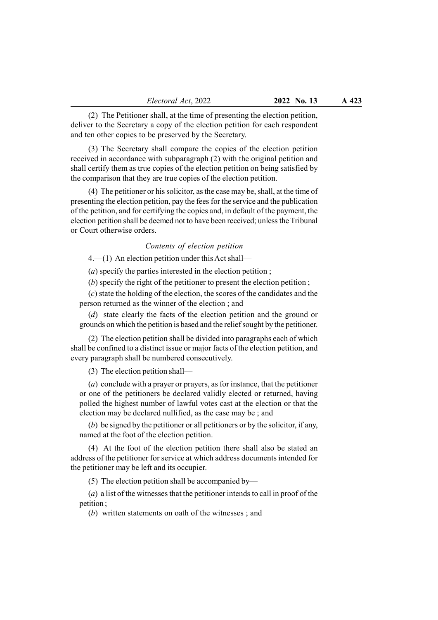(2) The Petitioner shall, at the time of presenting the election petition, deliver to the Secretary a copy of the election petition for each respondent and ten other copies to be preserved by the Secretary.

(3) The Secretary shall compare the copies of the election petition received in accordance with subparagraph (2) with the original petition and shall certify them as true copies of the election petition on being satisfied by the comparison that they are true copies of the election petition.

(4) The petitioner or his solicitor, as the case may be, shall, at the time of presenting the election petition, pay the fees for the service and the publication of the petition, and for certifying the copies and, in default of the payment, the election petition shall be deemed not to have been received; unless the Tribunal or Court otherwise orders.

# Contents of election petition

4.—(1) An election petition under this Act shall—

(a) specify the parties interested in the election petition ;

(b) specify the right of the petitioner to present the election petition ;

(c) state the holding of the election, the scores of the candidates and the person returned as the winner of the election ; and

(d) state clearly the facts of the election petition and the ground or grounds on which the petition is based and the relief sought by the petitioner.

(2) The election petition shall be divided into paragraphs each of which shall be confined to a distinct issue or major facts of the election petition, and every paragraph shall be numbered consecutively.

(3) The election petition shall—

(a) conclude with a prayer or prayers, as for instance, that the petitioner or one of the petitioners be declared validly elected or returned, having polled the highest number of lawful votes cast at the election or that the election may be declared nullified, as the case may be ; and

(b) be signed by the petitioner or all petitioners or by the solicitor, if any, named at the foot of the election petition.

(4) At the foot of the election petition there shall also be stated an address of the petitioner for service at which address documents intended for the petitioner may be left and its occupier.

(5) The election petition shall be accompanied by—

(a) a list of the witnesses that the petitioner intends to call in proof of the petition ;

(b) written statements on oath of the witnesses ; and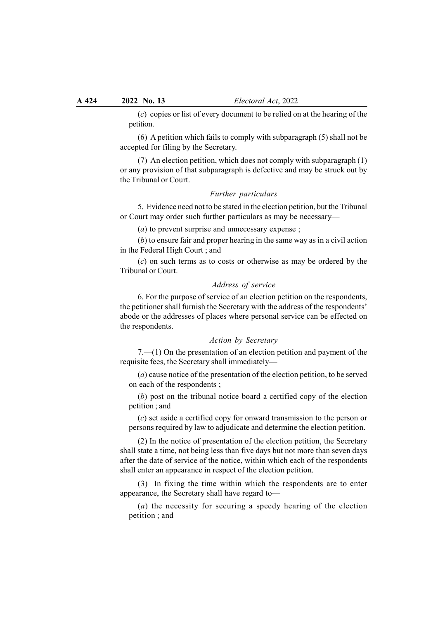(c) copies or list of every document to be relied on at the hearing of the petition.

(6) A petition which fails to comply with subparagraph (5) shall not be accepted for filing by the Secretary.

(7) An election petition, which does not comply with subparagraph (1) or any provision of that subparagraph is defective and may be struck out by the Tribunal or Court.

#### Further particulars

5. Evidence need not to be stated in the election petition, but the Tribunal or Court may order such further particulars as may be necessary—

(*a*) to prevent surprise and unnecessary expense;

(b) to ensure fair and proper hearing in the same way as in a civil action in the Federal High Court ; and

(c) on such terms as to costs or otherwise as may be ordered by the Tribunal or Court.

## Address of service

6. For the purpose of service of an election petition on the respondents, the petitioner shall furnish the Secretary with the address of the respondents' abode or the addresses of places where personal service can be effected on the respondents.

#### Action by Secretary

7.—(1) On the presentation of an election petition and payment of the requisite fees, the Secretary shall immediately—

(a) cause notice of the presentation of the election petition, to be served on each of the respondents ;

(b) post on the tribunal notice board a certified copy of the election petition ; and

(c) set aside a certified copy for onward transmission to the person or persons required by law to adjudicate and determine the election petition.

(2) In the notice of presentation of the election petition, the Secretary shall state a time, not being less than five days but not more than seven days after the date of service of the notice, within which each of the respondents shall enter an appearance in respect of the election petition.

(3) In fixing the time within which the respondents are to enter appearance, the Secretary shall have regard to—

(a) the necessity for securing a speedy hearing of the election petition ; and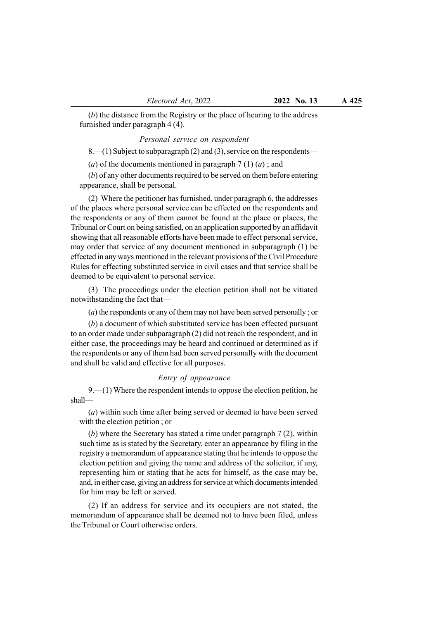(b) the distance from the Registry or the place of hearing to the address furnished under paragraph 4 (4).

#### Personal service on respondent

8.—(1) Subject to subparagraph (2) and (3), service on the respondents—

(a) of the documents mentioned in paragraph  $7(1)(a)$ ; and

(b) of any other documents required to be served on them before entering appearance, shall be personal.

(2) Where the petitioner has furnished, under paragraph 6, the addresses of the places where personal service can be effected on the respondents and the respondents or any of them cannot be found at the place or places, the Tribunal or Court on being satisfied, on an application supported by an affidavit showing that all reasonable efforts have been made to effect personal service, may order that service of any document mentioned in subparagraph (1) be effected in any ways mentioned in the relevant provisions of the Civil Procedure Rules for effecting substituted service in civil cases and that service shall be deemed to be equivalent to personal service.

(3) The proceedings under the election petition shall not be vitiated notwithstanding the fact that—

(a) the respondents or any of them may not have been served personally ; or

(b) a document of which substituted service has been effected pursuant to an order made under subparagraph (2) did not reach the respondent, and in either case, the proceedings may be heard and continued or determined as if the respondents or any of them had been served personally with the document and shall be valid and effective for all purposes.

#### Entry of appearance

9.—(1) Where the respondent intends to oppose the election petition, he shall—

(a) within such time after being served or deemed to have been served with the election petition ; or

(b) where the Secretary has stated a time under paragraph 7 (2), within such time as is stated by the Secretary, enter an appearance by filing in the registry a memorandum of appearance stating that he intends to oppose the election petition and giving the name and address of the solicitor, if any, representing him or stating that he acts for himself, as the case may be, and, in either case, giving an address for service at which documents intended for him may be left or served.

(2) If an address for service and its occupiers are not stated, the memorandum of appearance shall be deemed not to have been filed, unless the Tribunal or Court otherwise orders.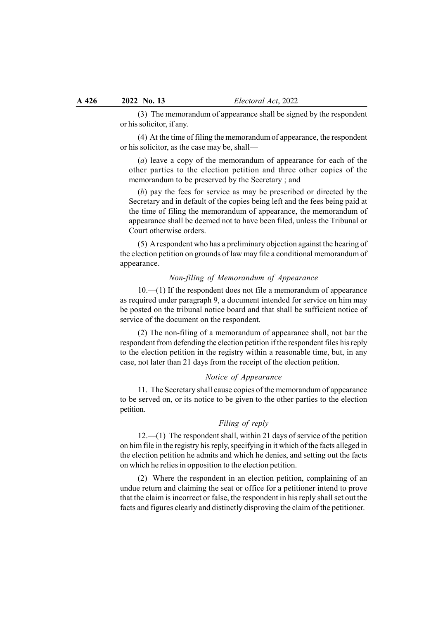(3) The memorandum of appearance shall be signed by the respondent or his solicitor, if any.

(4) At the time of filing the memorandum of appearance, the respondent or his solicitor, as the case may be, shall—

(a) leave a copy of the memorandum of appearance for each of the other parties to the election petition and three other copies of the memorandum to be preserved by the Secretary ; and

(b) pay the fees for service as may be prescribed or directed by the Secretary and in default of the copies being left and the fees being paid at the time of filing the memorandum of appearance, the memorandum of appearance shall be deemed not to have been filed, unless the Tribunal or Court otherwise orders.

(5) A respondent who has a preliminary objection against the hearing of the election petition on grounds of law may file a conditional memorandum of appearance.

# Non-filing of Memorandum of Appearance

10.—(1) If the respondent does not file a memorandum of appearance as required under paragraph 9, a document intended for service on him may be posted on the tribunal notice board and that shall be sufficient notice of service of the document on the respondent.

(2) The non-filing of a memorandum of appearance shall, not bar the respondent from defending the election petition if the respondent files his reply to the election petition in the registry within a reasonable time, but, in any case, not later than 21 days from the receipt of the election petition.

#### Notice of Appearance

11. The Secretary shall cause copies of the memorandum of appearance to be served on, or its notice to be given to the other parties to the election petition.

# Filing of reply

12.—(1) The respondent shall, within 21 days of service of the petition on him file in the registry his reply, specifying in it which of the facts alleged in the election petition he admits and which he denies, and setting out the facts on which he relies in opposition to the election petition.

(2) Where the respondent in an election petition, complaining of an undue return and claiming the seat or office for a petitioner intend to prove that the claim is incorrect or false, the respondent in his reply shall set out the facts and figures clearly and distinctly disproving the claim of the petitioner.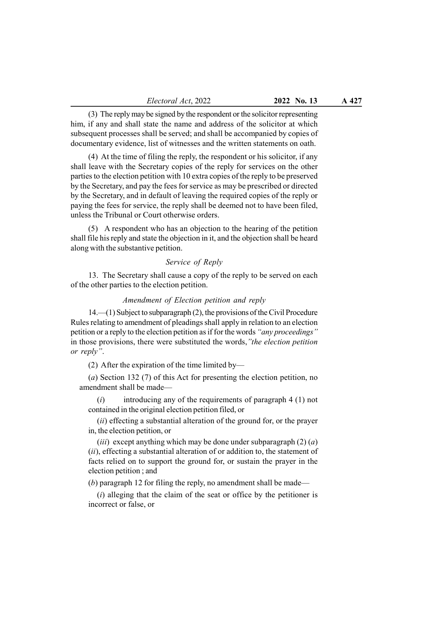(3) The reply may be signed by the respondent or the solicitor representing him, if any and shall state the name and address of the solicitor at which subsequent processes shall be served; and shall be accompanied by copies of documentary evidence, list of witnesses and the written statements on oath.

(4) At the time of filing the reply, the respondent or his solicitor, if any shall leave with the Secretary copies of the reply for services on the other parties to the election petition with 10 extra copies of the reply to be preserved by the Secretary, and pay the fees for service as may be prescribed or directed by the Secretary, and in default of leaving the required copies of the reply or paying the fees for service, the reply shall be deemed not to have been filed, unless the Tribunal or Court otherwise orders.

(5) A respondent who has an objection to the hearing of the petition shall file his reply and state the objection in it, and the objection shall be heard along with the substantive petition.

## Service of Reply

13. The Secretary shall cause a copy of the reply to be served on each of the other parties to the election petition.

## Amendment of Election petition and reply

14.—(1) Subject to subparagraph (2), the provisions of the Civil Procedure Rules relating to amendment of pleadings shall apply in relation to an election petition or a reply to the election petition as if for the words "any proceedings" in those provisions, there were substituted the words,"the election petition or reply".

(2) After the expiration of the time limited by—

(a) Section 132 (7) of this Act for presenting the election petition, no amendment shall be made—

 $(i)$  introducing any of the requirements of paragraph 4 (1) not contained in the original election petition filed, or

(ii) effecting a substantial alteration of the ground for, or the prayer in, the election petition, or

(*iii*) except anything which may be done under subparagraph  $(2)$   $(a)$ (ii), effecting a substantial alteration of or addition to, the statement of facts relied on to support the ground for, or sustain the prayer in the election petition ; and

 $(b)$  paragraph 12 for filing the reply, no amendment shall be made—

 $(i)$  alleging that the claim of the seat or office by the petitioner is incorrect or false, or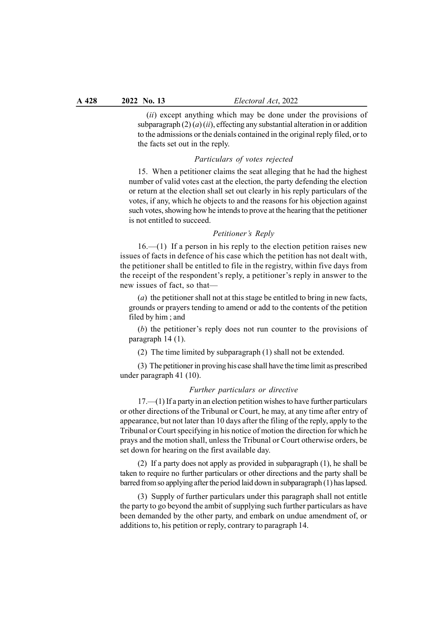(*ii*) except anything which may be done under the provisions of subparagraph  $(2)$   $(a)$   $(ii)$ , effecting any substantial alteration in or addition to the admissions or the denials contained in the original reply filed, or to the facts set out in the reply.

# Particulars of votes rejected

15. When a petitioner claims the seat alleging that he had the highest number of valid votes cast at the election, the party defending the election or return at the election shall set out clearly in his reply particulars of the votes, if any, which he objects to and the reasons for his objection against such votes, showing how he intends to prove at the hearing that the petitioner is not entitled to succeed.

#### Petitioner's Reply

 $16-1$ ) If a person in his reply to the election petition raises new issues of facts in defence of his case which the petition has not dealt with, the petitioner shall be entitled to file in the registry, within five days from the receipt of the respondent's reply, a petitioner's reply in answer to the new issues of fact, so that—

(a) the petitioner shall not at this stage be entitled to bring in new facts, grounds or prayers tending to amend or add to the contents of the petition filed by him ; and

(b) the petitioner's reply does not run counter to the provisions of paragraph 14 (1).

(2) The time limited by subparagraph (1) shall not be extended.

(3) The petitioner in proving his case shall have the time limit as prescribed under paragraph 41 (10).

#### Further particulars or directive

17.—(1) If a party in an election petition wishes to have further particulars or other directions of the Tribunal or Court, he may, at any time after entry of appearance, but not later than 10 days after the filing of the reply, apply to the Tribunal or Court specifying in his notice of motion the direction for which he prays and the motion shall, unless the Tribunal or Court otherwise orders, be set down for hearing on the first available day.

(2) If a party does not apply as provided in subparagraph (1), he shall be taken to require no further particulars or other directions and the party shall be barred from so applying after the period laid down in subparagraph (1) has lapsed.

(3) Supply of further particulars under this paragraph shall not entitle the party to go beyond the ambit of supplying such further particulars as have been demanded by the other party, and embark on undue amendment of, or additions to, his petition or reply, contrary to paragraph 14.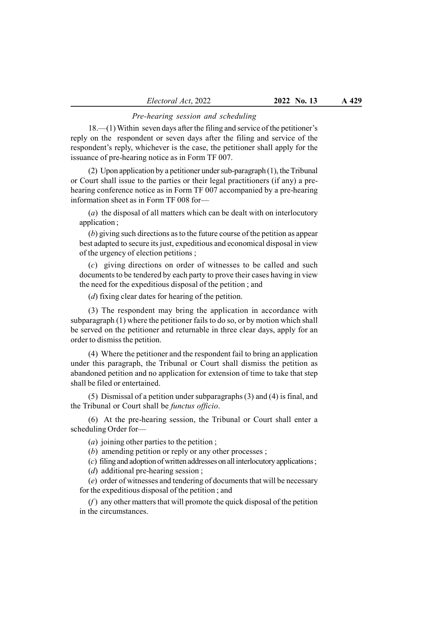# Pre-hearing session and scheduling

18.—(1) Within seven days after the filing and service of the petitioner's reply on the respondent or seven days after the filing and service of the respondent's reply, whichever is the case, the petitioner shall apply for the issuance of pre-hearing notice as in Form TF 007.

(2) Upon application by a petitioner under sub-paragraph (1), the Tribunal or Court shall issue to the parties or their legal practitioners (if any) a prehearing conference notice as in Form TF 007 accompanied by a pre-hearing information sheet as in Form TF 008 for—

(a) the disposal of all matters which can be dealt with on interlocutory application ;

(b) giving such directions as to the future course of the petition as appear best adapted to secure its just, expeditious and economical disposal in view of the urgency of election petitions ;

(c) giving directions on order of witnesses to be called and such documents to be tendered by each party to prove their cases having in view the need for the expeditious disposal of the petition ; and

(d) fixing clear dates for hearing of the petition.

(3) The respondent may bring the application in accordance with subparagraph (1) where the petitioner fails to do so, or by motion which shall be served on the petitioner and returnable in three clear days, apply for an order to dismiss the petition.

(4) Where the petitioner and the respondent fail to bring an application under this paragraph, the Tribunal or Court shall dismiss the petition as abandoned petition and no application for extension of time to take that step shall be filed or entertained.

(5) Dismissal of a petition under subparagraphs (3) and (4) is final, and the Tribunal or Court shall be functus officio.

(6) At the pre-hearing session, the Tribunal or Court shall enter a scheduling Order for—

(*a*) joining other parties to the petition ;

(b) amending petition or reply or any other processes ;

(c) filing and adoption of written addresses on all interlocutory applications ;

(*d*) additional pre-hearing session;

(e) order of witnesses and tendering of documents that will be necessary for the expeditious disposal of the petition ; and

 $(f)$  any other matters that will promote the quick disposal of the petition in the circumstances.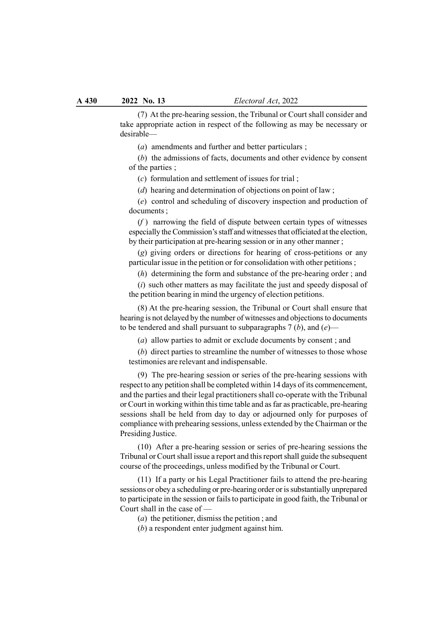(7) At the pre-hearing session, the Tribunal or Court shall consider and take appropriate action in respect of the following as may be necessary or desirable—

(a) amendments and further and better particulars ;

(b) the admissions of facts, documents and other evidence by consent of the parties ;

(c) formulation and settlement of issues for trial ;

(d) hearing and determination of objections on point of law;

(e) control and scheduling of discovery inspection and production of documents ;

 $(f)$  narrowing the field of dispute between certain types of witnesses especially the Commission's staff and witnesses that officiated at the election, by their participation at pre-hearing session or in any other manner ;

(g) giving orders or directions for hearing of cross-petitions or any particular issue in the petition or for consolidation with other petitions ;

(h) determining the form and substance of the pre-hearing order ; and

 $(i)$  such other matters as may facilitate the just and speedy disposal of the petition bearing in mind the urgency of election petitions.

(8) At the pre-hearing session, the Tribunal or Court shall ensure that hearing is not delayed by the number of witnesses and objections to documents to be tendered and shall pursuant to subparagraphs  $7(b)$ , and  $(e)$ —

(a) allow parties to admit or exclude documents by consent ; and

(b) direct parties to streamline the number of witnesses to those whose testimonies are relevant and indispensable.

(9) The pre-hearing session or series of the pre-hearing sessions with respect to any petition shall be completed within 14 days of its commencement, and the parties and their legal practitioners shall co-operate with the Tribunal or Court in working within this time table and as far as practicable, pre-hearing sessions shall be held from day to day or adjourned only for purposes of compliance with prehearing sessions, unless extended by the Chairman or the Presiding Justice.

(10) After a pre-hearing session or series of pre-hearing sessions the Tribunal or Court shall issue a report and this report shall guide the subsequent course of the proceedings, unless modified by the Tribunal or Court.

(11) If a party or his Legal Practitioner fails to attend the pre-hearing sessions or obey a scheduling or pre-hearing order or is substantially unprepared to participate in the session or fails to participate in good faith, the Tribunal or Court shall in the case of —

(a) the petitioner, dismiss the petition ; and

(b) a respondent enter judgment against him.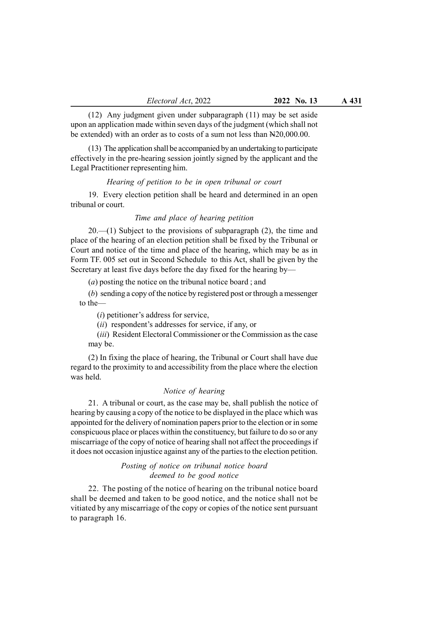(12) Any judgment given under subparagraph (11) may be set aside upon an application made within seven days of the judgment (which shall not be extended) with an order as to costs of a sum not less than N20,000.00.

(13) The application shall be accompanied by an undertaking to participate effectively in the pre-hearing session jointly signed by the applicant and the Legal Practitioner representing him.

#### Hearing of petition to be in open tribunal or court

19. Every election petition shall be heard and determined in an open tribunal or court.

#### Time and place of hearing petition

 $20$ —(1) Subject to the provisions of subparagraph (2), the time and place of the hearing of an election petition shall be fixed by the Tribunal or Court and notice of the time and place of the hearing, which may be as in Form TF. 005 set out in Second Schedule to this Act, shall be given by the Secretary at least five days before the day fixed for the hearing by—

(a) posting the notice on the tribunal notice board ; and

(b) sending a copy of the notice by registered post or through a messenger to the—

 $(i)$  petitioner's address for service,

(*ii*) respondent's addresses for service, if any, or

(*iii*) Resident Electoral Commissioner or the Commission as the case may be.

(2) In fixing the place of hearing, the Tribunal or Court shall have due regard to the proximity to and accessibility from the place where the election was held.

# Notice of hearing

21. A tribunal or court, as the case may be, shall publish the notice of hearing by causing a copy of the notice to be displayed in the place which was appointed for the delivery of nomination papers prior to the election or in some conspicuous place or places within the constituency, but failure to do so or any miscarriage of the copy of notice of hearing shall not affect the proceedings if it does not occasion injustice against any of the parties to the election petition.

# Posting of notice on tribunal notice board deemed to be good notice

22. The posting of the notice of hearing on the tribunal notice board shall be deemed and taken to be good notice, and the notice shall not be vitiated by any miscarriage of the copy or copies of the notice sent pursuant to paragraph 16.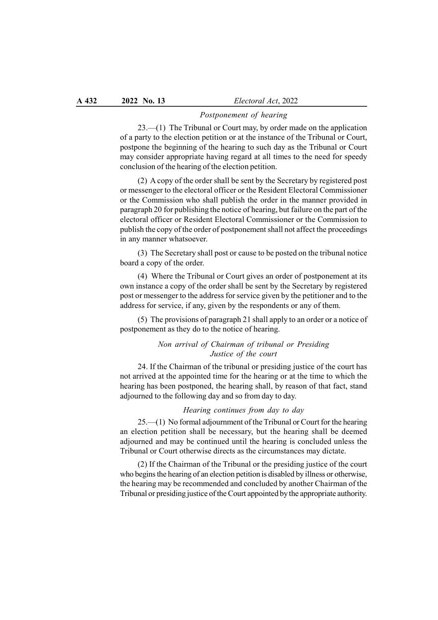#### Postponement of hearing

23.—(1) The Tribunal or Court may, by order made on the application of a party to the election petition or at the instance of the Tribunal or Court, postpone the beginning of the hearing to such day as the Tribunal or Court may consider appropriate having regard at all times to the need for speedy conclusion of the hearing of the election petition.

(2) A copy of the order shall be sent by the Secretary by registered post or messenger to the electoral officer or the Resident Electoral Commissioner or the Commission who shall publish the order in the manner provided in paragraph 20 for publishing the notice of hearing, but failure on the part of the electoral officer or Resident Electoral Commissioner or the Commission to publish the copy of the order of postponement shall not affect the proceedings in any manner whatsoever.

(3) The Secretary shall post or cause to be posted on the tribunal notice board a copy of the order.

(4) Where the Tribunal or Court gives an order of postponement at its own instance a copy of the order shall be sent by the Secretary by registered post or messenger to the address for service given by the petitioner and to the address for service, if any, given by the respondents or any of them.

(5) The provisions of paragraph 21 shall apply to an order or a notice of postponement as they do to the notice of hearing.

# Non arrival of Chairman of tribunal or Presiding Justice of the court

24. If the Chairman of the tribunal or presiding justice of the court has not arrived at the appointed time for the hearing or at the time to which the hearing has been postponed, the hearing shall, by reason of that fact, stand adjourned to the following day and so from day to day.

# Hearing continues from day to day

25.—(1) No formal adjournment of the Tribunal or Court for the hearing an election petition shall be necessary, but the hearing shall be deemed adjourned and may be continued until the hearing is concluded unless the Tribunal or Court otherwise directs as the circumstances may dictate.

(2) If the Chairman of the Tribunal or the presiding justice of the court who begins the hearing of an election petition is disabled by illness or otherwise, the hearing may be recommended and concluded by another Chairman of the Tribunal or presiding justice of the Court appointed by the appropriate authority.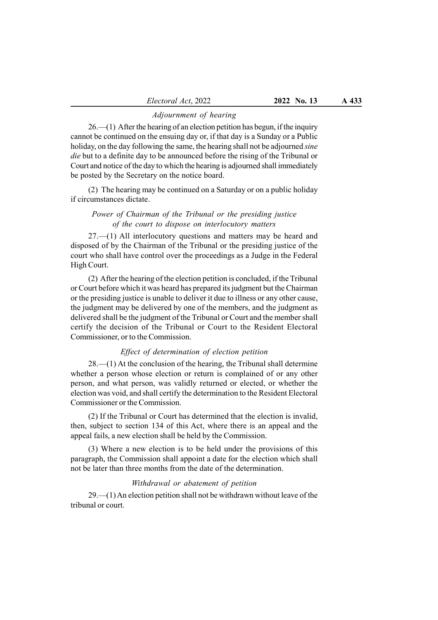#### Adjournment of hearing

26.—(1) After the hearing of an election petition has begun, if the inquiry cannot be continued on the ensuing day or, if that day is a Sunday or a Public holiday, on the day following the same, the hearing shall not be adjourned *sine* die but to a definite day to be announced before the rising of the Tribunal or Court and notice of the day to which the hearing is adjourned shall immediately be posted by the Secretary on the notice board.

(2) The hearing may be continued on a Saturday or on a public holiday if circumstances dictate.

# Power of Chairman of the Tribunal or the presiding justice of the court to dispose on interlocutory matters

27.—(1) All interlocutory questions and matters may be heard and disposed of by the Chairman of the Tribunal or the presiding justice of the court who shall have control over the proceedings as a Judge in the Federal High Court.

(2) After the hearing of the election petition is concluded, if the Tribunal or Court before which it was heard has prepared its judgment but the Chairman or the presiding justice is unable to deliver it due to illness or any other cause, the judgment may be delivered by one of the members, and the judgment as delivered shall be the judgment of the Tribunal or Court and the member shall certify the decision of the Tribunal or Court to the Resident Electoral Commissioner, or to the Commission.

# Effect of determination of election petition

 $28$ —(1) At the conclusion of the hearing, the Tribunal shall determine whether a person whose election or return is complained of or any other person, and what person, was validly returned or elected, or whether the election was void, and shall certify the determination to the Resident Electoral Commissioner or the Commission.

(2) If the Tribunal or Court has determined that the election is invalid, then, subject to section 134 of this Act, where there is an appeal and the appeal fails, a new election shall be held by the Commission.

(3) Where a new election is to be held under the provisions of this paragraph, the Commission shall appoint a date for the election which shall not be later than three months from the date of the determination.

# Withdrawal or abatement of petition

29.—(1) An election petition shall not be withdrawn without leave of the tribunal or court.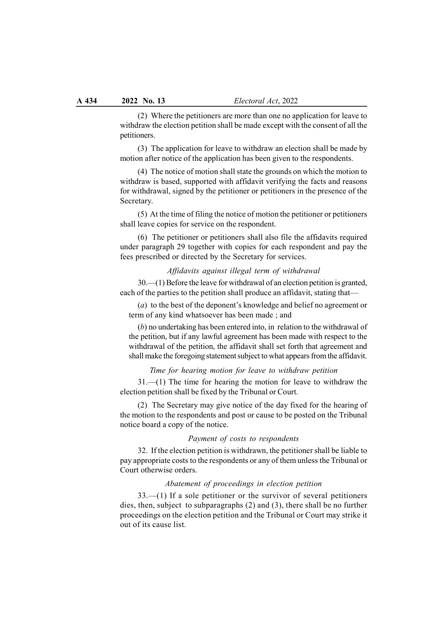(2) Where the petitioners are more than one no application for leave to withdraw the election petition shall be made except with the consent of all the petitioners.

(3) The application for leave to withdraw an election shall be made by motion after notice of the application has been given to the respondents.

(4) The notice of motion shall state the grounds on which the motion to withdraw is based, supported with affidavit verifying the facts and reasons for withdrawal, signed by the petitioner or petitioners in the presence of the Secretary.

(5) At the time of filing the notice of motion the petitioner or petitioners shall leave copies for service on the respondent.

(6) The petitioner or petitioners shall also file the affidavits required under paragraph 29 together with copies for each respondent and pay the fees prescribed or directed by the Secretary for services.

### Affidavits against illegal term of withdrawal

30.—(1) Before the leave for withdrawal of an election petition is granted, each of the parties to the petition shall produce an affidavit, stating that—

(a) to the best of the deponent's knowledge and belief no agreement or term of any kind whatsoever has been made ; and

(b) no undertaking has been entered into, in relation to the withdrawal of the petition, but if any lawful agreement has been made with respect to the withdrawal of the petition, the affidavit shall set forth that agreement and shall make the foregoing statement subject to what appears from the affidavit.

#### Time for hearing motion for leave to withdraw petition

31.—(1) The time for hearing the motion for leave to withdraw the election petition shall be fixed by the Tribunal or Court.

(2) The Secretary may give notice of the day fixed for the hearing of the motion to the respondents and post or cause to be posted on the Tribunal notice board a copy of the notice.

#### Payment of costs to respondents

32. If the election petition is withdrawn, the petitioner shall be liable to pay appropriate costs to the respondents or any of them unless the Tribunal or Court otherwise orders.

### Abatement of proceedings in election petition

33.—(1) If a sole petitioner or the survivor of several petitioners dies, then, subject to subparagraphs (2) and (3), there shall be no further proceedings on the election petition and the Tribunal or Court may strike it out of its cause list.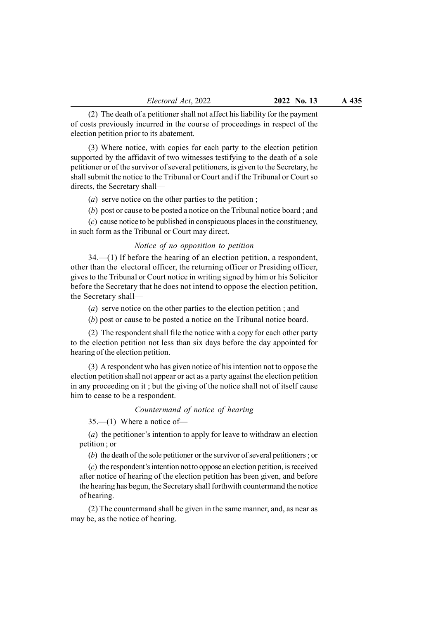(2) The death of a petitioner shall not affect his liability for the payment of costs previously incurred in the course of proceedings in respect of the election petition prior to its abatement.

(3) Where notice, with copies for each party to the election petition supported by the affidavit of two witnesses testifying to the death of a sole petitioner or of the survivor of several petitioners, is given to the Secretary, he shall submit the notice to the Tribunal or Court and if the Tribunal or Court so directs, the Secretary shall—

(a) serve notice on the other parties to the petition ;

(b) post or cause to be posted a notice on the Tribunal notice board ; and

(c) cause notice to be published in conspicuous places in the constituency, in such form as the Tribunal or Court may direct.

## Notice of no opposition to petition

34.—(1) If before the hearing of an election petition, a respondent, other than the electoral officer, the returning officer or Presiding officer, gives to the Tribunal or Court notice in writing signed by him or his Solicitor before the Secretary that he does not intend to oppose the election petition, the Secretary shall—

(a) serve notice on the other parties to the election petition ; and

(b) post or cause to be posted a notice on the Tribunal notice board.

(2) The respondent shall file the notice with a copy for each other party to the election petition not less than six days before the day appointed for hearing of the election petition.

(3) A respondent who has given notice of his intention not to oppose the election petition shall not appear or act as a party against the election petition in any proceeding on it ; but the giving of the notice shall not of itself cause him to cease to be a respondent.

## Countermand of notice of hearing

35.—(1) Where a notice of—

(a) the petitioner's intention to apply for leave to withdraw an election petition ; or

(b) the death of the sole petitioner or the survivor of several petitioners ; or

(c) the respondent's intention not to oppose an election petition, is received after notice of hearing of the election petition has been given, and before the hearing has begun, the Secretary shall forthwith countermand the notice of hearing.

(2) The countermand shall be given in the same manner, and, as near as may be, as the notice of hearing.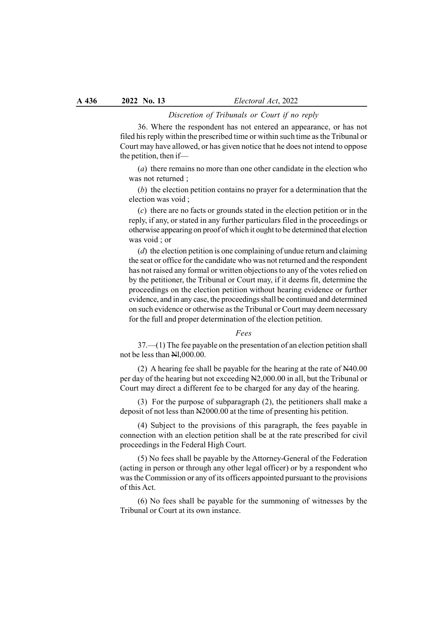#### Discretion of Tribunals or Court if no reply

36. Where the respondent has not entered an appearance, or has not filed his reply within the prescribed time or within such time as the Tribunal or Court may have allowed, or has given notice that he does not intend to oppose the petition, then if—

(a) there remains no more than one other candidate in the election who was not returned ;

(b) the election petition contains no prayer for a determination that the election was void ;

(c) there are no facts or grounds stated in the election petition or in the reply, if any, or stated in any further particulars filed in the proceedings or otherwise appearing on proof of which it ought to be determined that election was void ; or

 $(d)$  the election petition is one complaining of undue return and claiming the seat or office for the candidate who was not returned and the respondent has not raised any formal or written objections to any of the votes relied on by the petitioner, the Tribunal or Court may, if it deems fit, determine the proceedings on the election petition without hearing evidence or further evidence, and in any case, the proceedings shall be continued and determined on such evidence or otherwise as the Tribunal or Court may deem necessary for the full and proper determination of the election petition.

#### Fees

37.—(1) The fee payable on the presentation of an election petition shall not be less than Nl,000.00.

(2) A hearing fee shall be payable for the hearing at the rate of N40.00 per day of the hearing but not exceeding N2,000.00 in all, but the Tribunal or Court may direct a different fee to be charged for any day of the hearing.

(3) For the purpose of subparagraph (2), the petitioners shall make a deposit of not less than N2000.00 at the time of presenting his petition.

(4) Subject to the provisions of this paragraph, the fees payable in connection with an election petition shall be at the rate prescribed for civil proceedings in the Federal High Court.

(5) No fees shall be payable by the Attorney-General of the Federation (acting in person or through any other legal officer) or by a respondent who was the Commission or any of its officers appointed pursuant to the provisions of this Act.

(6) No fees shall be payable for the summoning of witnesses by the Tribunal or Court at its own instance.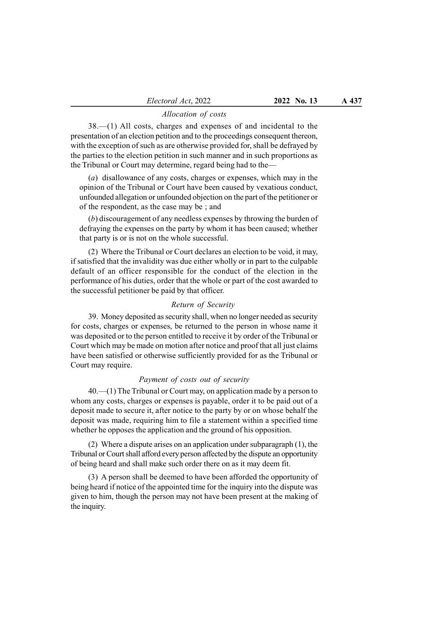# Allocation of costs

38.—(1) All costs, charges and expenses of and incidental to the presentation of an election petition and to the proceedings consequent thereon, with the exception of such as are otherwise provided for, shall be defrayed by the parties to the election petition in such manner and in such proportions as the Tribunal or Court may determine, regard being had to the—

(a) disallowance of any costs, charges or expenses, which may in the opinion of the Tribunal or Court have been caused by vexatious conduct, unfounded allegation or unfounded objection on the part of the petitioner or of the respondent, as the case may be ; and

(b) discouragement of any needless expenses by throwing the burden of defraying the expenses on the party by whom it has been caused; whether that party is or is not on the whole successful.

(2) Where the Tribunal or Court declares an election to be void, it may, if satisfied that the invalidity was due either wholly or in part to the culpable default of an officer responsible for the conduct of the election in the performance of his duties, order that the whole or part of the cost awarded to the successful petitioner be paid by that officer.

### Return of Security

39. Money deposited as security shall, when no longer needed as security for costs, charges or expenses, be returned to the person in whose name it was deposited or to the person entitled to receive it by order of the Tribunal or Court which may be made on motion after notice and proof that all just claims have been satisfied or otherwise sufficiently provided for as the Tribunal or Court may require.

#### Payment of costs out of security

40.—(1) The Tribunal or Court may, on application made by a person to whom any costs, charges or expenses is payable, order it to be paid out of a deposit made to secure it, after notice to the party by or on whose behalf the deposit was made, requiring him to file a statement within a specified time whether he opposes the application and the ground of his opposition.

(2) Where a dispute arises on an application under subparagraph (1), the Tribunal or Court shall afford every person affected by the dispute an opportunity of being heard and shall make such order there on as it may deem fit.

(3) A person shall be deemed to have been afforded the opportunity of being heard if notice of the appointed time for the inquiry into the dispute was given to him, though the person may not have been present at the making of the inquiry.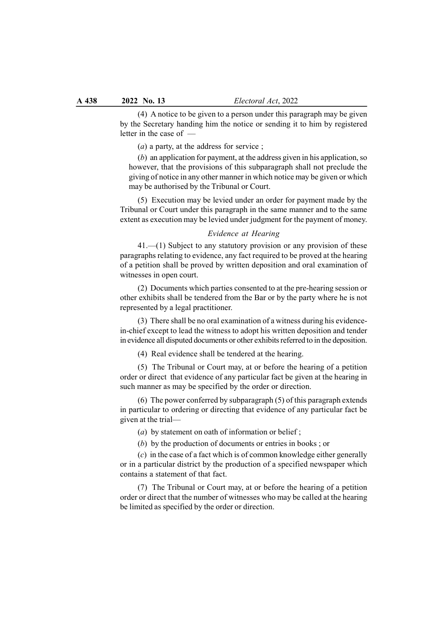(4) A notice to be given to a person under this paragraph may be given by the Secretary handing him the notice or sending it to him by registered letter in the case of —

 $(a)$  a party, at the address for service;

(b) an application for payment, at the address given in his application, so however, that the provisions of this subparagraph shall not preclude the giving of notice in any other manner in which notice may be given or which may be authorised by the Tribunal or Court.

(5) Execution may be levied under an order for payment made by the Tribunal or Court under this paragraph in the same manner and to the same extent as execution may be levied under judgment for the payment of money.

## Evidence at Hearing

41.—(1) Subject to any statutory provision or any provision of these paragraphs relating to evidence, any fact required to be proved at the hearing of a petition shall be proved by written deposition and oral examination of witnesses in open court.

(2) Documents which parties consented to at the pre-hearing session or other exhibits shall be tendered from the Bar or by the party where he is not represented by a legal practitioner.

(3) There shall be no oral examination of a witness during his evidencein-chief except to lead the witness to adopt his written deposition and tender in evidence all disputed documents or other exhibits referred to in the deposition.

(4) Real evidence shall be tendered at the hearing.

(5) The Tribunal or Court may, at or before the hearing of a petition order or direct that evidence of any particular fact be given at the hearing in such manner as may be specified by the order or direction.

(6) The power conferred by subparagraph (5) of this paragraph extends in particular to ordering or directing that evidence of any particular fact be given at the trial—

(a) by statement on oath of information or belief;

(b) by the production of documents or entries in books ; or

(c) in the case of a fact which is of common knowledge either generally or in a particular district by the production of a specified newspaper which contains a statement of that fact.

(7) The Tribunal or Court may, at or before the hearing of a petition order or direct that the number of witnesses who may be called at the hearing be limited as specified by the order or direction.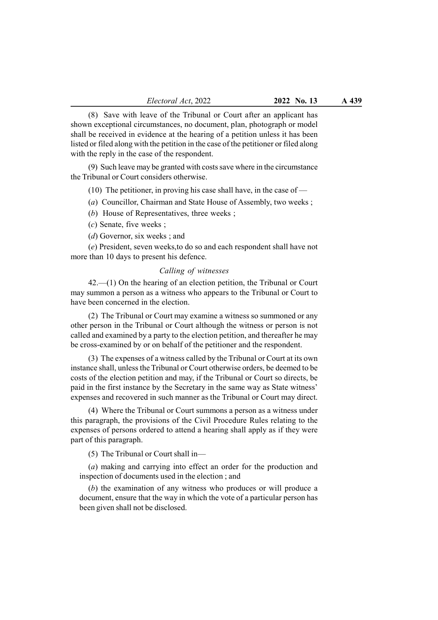(8) Save with leave of the Tribunal or Court after an applicant has shown exceptional circumstances, no document, plan, photograph or model shall be received in evidence at the hearing of a petition unless it has been listed or filed along with the petition in the case of the petitioner or filed along with the reply in the case of the respondent.

(9) Such leave may be granted with costs save where in the circumstance the Tribunal or Court considers otherwise.

(10) The petitioner, in proving his case shall have, in the case of  $-$ 

(a) Councillor, Chairman and State House of Assembly, two weeks ;

(b) House of Representatives, three weeks;

(c) Senate, five weeks ;

(*d*) Governor, six weeks; and

(e) President, seven weeks,to do so and each respondent shall have not more than 10 days to present his defence.

### Calling of witnesses

42.—(1) On the hearing of an election petition, the Tribunal or Court may summon a person as a witness who appears to the Tribunal or Court to have been concerned in the election.

(2) The Tribunal or Court may examine a witness so summoned or any other person in the Tribunal or Court although the witness or person is not called and examined by a party to the election petition, and thereafter he may be cross-examined by or on behalf of the petitioner and the respondent.

(3) The expenses of a witness called by the Tribunal or Court at its own instance shall, unless the Tribunal or Court otherwise orders, be deemed to be costs of the election petition and may, if the Tribunal or Court so directs, be paid in the first instance by the Secretary in the same way as State witness' expenses and recovered in such manner as the Tribunal or Court may direct.

(4) Where the Tribunal or Court summons a person as a witness under this paragraph, the provisions of the Civil Procedure Rules relating to the expenses of persons ordered to attend a hearing shall apply as if they were part of this paragraph.

(5) The Tribunal or Court shall in—

(a) making and carrying into effect an order for the production and inspection of documents used in the election ; and

(b) the examination of any witness who produces or will produce a document, ensure that the way in which the vote of a particular person has been given shall not be disclosed.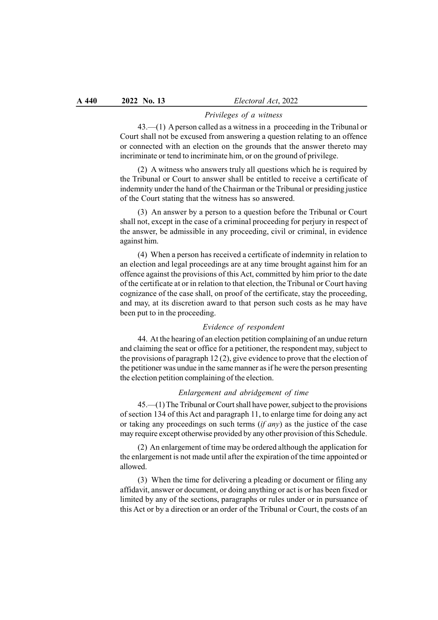#### Privileges of a witness

43.—(1) A person called as a witness in a proceeding in the Tribunal or Court shall not be excused from answering a question relating to an offence or connected with an election on the grounds that the answer thereto may incriminate or tend to incriminate him, or on the ground of privilege.

(2) A witness who answers truly all questions which he is required by the Tribunal or Court to answer shall be entitled to receive a certificate of indemnity under the hand of the Chairman or the Tribunal or presiding justice of the Court stating that the witness has so answered.

(3) An answer by a person to a question before the Tribunal or Court shall not, except in the case of a criminal proceeding for perjury in respect of the answer, be admissible in any proceeding, civil or criminal, in evidence against him.

(4) When a person has received a certificate of indemnity in relation to an election and legal proceedings are at any time brought against him for an offence against the provisions of this Act, committed by him prior to the date of the certificate at or in relation to that election, the Tribunal or Court having cognizance of the case shall, on proof of the certificate, stay the proceeding, and may, at its discretion award to that person such costs as he may have been put to in the proceeding.

# Evidence of respondent

44. At the hearing of an election petition complaining of an undue return and claiming the seat or office for a petitioner, the respondent may, subject to the provisions of paragraph 12 (2), give evidence to prove that the election of the petitioner was undue in the same manner as if he were the person presenting the election petition complaining of the election.

#### Enlargement and abridgement of time

45.—(1) The Tribunal or Court shall have power, subject to the provisions of section 134 of this Act and paragraph 11, to enlarge time for doing any act or taking any proceedings on such terms  $(if any)$  as the justice of the case may require except otherwise provided by any other provision of this Schedule.

(2) An enlargement of time may be ordered although the application for the enlargement is not made until after the expiration of the time appointed or allowed.

(3) When the time for delivering a pleading or document or filing any affidavit, answer or document, or doing anything or act is or has been fixed or limited by any of the sections, paragraphs or rules under or in pursuance of this Act or by a direction or an order of the Tribunal or Court, the costs of an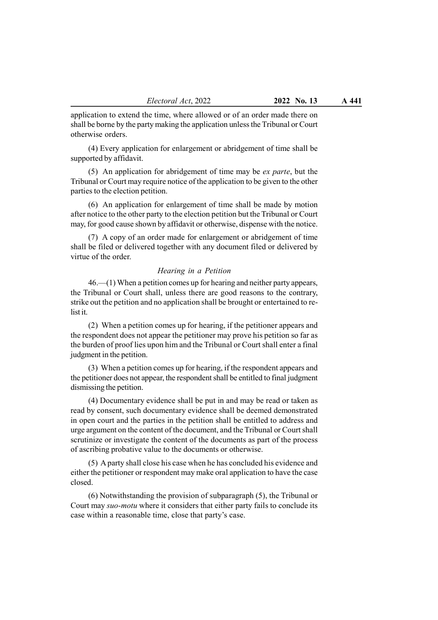application to extend the time, where allowed or of an order made there on shall be borne by the party making the application unless the Tribunal or Court otherwise orders.

(4) Every application for enlargement or abridgement of time shall be supported by affidavit.

(5) An application for abridgement of time may be ex parte, but the Tribunal or Court may require notice of the application to be given to the other parties to the election petition.

(6) An application for enlargement of time shall be made by motion after notice to the other party to the election petition but the Tribunal or Court may, for good cause shown by affidavit or otherwise, dispense with the notice.

(7) A copy of an order made for enlargement or abridgement of time shall be filed or delivered together with any document filed or delivered by virtue of the order.

#### Hearing in a Petition

46.—(1) When a petition comes up for hearing and neither party appears, the Tribunal or Court shall, unless there are good reasons to the contrary, strike out the petition and no application shall be brought or entertained to relist it.

(2) When a petition comes up for hearing, if the petitioner appears and the respondent does not appear the petitioner may prove his petition so far as the burden of proof lies upon him and the Tribunal or Court shall enter a final judgment in the petition.

(3) When a petition comes up for hearing, if the respondent appears and the petitioner does not appear, the respondent shall be entitled to final judgment dismissing the petition.

(4) Documentary evidence shall be put in and may be read or taken as read by consent, such documentary evidence shall be deemed demonstrated in open court and the parties in the petition shall be entitled to address and urge argument on the content of the document, and the Tribunal or Court shall scrutinize or investigate the content of the documents as part of the process of ascribing probative value to the documents or otherwise.

(5) A party shall close his case when he has concluded his evidence and either the petitioner or respondent may make oral application to have the case closed.

(6) Notwithstanding the provision of subparagraph (5), the Tribunal or Court may suo-motu where it considers that either party fails to conclude its case within a reasonable time, close that party's case.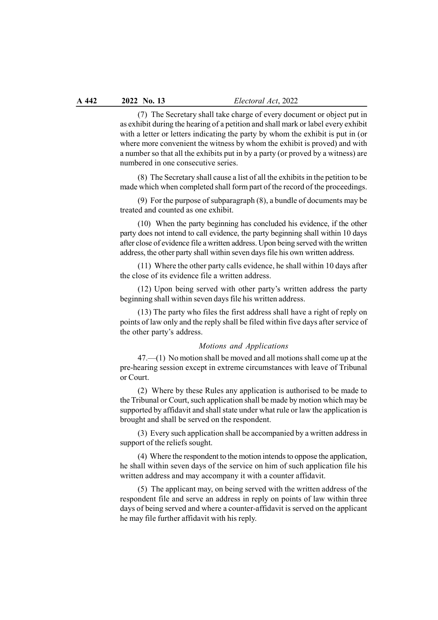(7) The Secretary shall take charge of every document or object put in as exhibit during the hearing of a petition and shall mark or label every exhibit with a letter or letters indicating the party by whom the exhibit is put in (or where more convenient the witness by whom the exhibit is proved) and with a number so that all the exhibits put in by a party (or proved by a witness) are numbered in one consecutive series.

(8) The Secretary shall cause a list of all the exhibits in the petition to be made which when completed shall form part of the record of the proceedings.

(9) For the purpose of subparagraph (8), a bundle of documents may be treated and counted as one exhibit.

(10) When the party beginning has concluded his evidence, if the other party does not intend to call evidence, the party beginning shall within 10 days after close of evidence file a written address. Upon being served with the written address, the other party shall within seven days file his own written address.

(11) Where the other party calls evidence, he shall within 10 days after the close of its evidence file a written address.

(12) Upon being served with other party's written address the party beginning shall within seven days file his written address.

(13) The party who files the first address shall have a right of reply on points of law only and the reply shall be filed within five days after service of the other party's address.

### Motions and Applications

47.—(1) No motion shall be moved and all motions shall come up at the pre-hearing session except in extreme circumstances with leave of Tribunal or Court.

(2) Where by these Rules any application is authorised to be made to the Tribunal or Court, such application shall be made by motion which may be supported by affidavit and shall state under what rule or law the application is brought and shall be served on the respondent.

(3) Every such application shall be accompanied by a written address in support of the reliefs sought.

(4) Where the respondent to the motion intends to oppose the application, he shall within seven days of the service on him of such application file his written address and may accompany it with a counter affidavit.

(5) The applicant may, on being served with the written address of the respondent file and serve an address in reply on points of law within three days of being served and where a counter-affidavit is served on the applicant he may file further affidavit with his reply.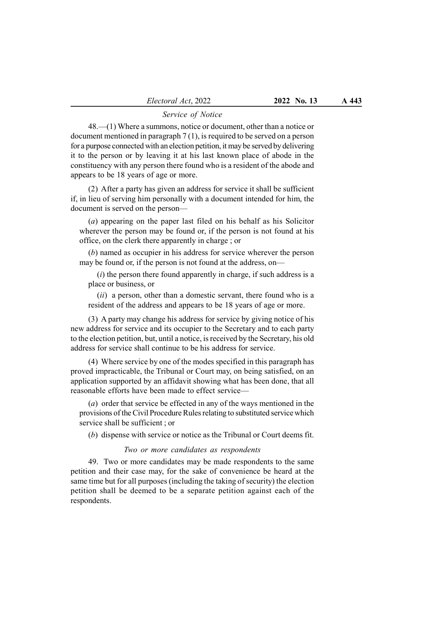#### Service of Notice

48.—(1) Where a summons, notice or document, other than a notice or document mentioned in paragraph 7 (1), is required to be served on a person for a purpose connected with an election petition, it may be served by delivering it to the person or by leaving it at his last known place of abode in the constituency with any person there found who is a resident of the abode and appears to be 18 years of age or more.

(2) After a party has given an address for service it shall be sufficient if, in lieu of serving him personally with a document intended for him, the document is served on the person—

(a) appearing on the paper last filed on his behalf as his Solicitor wherever the person may be found or, if the person is not found at his office, on the clerk there apparently in charge ; or

(b) named as occupier in his address for service wherever the person may be found or, if the person is not found at the address, on—

 $(i)$  the person there found apparently in charge, if such address is a place or business, or

 $(ii)$  a person, other than a domestic servant, there found who is a resident of the address and appears to be 18 years of age or more.

(3) A party may change his address for service by giving notice of his new address for service and its occupier to the Secretary and to each party to the election petition, but, until a notice, is received by the Secretary, his old address for service shall continue to be his address for service.

(4) Where service by one of the modes specified in this paragraph has proved impracticable, the Tribunal or Court may, on being satisfied, on an application supported by an affidavit showing what has been done, that all reasonable efforts have been made to effect service—

(a) order that service be effected in any of the ways mentioned in the provisions of the Civil Procedure Rules relating to substituted service which service shall be sufficient ; or

(b) dispense with service or notice as the Tribunal or Court deems fit.

#### Two or more candidates as respondents

49. Two or more candidates may be made respondents to the same petition and their case may, for the sake of convenience be heard at the same time but for all purposes (including the taking of security) the election petition shall be deemed to be a separate petition against each of the respondents.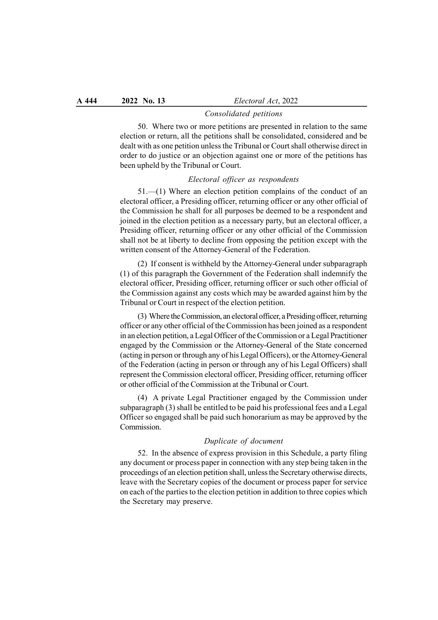#### Consolidated petitions

50. Where two or more petitions are presented in relation to the same election or return, all the petitions shall be consolidated, considered and be dealt with as one petition unless the Tribunal or Court shall otherwise direct in order to do justice or an objection against one or more of the petitions has been upheld by the Tribunal or Court.

#### Electoral officer as respondents

51.—(1) Where an election petition complains of the conduct of an electoral officer, a Presiding officer, returning officer or any other official of the Commission he shall for all purposes be deemed to be a respondent and joined in the election petition as a necessary party, but an electoral officer, a Presiding officer, returning officer or any other official of the Commission shall not be at liberty to decline from opposing the petition except with the written consent of the Attorney-General of the Federation.

(2) If consent is withheld by the Attorney-General under subparagraph (1) of this paragraph the Government of the Federation shall indemnify the electoral officer, Presiding officer, returning officer or such other official of the Commission against any costs which may be awarded against him by the Tribunal or Court in respect of the election petition.

(3) Where the Commission, an electoral officer, a Presiding officer, returning officer or any other official of the Commission has been joined as a respondent in an election petition, a Legal Officer of the Commission or a Legal Practitioner engaged by the Commission or the Attorney-General of the State concerned (acting in person or through any of his Legal Officers), or the Attorney-General of the Federation (acting in person or through any of his Legal Officers) shall represent the Commission electoral officer, Presiding officer, returning officer or other official of the Commission at the Tribunal or Court.

(4) A private Legal Practitioner engaged by the Commission under subparagraph (3) shall be entitled to be paid his professional fees and a Legal Officer so engaged shall be paid such honorarium as may be approved by the Commission.

#### Duplicate of document

52. In the absence of express provision in this Schedule, a party filing any document or process paper in connection with any step being taken in the proceedings of an election petition shall, unless the Secretary otherwise directs, leave with the Secretary copies of the document or process paper for service on each of the parties to the election petition in addition to three copies which the Secretary may preserve.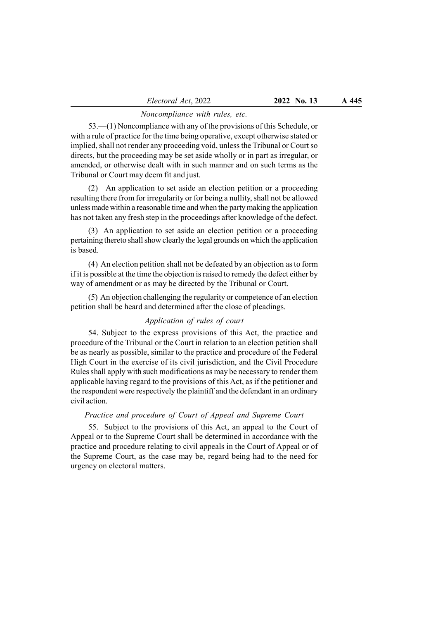# Noncompliance with rules, etc.

53.—(1) Noncompliance with any of the provisions of this Schedule, or with a rule of practice for the time being operative, except otherwise stated or implied, shall not render any proceeding void, unless the Tribunal or Court so directs, but the proceeding may be set aside wholly or in part as irregular, or amended, or otherwise dealt with in such manner and on such terms as the Tribunal or Court may deem fit and just.

(2) An application to set aside an election petition or a proceeding resulting there from for irregularity or for being a nullity, shall not be allowed unless made within a reasonable time and when the party making the application has not taken any fresh step in the proceedings after knowledge of the defect.

(3) An application to set aside an election petition or a proceeding pertaining thereto shall show clearly the legal grounds on which the application is based.

(4) An election petition shall not be defeated by an objection as to form if it is possible at the time the objection is raised to remedy the defect either by way of amendment or as may be directed by the Tribunal or Court.

(5) An objection challenging the regularity or competence of an election petition shall be heard and determined after the close of pleadings.

# Application of rules of court

54. Subject to the express provisions of this Act, the practice and procedure of the Tribunal or the Court in relation to an election petition shall be as nearly as possible, similar to the practice and procedure of the Federal High Court in the exercise of its civil jurisdiction, and the Civil Procedure Rules shall apply with such modifications as may be necessary to render them applicable having regard to the provisions of this Act, as if the petitioner and the respondent were respectively the plaintiff and the defendant in an ordinary civil action.

## Practice and procedure of Court of Appeal and Supreme Court

55. Subject to the provisions of this Act, an appeal to the Court of Appeal or to the Supreme Court shall be determined in accordance with the practice and procedure relating to civil appeals in the Court of Appeal or of the Supreme Court, as the case may be, regard being had to the need for urgency on electoral matters.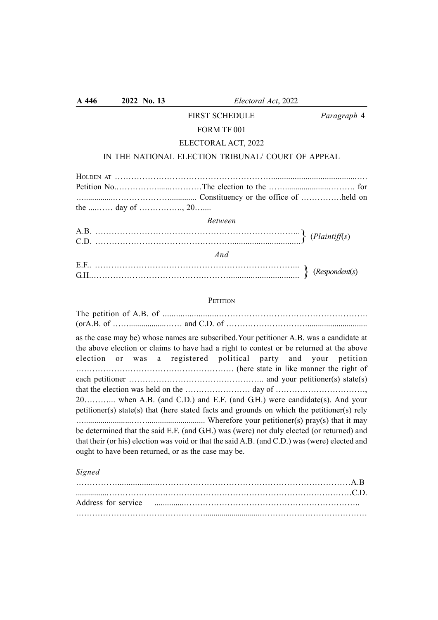# FIRST SCHEDULE Paragraph 4

# FORM TF 001

# ELECTORAL ACT, 2022

# IN THE NATIONAL ELECTION TRIBUNAL/ COURT OF APPEAL

| <b>Between</b>                             |  |
|--------------------------------------------|--|
|                                            |  |
| A.B. $\dots$ (Plaintiff(s)<br>C.D. $\dots$ |  |
| And                                        |  |
|                                            |  |
| E.F $\dots$ (Respondent(s) G.H.            |  |

# **PETITION**

| as the case may be) whose names are subscribed. Your petitioner A.B. was a candidate at<br>the above election or claims to have had a right to contest or be returned at the above<br>election or was a registered political party and your petition |
|------------------------------------------------------------------------------------------------------------------------------------------------------------------------------------------------------------------------------------------------------|
|                                                                                                                                                                                                                                                      |
|                                                                                                                                                                                                                                                      |
|                                                                                                                                                                                                                                                      |
| 20 when A.B. (and C.D.) and E.F. (and G.H.) were candidate(s). And your                                                                                                                                                                              |
| petitioner(s) state(s) that (here stated facts and grounds on which the petitioner(s) rely                                                                                                                                                           |
|                                                                                                                                                                                                                                                      |
| be determined that the said E.F. (and G.H.) was (were) not duly elected (or returned) and                                                                                                                                                            |
| that their (or his) election was void or that the said A.B. (and C.D.) was (were) elected and                                                                                                                                                        |
| ought to have been returned, or as the case may be.                                                                                                                                                                                                  |

# Signed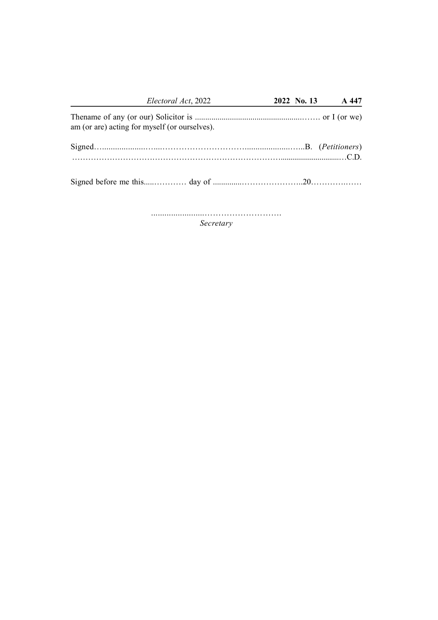| Electoral Act, 2022                           |  | 2022 No. 13 A 447 |
|-----------------------------------------------|--|-------------------|
| am (or are) acting for myself (or ourselves). |  |                   |
|                                               |  |                   |
|                                               |  |                   |

........................……………………….

Secretary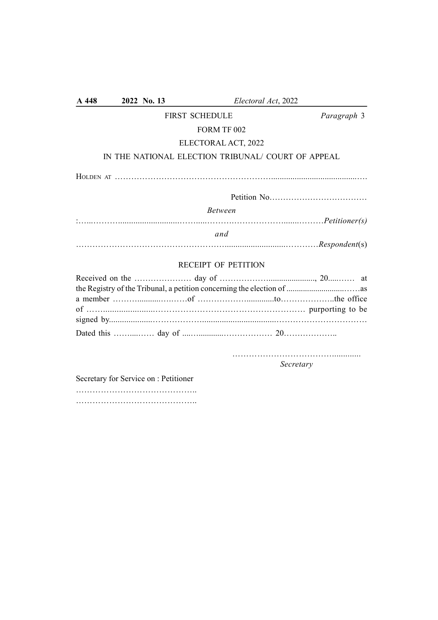| A 448           | 2022 No. 13 | Electoral Act, 2022                               |                     |
|-----------------|-------------|---------------------------------------------------|---------------------|
|                 |             | <b>FIRST SCHEDULE</b>                             | Paragraph 3         |
|                 |             | FORM TF 002                                       |                     |
|                 |             | ELECTORAL ACT, 2022                               |                     |
|                 |             | IN THE NATIONAL ELECTION TRIBUNAL/COURT OF APPEAL |                     |
|                 |             |                                                   |                     |
|                 |             |                                                   |                     |
|                 |             | <b>Between</b>                                    |                     |
|                 |             |                                                   |                     |
|                 |             | and                                               |                     |
|                 |             | <b>RECEIPT OF PETITION</b>                        |                     |
| Received on the |             | day of                                            | $20^{\circ}$<br>ot. |

……………………………….............

Secretary

Secretary for Service on : Petitioner …………………………………….. …………………………………………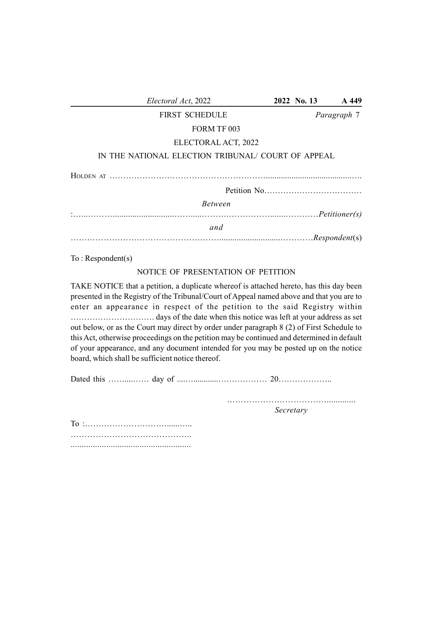| Electoral Act, 2022                                                                                                                                                                                                                                                                                                                                                                                                                                                                                                                                                                                      | 2022 No. 13 | A 449       |
|----------------------------------------------------------------------------------------------------------------------------------------------------------------------------------------------------------------------------------------------------------------------------------------------------------------------------------------------------------------------------------------------------------------------------------------------------------------------------------------------------------------------------------------------------------------------------------------------------------|-------------|-------------|
| <b>FIRST SCHEDULE</b>                                                                                                                                                                                                                                                                                                                                                                                                                                                                                                                                                                                    |             | Paragraph 7 |
| FORM TF 003                                                                                                                                                                                                                                                                                                                                                                                                                                                                                                                                                                                              |             |             |
| ELECTORAL ACT, 2022                                                                                                                                                                                                                                                                                                                                                                                                                                                                                                                                                                                      |             |             |
| IN THE NATIONAL ELECTION TRIBUNAL/ COURT OF APPEAL                                                                                                                                                                                                                                                                                                                                                                                                                                                                                                                                                       |             |             |
|                                                                                                                                                                                                                                                                                                                                                                                                                                                                                                                                                                                                          |             |             |
|                                                                                                                                                                                                                                                                                                                                                                                                                                                                                                                                                                                                          |             |             |
| <b>Between</b>                                                                                                                                                                                                                                                                                                                                                                                                                                                                                                                                                                                           |             |             |
|                                                                                                                                                                                                                                                                                                                                                                                                                                                                                                                                                                                                          |             |             |
| and                                                                                                                                                                                                                                                                                                                                                                                                                                                                                                                                                                                                      |             |             |
|                                                                                                                                                                                                                                                                                                                                                                                                                                                                                                                                                                                                          |             |             |
| To:Respondent(s)                                                                                                                                                                                                                                                                                                                                                                                                                                                                                                                                                                                         |             |             |
| NOTICE OF PRESENTATION OF PETITION                                                                                                                                                                                                                                                                                                                                                                                                                                                                                                                                                                       |             |             |
| TAKE NOTICE that a petition, a duplicate whereof is attached hereto, has this day been<br>presented in the Registry of the Tribunal/Court of Appeal named above and that you are to<br>enter an appearance in respect of the petition to the said Registry within<br>out below, or as the Court may direct by order under paragraph 8 (2) of First Schedule to<br>this Act, otherwise proceedings on the petition may be continued and determined in default<br>of your appearance, and any document intended for you may be posted up on the notice<br>board, which shall be sufficient notice thereof. |             |             |
|                                                                                                                                                                                                                                                                                                                                                                                                                                                                                                                                                                                                          |             |             |

………………………………............. Secretary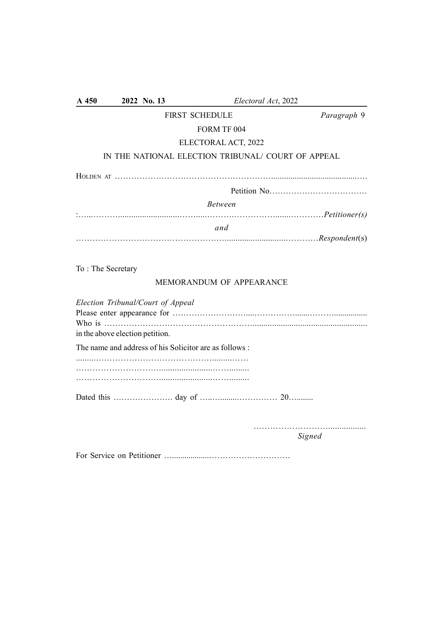| A 450                                                                                                      | 2022 No. 13 | Electoral Act, 2022                                   |             |
|------------------------------------------------------------------------------------------------------------|-------------|-------------------------------------------------------|-------------|
|                                                                                                            |             | FIRST SCHEDULE                                        | Paragraph 9 |
|                                                                                                            |             | FORM TF 004                                           |             |
|                                                                                                            |             | ELECTORAL ACT, 2022                                   |             |
|                                                                                                            |             | IN THE NATIONAL ELECTION TRIBUNAL/ COURT OF APPEAL    |             |
|                                                                                                            |             |                                                       |             |
|                                                                                                            |             |                                                       |             |
|                                                                                                            |             | <b>Between</b>                                        |             |
|                                                                                                            |             |                                                       |             |
|                                                                                                            |             | and                                                   |             |
| To: The Secretary                                                                                          |             | MEMORANDUM OF APPEARANCE                              |             |
| Election Tribunal/Court of Appeal<br>Who is $\dots\dots\dots\dots\dots$<br>in the above election petition. |             |                                                       |             |
|                                                                                                            |             | The name and address of his Solicitor are as follows: |             |
|                                                                                                            |             |                                                       |             |
|                                                                                                            |             |                                                       |             |
|                                                                                                            |             |                                                       |             |
|                                                                                                            |             |                                                       |             |

Signed

For Service on Petitioner …..................…………………………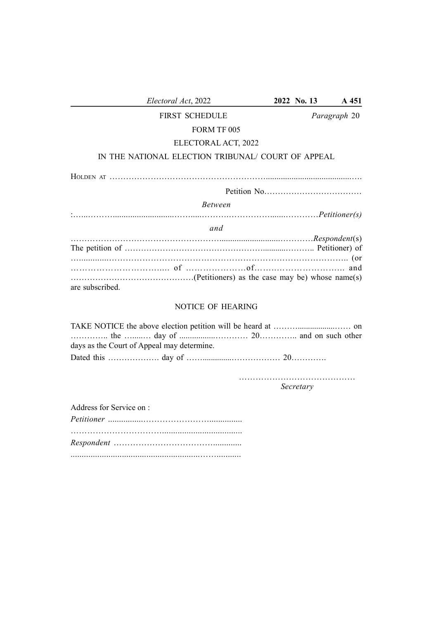| Electoral Act, 2022                               | 2022 No. 13 | A 451        |
|---------------------------------------------------|-------------|--------------|
| <b>FIRST SCHEDULE</b>                             |             | Paragraph 20 |
| FORM TF 005                                       |             |              |
| ELECTORAL ACT, 2022                               |             |              |
| IN THE NATIONAL ELECTION TRIBUNAL/COURT OF APPEAL |             |              |
|                                                   |             |              |
|                                                   |             |              |
| <i>Between</i>                                    |             |              |
|                                                   |             |              |
| and                                               |             |              |
|                                                   |             |              |
|                                                   |             |              |
|                                                   |             |              |
|                                                   |             |              |
| are subscribed.                                   |             |              |
| <b>NOTICE OF HEARING</b>                          |             |              |

|                   | days as the Court of Appeal may determine. |  |
|-------------------|--------------------------------------------|--|
| Dotad this day of |                                            |  |

Dated this ………………. day of ……..............……………… 20………….

…………………………………… Secretary

Address for Service on :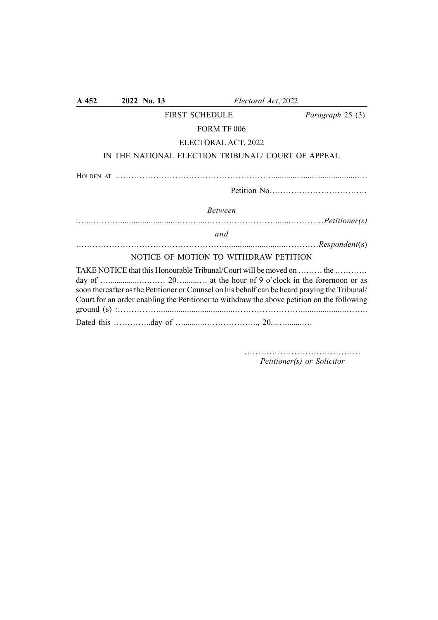| $A$ 452                               | 2022 No. 13                                        |                       | Electoral Act, 2022                                                                                                                                                                                                                                                  |
|---------------------------------------|----------------------------------------------------|-----------------------|----------------------------------------------------------------------------------------------------------------------------------------------------------------------------------------------------------------------------------------------------------------------|
|                                       |                                                    | <b>FIRST SCHEDULE</b> | Paragraph 25 (3)                                                                                                                                                                                                                                                     |
|                                       |                                                    | FORM TF 006           |                                                                                                                                                                                                                                                                      |
|                                       |                                                    | ELECTORAL ACT, 2022   |                                                                                                                                                                                                                                                                      |
|                                       | IN THE NATIONAL ELECTION TRIBUNAL/ COURT OF APPEAL |                       |                                                                                                                                                                                                                                                                      |
|                                       |                                                    |                       |                                                                                                                                                                                                                                                                      |
|                                       |                                                    |                       |                                                                                                                                                                                                                                                                      |
|                                       |                                                    | <b>Between</b>        |                                                                                                                                                                                                                                                                      |
|                                       |                                                    |                       |                                                                                                                                                                                                                                                                      |
|                                       |                                                    | and                   |                                                                                                                                                                                                                                                                      |
|                                       |                                                    |                       |                                                                                                                                                                                                                                                                      |
| NOTICE OF MOTION TO WITHDRAW PETITION |                                                    |                       |                                                                                                                                                                                                                                                                      |
|                                       |                                                    |                       | TAKE NOTICE that this Honourable Tribunal/Court will be moved on  the<br>soon thereafter as the Petitioner or Counsel on his behalf can be heard praying the Tribunal/<br>Court for an order enabling the Petitioner to withdraw the above petition on the following |
|                                       |                                                    |                       |                                                                                                                                                                                                                                                                      |

…………………………………… Petitioner(s) or Solicitor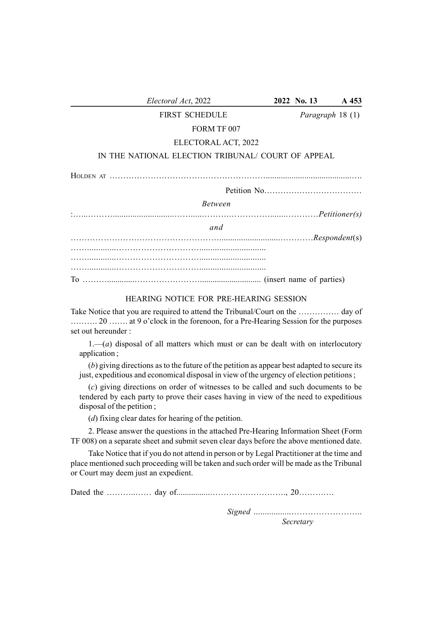| Electoral Act, 2022                               | 2022 No. 13             | A 453 |
|---------------------------------------------------|-------------------------|-------|
| <b>FIRST SCHEDULE</b>                             | <i>Paragraph</i> 18 (1) |       |
| FORM TF 007                                       |                         |       |
| ELECTORAL ACT, 2022                               |                         |       |
| IN THE NATIONAL ELECTION TRIBUNAL/COURT OF APPEAL |                         |       |
|                                                   |                         |       |
|                                                   |                         |       |
| <b>Between</b>                                    |                         |       |
|                                                   |                         |       |
| and                                               |                         |       |
|                                                   |                         |       |
|                                                   |                         |       |
|                                                   |                         |       |
|                                                   |                         |       |
|                                                   |                         |       |

# HEARING NOTICE FOR PRE-HEARING SESSION

Take Notice that you are required to attend the Tribunal/Court on the …………… day of ………. 20 ……. at 9 o'clock in the forenoon, for a Pre-Hearing Session for the purposes set out hereunder :

 $1-(a)$  disposal of all matters which must or can be dealt with on interlocutory application ;

(b) giving directions as to the future of the petition as appear best adapted to secure its just, expeditious and economical disposal in view of the urgency of election petitions;

(c) giving directions on order of witnesses to be called and such documents to be tendered by each party to prove their cases having in view of the need to expeditious disposal of the petition ;

(d) fixing clear dates for hearing of the petition.

2. Please answer the questions in the attached Pre-Hearing Information Sheet (Form TF 008) on a separate sheet and submit seven clear days before the above mentioned date.

Take Notice that if you do not attend in person or by Legal Practitioner at the time and place mentioned such proceeding will be taken and such order will be made as the Tribunal or Court may deem just an expedient.

Dated the ………..…… day of................………………………., 20………….

Signed .................…………………….. Secretary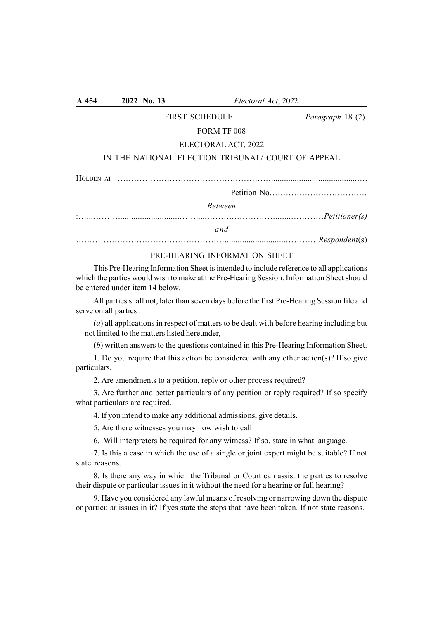| <b>FIRST SCHEDULE</b>                             | Paragraph 18 (2) |
|---------------------------------------------------|------------------|
| FORM TF 008                                       |                  |
| ELECTORAL ACT, 2022                               |                  |
| IN THE NATIONAL ELECTION TRIBUNAL/COURT OF APPEAL |                  |
|                                                   |                  |
|                                                   |                  |
| <b>Between</b>                                    |                  |
|                                                   |                  |
| and                                               |                  |
|                                                   |                  |

A 454 2022 No. 13 Electoral Act, 2022

# PRE-HEARING INFORMATION SHEET

This Pre-Hearing Information Sheet is intended to include reference to all applications which the parties would wish to make at the Pre-Hearing Session. Information Sheet should be entered under item 14 below.

All parties shall not, later than seven days before the first Pre-Hearing Session file and serve on all parties :

(a) all applications in respect of matters to be dealt with before hearing including but not limited to the matters listed hereunder,

(b) written answers to the questions contained in this Pre-Hearing Information Sheet.

1. Do you require that this action be considered with any other action(s)? If so give particulars.

2. Are amendments to a petition, reply or other process required?

3. Are further and better particulars of any petition or reply required? If so specify what particulars are required.

4. If you intend to make any additional admissions, give details.

5. Are there witnesses you may now wish to call.

6. Will interpreters be required for any witness? If so, state in what language.

7. Is this a case in which the use of a single or joint expert might be suitable? If not state reasons.

8. Is there any way in which the Tribunal or Court can assist the parties to resolve their dispute or particular issues in it without the need for a hearing or full hearing?

9. Have you considered any lawful means of resolving or narrowing down the dispute or particular issues in it? If yes state the steps that have been taken. If not state reasons.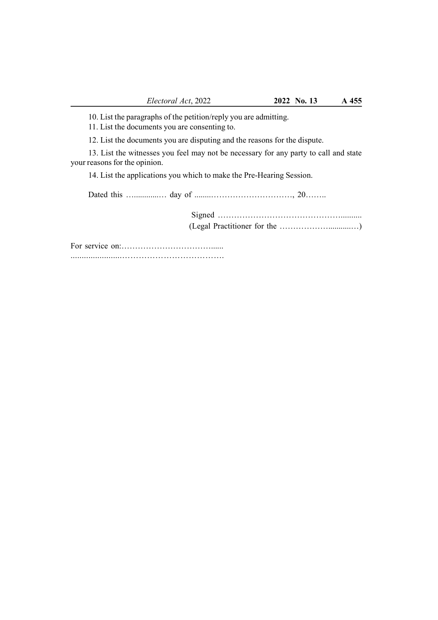10. List the paragraphs of the petition/reply you are admitting.

11. List the documents you are consenting to.

12. List the documents you are disputing and the reasons for the dispute.

13. List the witnesses you feel may not be necessary for any party to call and state your reasons for the opinion.

14. List the applications you which to make the Pre-Hearing Session.

Dated this …............… day of ........…………………………, 20……..

Signed ……………………………………….......... (Legal Practitioner for the ………………...........…)

For service on:……………………………...... .......................……………………………….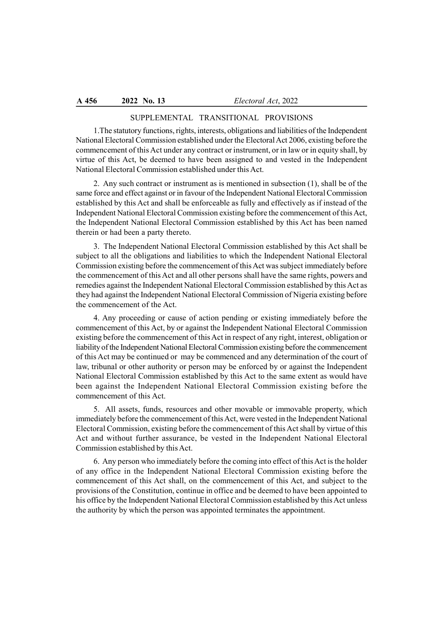# SUPPLEMENTAL TRANSITIONAL PROVISIONS

1.The statutory functions, rights, interests, obligations and liabilities of the Independent National Electoral Commission established under the Electoral Act 2006, existing before the commencement of this Act under any contract or instrument, or in law or in equity shall, by virtue of this Act, be deemed to have been assigned to and vested in the Independent National Electoral Commission established under this Act.

2. Any such contract or instrument as is mentioned in subsection (1), shall be of the same force and effect against or in favour of the Independent National Electoral Commission established by this Act and shall be enforceable as fully and effectively as if instead of the Independent National Electoral Commission existing before the commencement of this Act, the Independent National Electoral Commission established by this Act has been named therein or had been a party thereto.

3. The Independent National Electoral Commission established by this Act shall be subject to all the obligations and liabilities to which the Independent National Electoral Commission existing before the commencement of this Act was subject immediately before the commencement of this Act and all other persons shall have the same rights, powers and remedies against the Independent National Electoral Commission established by this Act as they had against the Independent National Electoral Commission of Nigeria existing before the commencement of the Act.

4. Any proceeding or cause of action pending or existing immediately before the commencement of this Act, by or against the Independent National Electoral Commission existing before the commencement of this Act in respect of any right, interest, obligation or liability of the Independent National Electoral Commission existing before the commencement of this Act may be continued or may be commenced and any determination of the court of law, tribunal or other authority or person may be enforced by or against the Independent National Electoral Commission established by this Act to the same extent as would have been against the Independent National Electoral Commission existing before the commencement of this Act.

5. All assets, funds, resources and other movable or immovable property, which immediately before the commencement of this Act, were vested in the Independent National Electoral Commission, existing before the commencement of this Act shall by virtue of this Act and without further assurance, be vested in the Independent National Electoral Commission established by this Act.

6. Any person who immediately before the coming into effect of this Act is the holder of any office in the Independent National Electoral Commission existing before the commencement of this Act shall, on the commencement of this Act, and subject to the provisions of the Constitution, continue in office and be deemed to have been appointed to his office by the Independent National Electoral Commission established by this Act unless the authority by which the person was appointed terminates the appointment.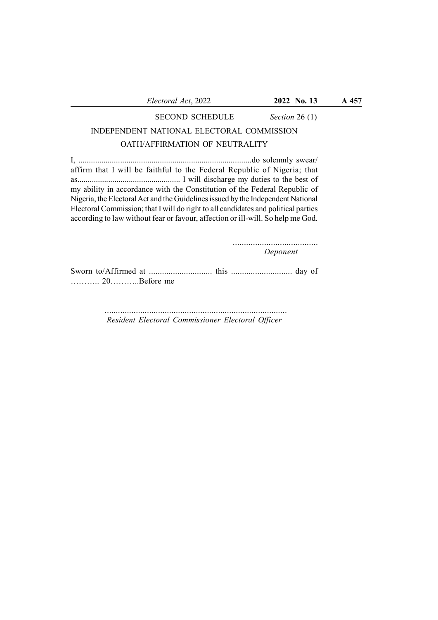#### SECOND SCHEDULE Section 26 (1)

# INDEPENDENT NATIONAL ELECTORAL COMMISSION

# OATH/AFFIRMATION OF NEUTRALITY

I, ...................................................................................do solemnly swear/ affirm that I will be faithful to the Federal Republic of Nigeria; that as.................................................. I will discharge my duties to the best of my ability in accordance with the Constitution of the Federal Republic of Nigeria, the Electoral Act and the Guidelines issued by the Independent National Electoral Commission; that I will do right to all candidates and political parties according to law without fear or favour, affection or ill-will. So help me God.

> ...................................... Deponent

Sworn to/Affirmed at ............................. this ............................ day of ……….. 20………..Before me

> .................................................................................. Resident Electoral Commissioner Electoral Officer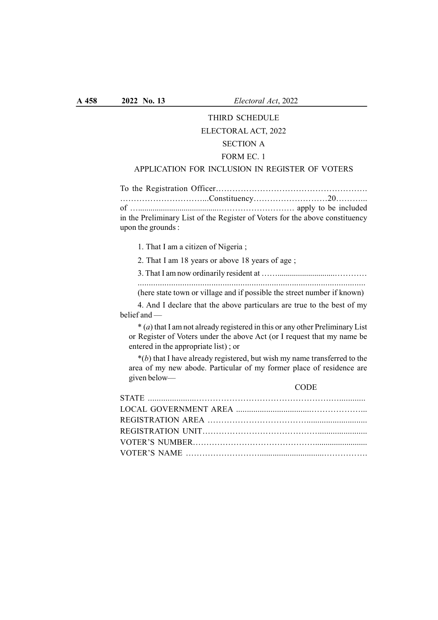# THIRD SCHEDULE

#### ELECTORAL ACT, 2022

# SECTION A

### FORM EC. 1

## APPLICATION FOR INCLUSION IN REGISTER OF VOTERS

To the Registration Officer………………………………………………. …………………………...Constituency………………………20………... of ….......................................………………………. apply to be included in the Preliminary List of the Register of Voters for the above constituency upon the grounds :

1. That I am a citizen of Nigeria ;

2. That I am 18 years or above 18 years of age ;

3. That I am now ordinarily resident at ……............................…………

...................................................................................................... (here state town or village and if possible the street number if known)

4. And I declare that the above particulars are true to the best of my belief and —

 $*(a)$  that I am not already registered in this or any other Preliminary List or Register of Voters under the above Act (or I request that my name be entered in the appropriate list) ; or

 $*(b)$  that I have already registered, but wish my name transferred to the area of my new abode. Particular of my former place of residence are given below—

**CODE**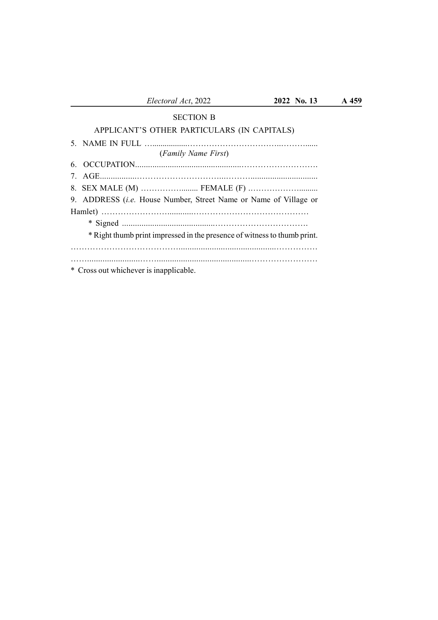## SECTION B

# APPLICANT'S OTHER PARTICULARS (IN CAPITALS)

| (Family Name First)                                                      |
|--------------------------------------------------------------------------|
|                                                                          |
|                                                                          |
|                                                                          |
| 9. ADDRESS (i.e. House Number, Street Name or Name of Village or         |
|                                                                          |
|                                                                          |
| * Right thumb print impressed in the presence of witness to thumb print. |
|                                                                          |
|                                                                          |
| * Cross out whichever is inapplicable.                                   |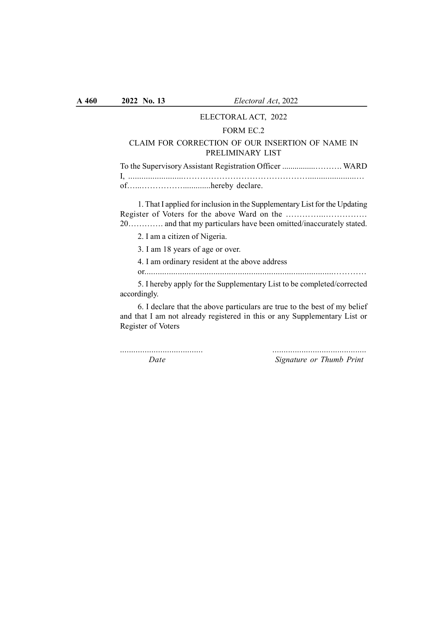### ELECTORAL ACT, 2022

#### FORM EC.2

#### CLAIM FOR CORRECTION OF OUR INSERTION OF NAME IN PRELIMINARY LIST

| To the Supervisory Assistant Registration Officer  WARD |  |
|---------------------------------------------------------|--|
|                                                         |  |
|                                                         |  |

1. That I applied for inclusion in the Supplementary List for the Updating Register of Voters for the above Ward on the …………...…………… 20…………. and that my particulars have been omitted/inaccurately stated.

2. I am a citizen of Nigeria.

3. I am 18 years of age or over.

4. I am ordinary resident at the above address

or.....................................................................................…………

5. I hereby apply for the Supplementary List to be completed/corrected accordingly.

6. I declare that the above particulars are true to the best of my belief and that I am not already registered in this or any Supplementary List or Register of Voters

..................................... ..........................................

Date Signature or Thumb Print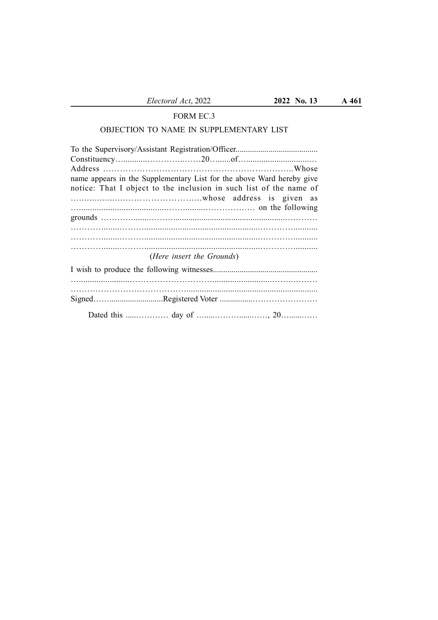## FORM EC.3

## OBJECTION TO NAME IN SUPPLEMENTARY LIST

| name appears in the Supplementary List for the above Ward hereby give |
|-----------------------------------------------------------------------|
| notice: That I object to the inclusion in such list of the name of    |
|                                                                       |
|                                                                       |
|                                                                       |
|                                                                       |
|                                                                       |
|                                                                       |
| (Here insert the Grounds)                                             |
|                                                                       |
|                                                                       |
|                                                                       |
|                                                                       |
|                                                                       |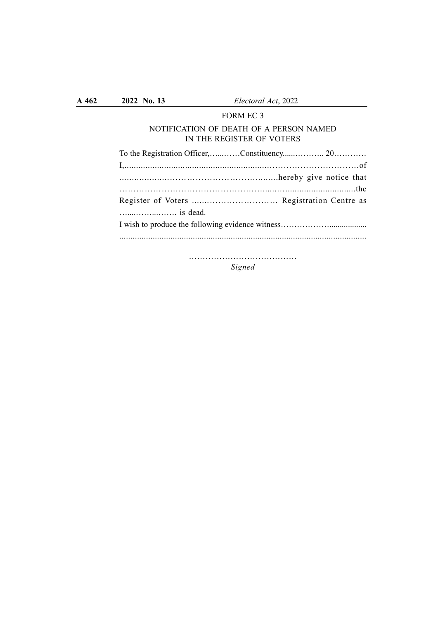| A 462 | 2022 No. 13 | Electoral Act, 2022                                                  |  |
|-------|-------------|----------------------------------------------------------------------|--|
|       |             | FORM EC 3                                                            |  |
|       |             | NOTIFICATION OF DEATH OF A PERSON NAMED<br>IN THE REGISTER OF VOTERS |  |
|       |             |                                                                      |  |
|       |             |                                                                      |  |
|       |             |                                                                      |  |
|       |             |                                                                      |  |
|       | is dead.    |                                                                      |  |
|       |             |                                                                      |  |
|       |             |                                                                      |  |
|       |             |                                                                      |  |

Signed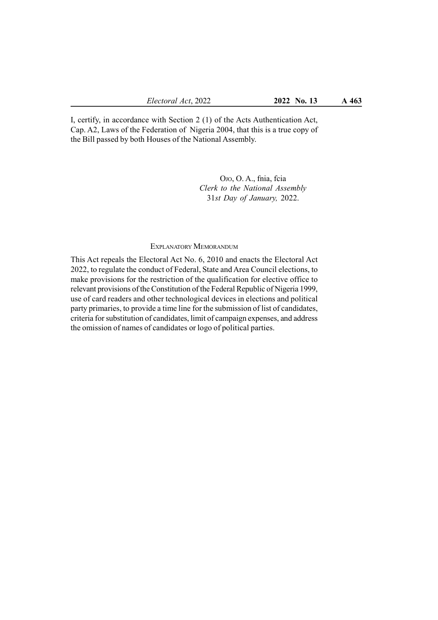I, certify, in accordance with Section 2 (1) of the Acts Authentication Act, Cap. A2, Laws of the Federation of Nigeria 2004, that this is a true copy of the Bill passed by both Houses of the National Assembly.

> OJO, O. A., fnia, fcia Clerk to the National Assembly 31st Day of January, 2022.

### EXPLANATORY MEMORANDUM

This Act repeals the Electoral Act No. 6, 2010 and enacts the Electoral Act 2022, to regulate the conduct of Federal, State and Area Council elections, to make provisions for the restriction of the qualification for elective office to relevant provisions of the Constitution of the Federal Republic of Nigeria 1999, use of card readers and other technological devices in elections and political party primaries, to provide a time line for the submission of list of candidates, criteria for substitution of candidates, limit of campaign expenses, and address the omission of names of candidates or logo of political parties.